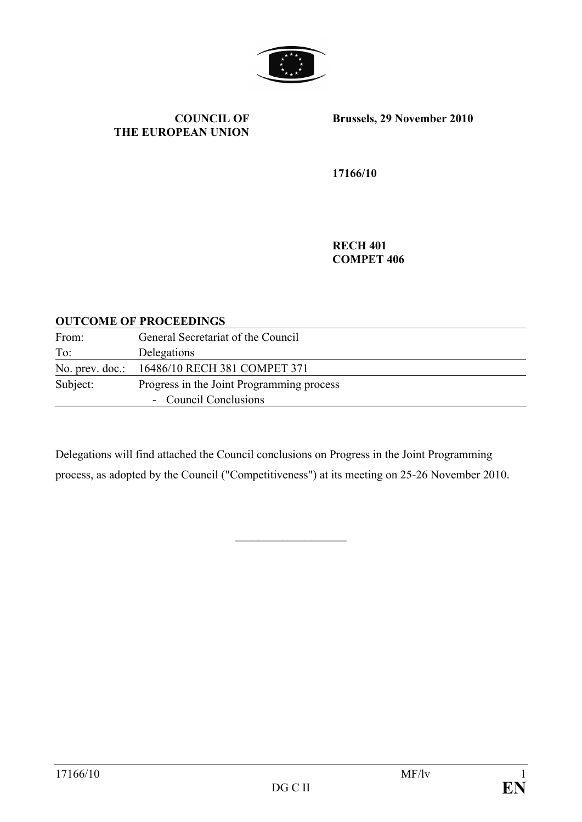

#### **COUNCIL OF THE EUROPEAN UNION**

**Brussels, 29 November 2010** 

**17166/10** 

**RECH 401 COMPET 406** 

#### **OUTCOME OF PROCEEDINGS**

| From:           | General Secretariat of the Council        |
|-----------------|-------------------------------------------|
| To:             | Delegations                               |
| No. prev. doc.: | 16486/10 RECH 381 COMPET 371              |
| Subject:        | Progress in the Joint Programming process |
|                 | - Council Conclusions                     |

Delegations will find attached the Council conclusions on Progress in the Joint Programming process, as adopted by the Council ("Competitiveness") at its meeting on 25-26 November 2010.

 $\overline{\phantom{a}}$  , where  $\overline{\phantom{a}}$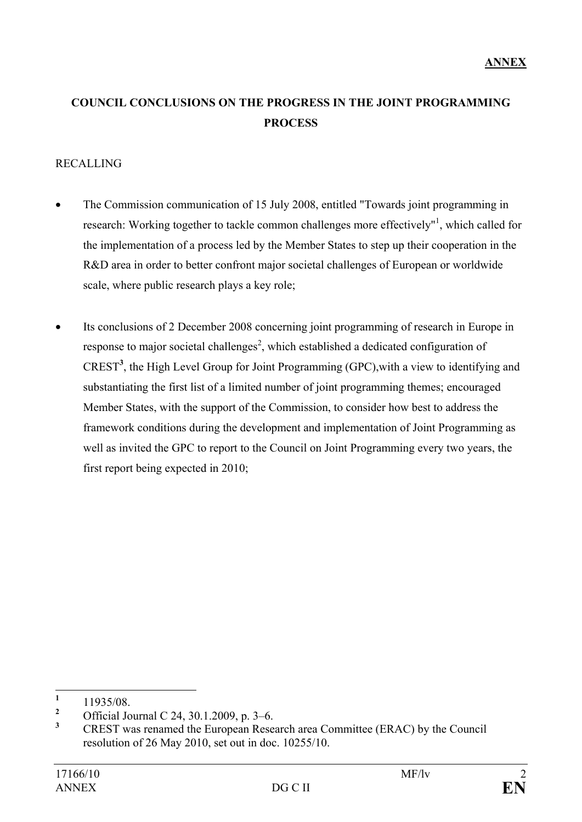# **COUNCIL CONCLUSIONS ON THE PROGRESS IN THE JOINT PROGRAMMING PROCESS**

## RECALLING

- The Commission communication of 15 July 2008, entitled "Towards joint programming in research: Working together to tackle common challenges more effectively"<sup>1</sup>, which called for the implementation of a process led by the Member States to step up their cooperation in the R&D area in order to better confront major societal challenges of European or worldwide scale, where public research plays a key role;
- Its conclusions of 2 December 2008 concerning joint programming of research in Europe in response to major societal challenges<sup>2</sup>, which established a dedicated configuration of CREST**<sup>3</sup>** , the High Level Group for Joint Programming (GPC),with a view to identifying and substantiating the first list of a limited number of joint programming themes; encouraged Member States, with the support of the Commission, to consider how best to address the framework conditions during the development and implementation of Joint Programming as well as invited the GPC to report to the Council on Joint Programming every two years, the first report being expected in 2010;

 $\mathbf{1}$  $\frac{1}{2}$  11935/08.

**<sup>2</sup>** Official Journal C 24, 30.1.2009, p. 3–6.

**<sup>3</sup>** CREST was renamed the European Research area Committee (ERAC) by the Council resolution of 26 May 2010, set out in doc. 10255/10.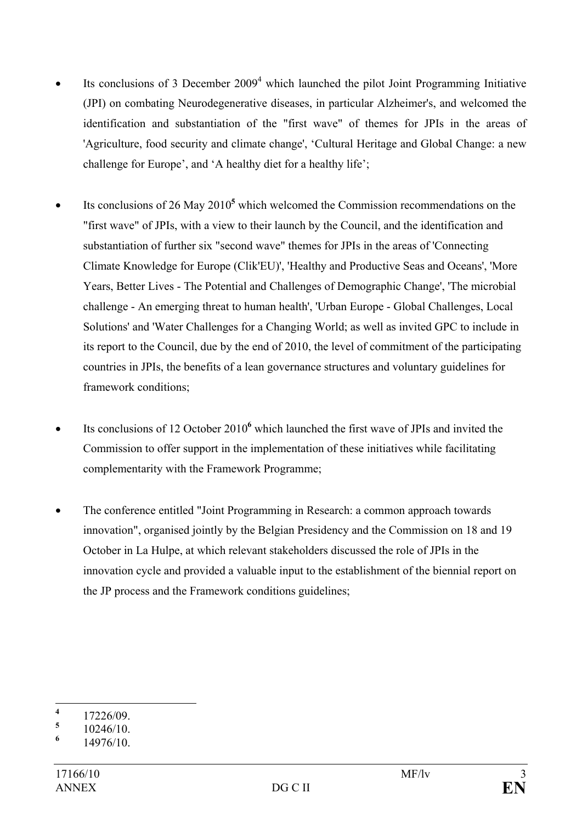- $\bullet$  Its conclusions of 3 December 2009<sup>4</sup> which launched the pilot Joint Programming Initiative (JPI) on combating Neurodegenerative diseases, in particular Alzheimer's, and welcomed the identification and substantiation of the "first wave" of themes for JPIs in the areas of 'Agriculture, food security and climate change', 'Cultural Heritage and Global Change: a new challenge for Europe', and 'A healthy diet for a healthy life';
- Its conclusions of 26 May 2010<sup>5</sup> which welcomed the Commission recommendations on the "first wave" of JPIs, with a view to their launch by the Council, and the identification and substantiation of further six "second wave" themes for JPIs in the areas of 'Connecting Climate Knowledge for Europe (Clik'EU)', 'Healthy and Productive Seas and Oceans', 'More Years, Better Lives - The Potential and Challenges of Demographic Change', 'The microbial challenge - An emerging threat to human health', 'Urban Europe - Global Challenges, Local Solutions' and 'Water Challenges for a Changing World; as well as invited GPC to include in its report to the Council, due by the end of 2010, the level of commitment of the participating countries in JPIs, the benefits of a lean governance structures and voluntary guidelines for framework conditions;
- Its conclusions of 12 October 2010<sup>6</sup> which launched the first wave of JPIs and invited the Commission to offer support in the implementation of these initiatives while facilitating complementarity with the Framework Programme;
- The conference entitled "Joint Programming in Research: a common approach towards innovation", organised jointly by the Belgian Presidency and the Commission on 18 and 19 October in La Hulpe, at which relevant stakeholders discussed the role of JPIs in the innovation cycle and provided a valuable input to the establishment of the biennial report on the JP process and the Framework conditions guidelines;

 $\overline{\mathbf{4}}$ **<sup>4</sup>** 17226/09.

**<sup>5</sup>** 10246/10.

**<sup>6</sup>** 14976/10.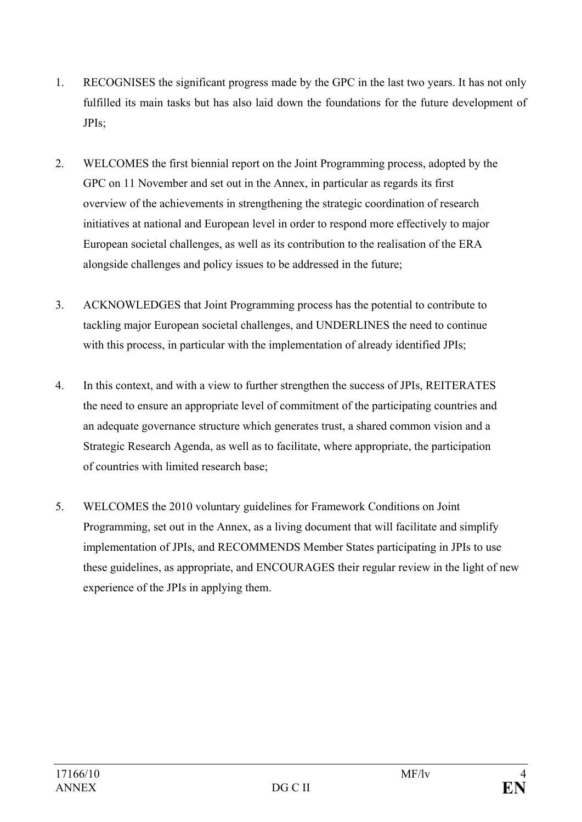- 1. RECOGNISES the significant progress made by the GPC in the last two years. It has not only fulfilled its main tasks but has also laid down the foundations for the future development of JPIs;
- 2. WELCOMES the first biennial report on the Joint Programming process, adopted by the GPC on 11 November and set out in the Annex, in particular as regards its first overview of the achievements in strengthening the strategic coordination of research initiatives at national and European level in order to respond more effectively to major European societal challenges, as well as its contribution to the realisation of the ERA alongside challenges and policy issues to be addressed in the future;
- 3. ACKNOWLEDGES that Joint Programming process has the potential to contribute to tackling major European societal challenges, and UNDERLINES the need to continue with this process, in particular with the implementation of already identified JPIs;
- 4. In this context, and with a view to further strengthen the success of JPIs, REITERATES the need to ensure an appropriate level of commitment of the participating countries and an adequate governance structure which generates trust, a shared common vision and a Strategic Research Agenda, as well as to facilitate, where appropriate, the participation of countries with limited research base;
- 5. WELCOMES the 2010 voluntary guidelines for Framework Conditions on Joint Programming, set out in the Annex, as a living document that will facilitate and simplify implementation of JPIs, and RECOMMENDS Member States participating in JPIs to use these guidelines, as appropriate, and ENCOURAGES their regular review in the light of new experience of the JPIs in applying them.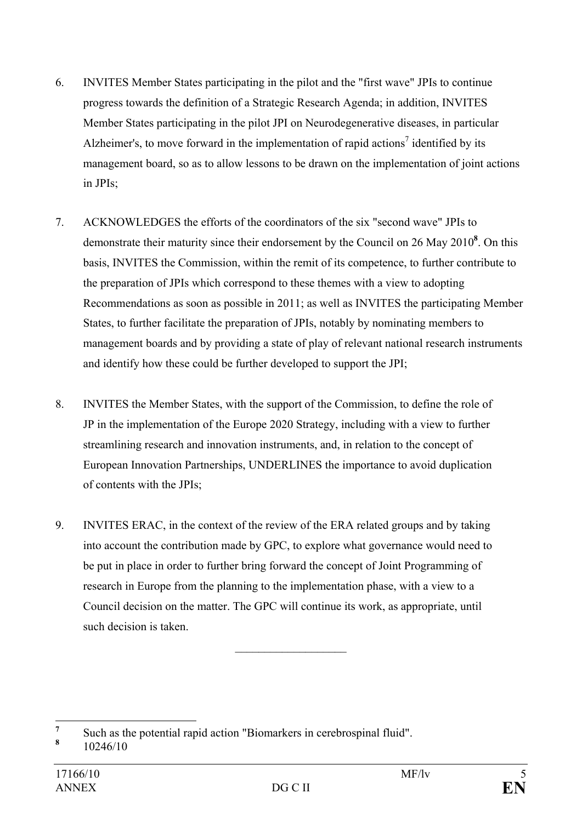- 6. INVITES Member States participating in the pilot and the "first wave" JPIs to continue progress towards the definition of a Strategic Research Agenda; in addition, INVITES Member States participating in the pilot JPI on Neurodegenerative diseases, in particular Alzheimer's, to move forward in the implementation of rapid actions<sup>7</sup> identified by its management board, so as to allow lessons to be drawn on the implementation of joint actions in JPIs;
- 7. ACKNOWLEDGES the efforts of the coordinators of the six "second wave" JPIs to demonstrate their maturity since their endorsement by the Council on 26 May 2010**<sup>8</sup>** . On this basis, INVITES the Commission, within the remit of its competence, to further contribute to the preparation of JPIs which correspond to these themes with a view to adopting Recommendations as soon as possible in 2011; as well as INVITES the participating Member States, to further facilitate the preparation of JPIs, notably by nominating members to management boards and by providing a state of play of relevant national research instruments and identify how these could be further developed to support the JPI;
- 8. INVITES the Member States, with the support of the Commission, to define the role of JP in the implementation of the Europe 2020 Strategy, including with a view to further streamlining research and innovation instruments, and, in relation to the concept of European Innovation Partnerships, UNDERLINES the importance to avoid duplication of contents with the JPIs;
- 9. INVITES ERAC, in the context of the review of the ERA related groups and by taking into account the contribution made by GPC, to explore what governance would need to be put in place in order to further bring forward the concept of Joint Programming of research in Europe from the planning to the implementation phase, with a view to a Council decision on the matter. The GPC will continue its work, as appropriate, until such decision is taken.

 $\overline{\phantom{a}}$  , where  $\overline{\phantom{a}}$ 

 **7** Such as the potential rapid action "Biomarkers in cerebrospinal fluid".

**<sup>8</sup>** 10246/10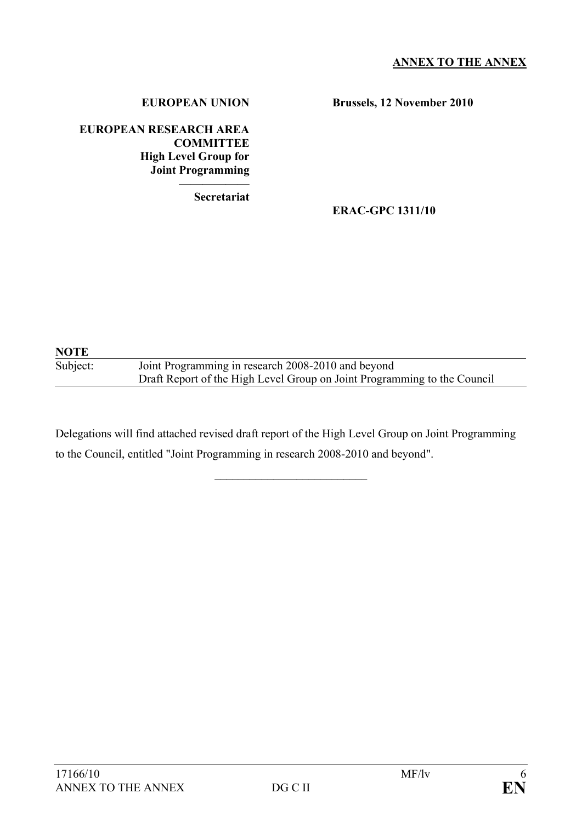#### **EUROPEAN UNION**

**Brussels, 12 November 2010** 

#### **EUROPEAN RESEARCH AREA COMMITTEE High Level Group for Joint Programming ——————**

**Secretariat**

## **ERAC-GPC 1311/10**

## **NOTE**  Subject: Joint Programming in research 2008-2010 and beyond Draft Report of the High Level Group on Joint Programming to the Council

Delegations will find attached revised draft report of the High Level Group on Joint Programming to the Council, entitled "Joint Programming in research 2008-2010 and beyond".

 $\mathcal{L}_\text{max}$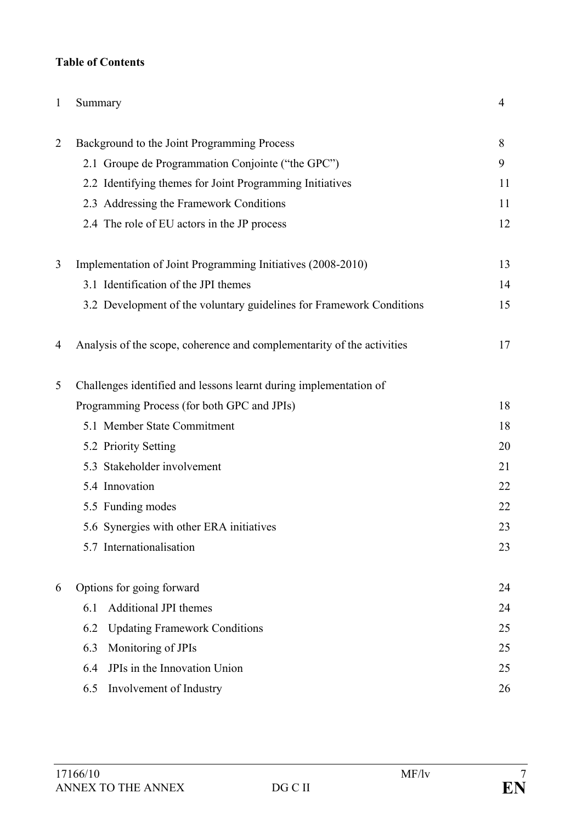## **Table of Contents**

| 1              | Summary                                                                | $\overline{4}$ |
|----------------|------------------------------------------------------------------------|----------------|
| $\overline{2}$ | Background to the Joint Programming Process                            | 8              |
|                | 2.1 Groupe de Programmation Conjointe ("the GPC")                      | 9              |
|                | 2.2 Identifying themes for Joint Programming Initiatives               | 11             |
|                | 2.3 Addressing the Framework Conditions                                | 11             |
|                | 2.4 The role of EU actors in the JP process                            | 12             |
| 3              | Implementation of Joint Programming Initiatives (2008-2010)            | 13             |
|                | 3.1 Identification of the JPI themes                                   | 14             |
|                | 3.2 Development of the voluntary guidelines for Framework Conditions   | 15             |
| 4              | Analysis of the scope, coherence and complementarity of the activities | 17             |
| 5              | Challenges identified and lessons learnt during implementation of      |                |
|                | Programming Process (for both GPC and JPIs)                            | 18             |
|                | 5.1 Member State Commitment                                            | 18             |
|                | 5.2 Priority Setting                                                   | 20             |
|                | 5.3 Stakeholder involvement                                            | 21             |
|                | 5.4 Innovation                                                         | 22             |
|                | 5.5 Funding modes                                                      | 22             |
|                | 5.6 Synergies with other ERA initiatives                               | 23             |
|                | 5.7 Internationalisation                                               | 23             |
| 6              | Options for going forward                                              | 24             |
|                | <b>Additional JPI themes</b><br>6.1                                    | 24             |
|                | 6.2<br><b>Updating Framework Conditions</b>                            | 25             |
|                | Monitoring of JPIs<br>6.3                                              | 25             |
|                | JPIs in the Innovation Union<br>6.4                                    | 25             |
|                | 6.5<br>Involvement of Industry                                         | 26             |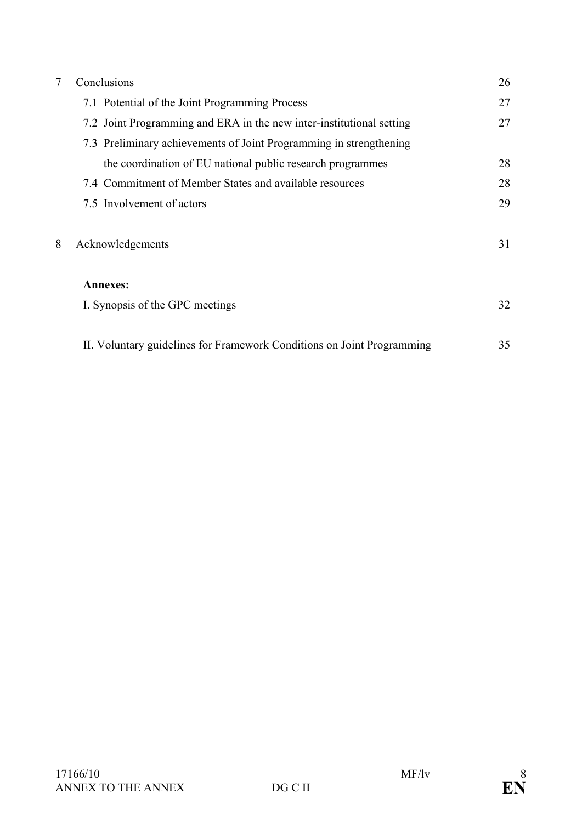| 7 | Conclusions                                                            |    |
|---|------------------------------------------------------------------------|----|
|   | 7.1 Potential of the Joint Programming Process                         | 27 |
|   | 7.2 Joint Programming and ERA in the new inter-institutional setting   | 27 |
|   | 7.3 Preliminary achievements of Joint Programming in strengthening     |    |
|   | the coordination of EU national public research programmes             | 28 |
|   | 7.4 Commitment of Member States and available resources                | 28 |
|   | 7.5 Involvement of actors                                              | 29 |
| 8 | Acknowledgements                                                       | 31 |
|   | <b>Annexes:</b>                                                        |    |
|   | I. Synopsis of the GPC meetings                                        | 32 |
|   | II. Voluntary guidelines for Framework Conditions on Joint Programming | 35 |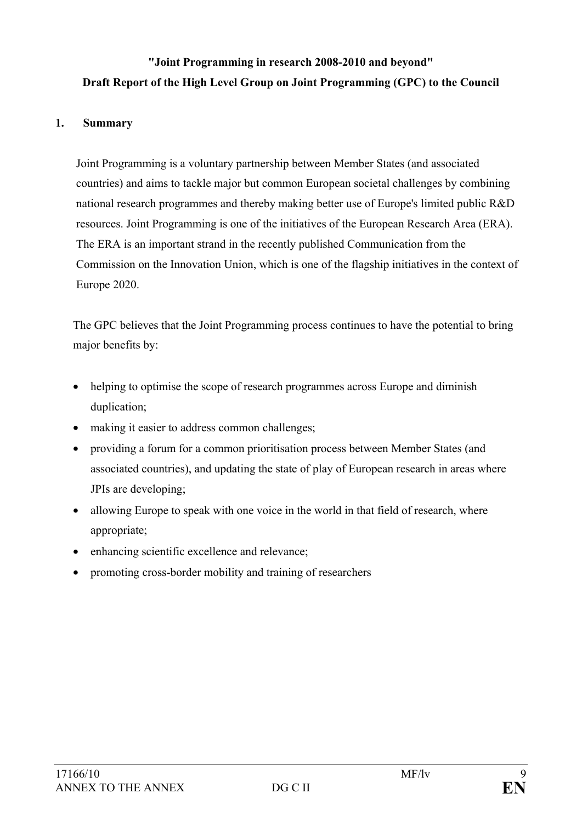# **"Joint Programming in research 2008-2010 and beyond" Draft Report of the High Level Group on Joint Programming (GPC) to the Council**

### **1. Summary**

Joint Programming is a voluntary partnership between Member States (and associated countries) and aims to tackle major but common European societal challenges by combining national research programmes and thereby making better use of Europe's limited public R&D resources. Joint Programming is one of the initiatives of the European Research Area (ERA). The ERA is an important strand in the recently published Communication from the Commission on the Innovation Union, which is one of the flagship initiatives in the context of Europe 2020.

The GPC believes that the Joint Programming process continues to have the potential to bring major benefits by:

- helping to optimise the scope of research programmes across Europe and diminish duplication;
- making it easier to address common challenges;
- providing a forum for a common prioritisation process between Member States (and associated countries), and updating the state of play of European research in areas where JPIs are developing;
- allowing Europe to speak with one voice in the world in that field of research, where appropriate;
- enhancing scientific excellence and relevance;
- promoting cross-border mobility and training of researchers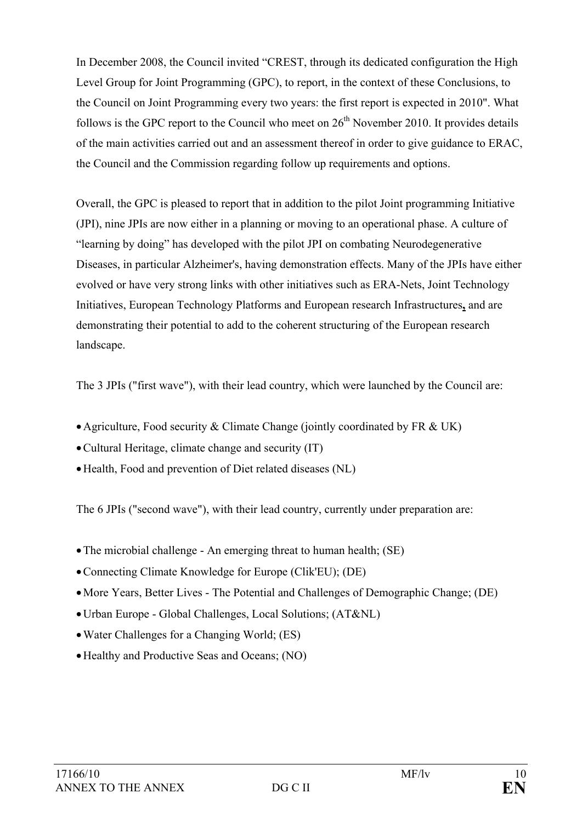In December 2008, the Council invited "CREST, through its dedicated configuration the High Level Group for Joint Programming (GPC), to report, in the context of these Conclusions, to the Council on Joint Programming every two years: the first report is expected in 2010". What follows is the GPC report to the Council who meet on  $26<sup>th</sup>$  November 2010. It provides details of the main activities carried out and an assessment thereof in order to give guidance to ERAC, the Council and the Commission regarding follow up requirements and options.

Overall, the GPC is pleased to report that in addition to the pilot Joint programming Initiative (JPI), nine JPIs are now either in a planning or moving to an operational phase. A culture of "learning by doing" has developed with the pilot JPI on combating Neurodegenerative Diseases, in particular Alzheimer's, having demonstration effects. Many of the JPIs have either evolved or have very strong links with other initiatives such as ERA-Nets, Joint Technology Initiatives, European Technology Platforms and European research Infrastructures**,** and are demonstrating their potential to add to the coherent structuring of the European research landscape.

The 3 JPIs ("first wave"), with their lead country, which were launched by the Council are:

- Agriculture, Food security & Climate Change (jointly coordinated by FR & UK)
- •Cultural Heritage, climate change and security (IT)
- •Health, Food and prevention of Diet related diseases (NL)

The 6 JPIs ("second wave"), with their lead country, currently under preparation are:

- The microbial challenge An emerging threat to human health; (SE)
- •Connecting Climate Knowledge for Europe (Clik'EU); (DE)
- •More Years, Better Lives The Potential and Challenges of Demographic Change; (DE)
- •Urban Europe Global Challenges, Local Solutions; (AT&NL)
- Water Challenges for a Changing World; (ES)
- •Healthy and Productive Seas and Oceans; (NO)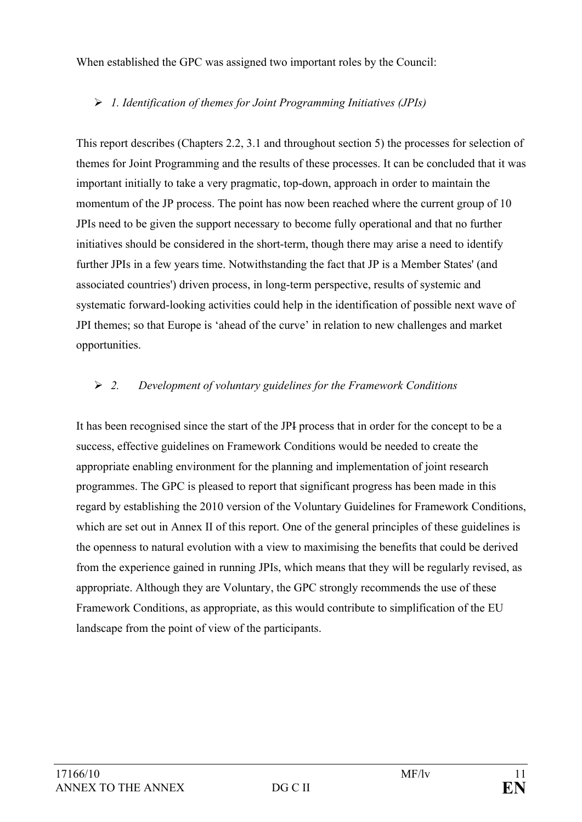When established the GPC was assigned two important roles by the Council:

## ¾ *1. Identification of themes for Joint Programming Initiatives (JPIs)*

This report describes (Chapters 2.2, 3.1 and throughout section 5) the processes for selection of themes for Joint Programming and the results of these processes. It can be concluded that it was important initially to take a very pragmatic, top-down, approach in order to maintain the momentum of the JP process. The point has now been reached where the current group of 10 JPIs need to be given the support necessary to become fully operational and that no further initiatives should be considered in the short-term, though there may arise a need to identify further JPIs in a few years time. Notwithstanding the fact that JP is a Member States' (and associated countries') driven process, in long-term perspective, results of systemic and systematic forward-looking activities could help in the identification of possible next wave of JPI themes; so that Europe is 'ahead of the curve' in relation to new challenges and market opportunities.

## ¾ *2. Development of voluntary guidelines for the Framework Conditions*

It has been recognised since the start of the JPI process that in order for the concept to be a success, effective guidelines on Framework Conditions would be needed to create the appropriate enabling environment for the planning and implementation of joint research programmes. The GPC is pleased to report that significant progress has been made in this regard by establishing the 2010 version of the Voluntary Guidelines for Framework Conditions, which are set out in Annex II of this report. One of the general principles of these guidelines is the openness to natural evolution with a view to maximising the benefits that could be derived from the experience gained in running JPIs, which means that they will be regularly revised, as appropriate. Although they are Voluntary, the GPC strongly recommends the use of these Framework Conditions, as appropriate, as this would contribute to simplification of the EU landscape from the point of view of the participants.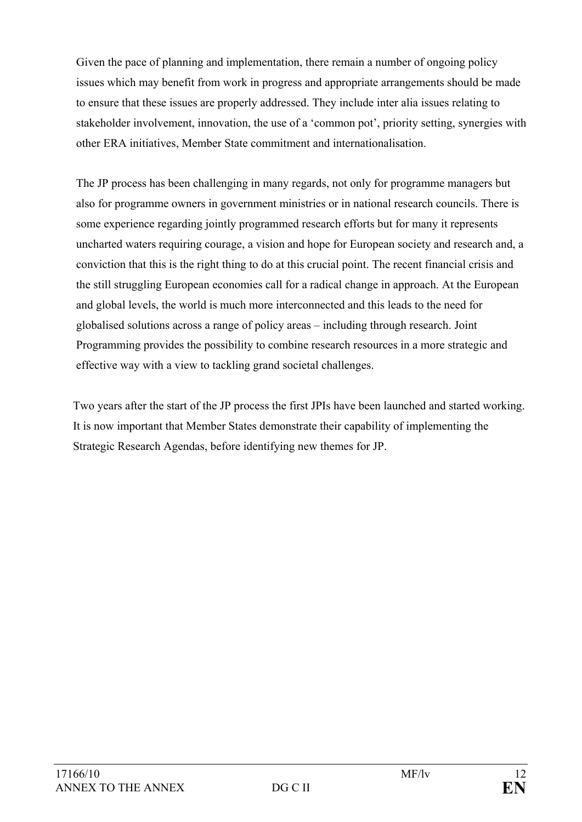Given the pace of planning and implementation, there remain a number of ongoing policy issues which may benefit from work in progress and appropriate arrangements should be made to ensure that these issues are properly addressed. They include inter alia issues relating to stakeholder involvement, innovation, the use of a 'common pot', priority setting, synergies with other ERA initiatives, Member State commitment and internationalisation.

The JP process has been challenging in many regards, not only for programme managers but also for programme owners in government ministries or in national research councils. There is some experience regarding jointly programmed research efforts but for many it represents uncharted waters requiring courage, a vision and hope for European society and research and, a conviction that this is the right thing to do at this crucial point. The recent financial crisis and the still struggling European economies call for a radical change in approach. At the European and global levels, the world is much more interconnected and this leads to the need for globalised solutions across a range of policy areas – including through research. Joint Programming provides the possibility to combine research resources in a more strategic and effective way with a view to tackling grand societal challenges.

Two years after the start of the JP process the first JPIs have been launched and started working. It is now important that Member States demonstrate their capability of implementing the Strategic Research Agendas, before identifying new themes for JP.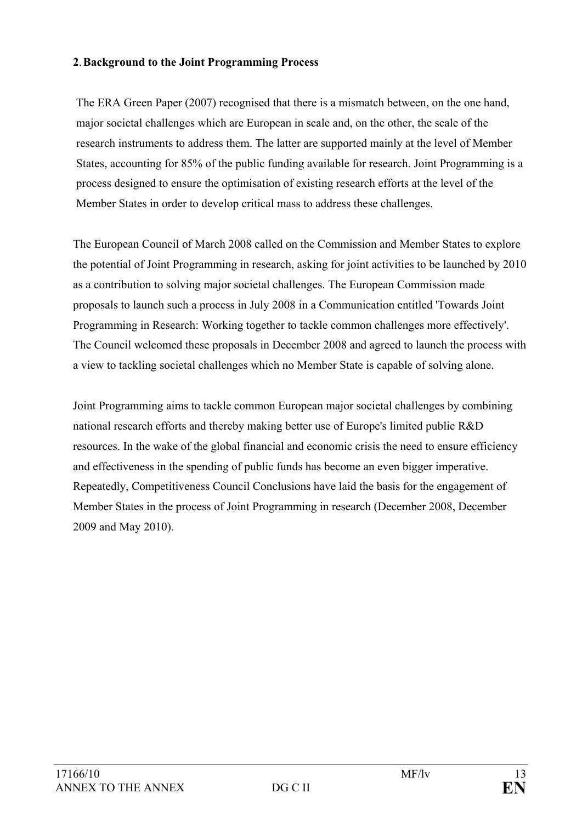### **2**. **Background to the Joint Programming Process**

The ERA Green Paper (2007) recognised that there is a mismatch between, on the one hand, major societal challenges which are European in scale and, on the other, the scale of the research instruments to address them. The latter are supported mainly at the level of Member States, accounting for 85% of the public funding available for research. Joint Programming is a process designed to ensure the optimisation of existing research efforts at the level of the Member States in order to develop critical mass to address these challenges.

The European Council of March 2008 called on the Commission and Member States to explore the potential of Joint Programming in research, asking for joint activities to be launched by 2010 as a contribution to solving major societal challenges. The European Commission made proposals to launch such a process in July 2008 in a Communication entitled 'Towards Joint Programming in Research: Working together to tackle common challenges more effectively'. The Council welcomed these proposals in December 2008 and agreed to launch the process with a view to tackling societal challenges which no Member State is capable of solving alone.

Joint Programming aims to tackle common European major societal challenges by combining national research efforts and thereby making better use of Europe's limited public R&D resources. In the wake of the global financial and economic crisis the need to ensure efficiency and effectiveness in the spending of public funds has become an even bigger imperative. Repeatedly, Competitiveness Council Conclusions have laid the basis for the engagement of Member States in the process of Joint Programming in research (December 2008, December 2009 and May 2010).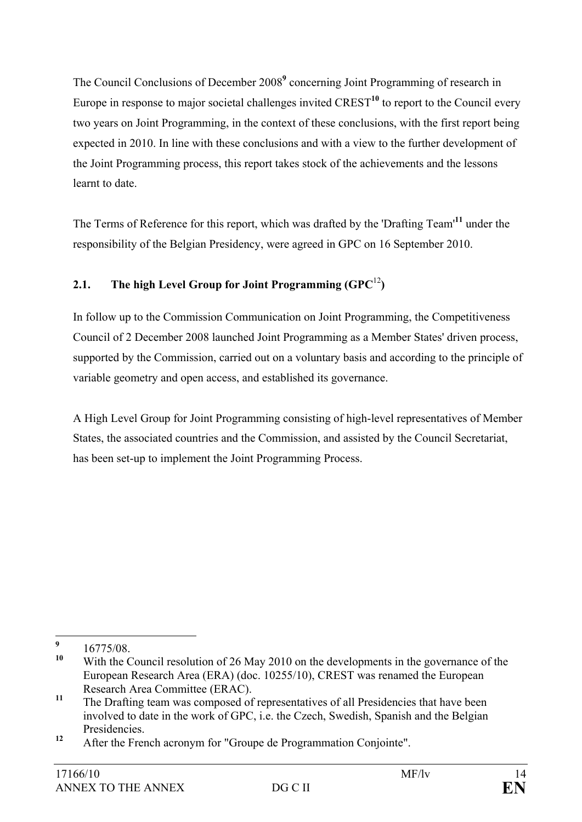The Council Conclusions of December 2008<sup>9</sup> concerning Joint Programming of research in Europe in response to major societal challenges invited CREST**<sup>10</sup>** to report to the Council every two years on Joint Programming, in the context of these conclusions, with the first report being expected in 2010. In line with these conclusions and with a view to the further development of the Joint Programming process, this report takes stock of the achievements and the lessons learnt to date.

The Terms of Reference for this report, which was drafted by the 'Drafting Team'**<sup>11</sup>** under the responsibility of the Belgian Presidency, were agreed in GPC on 16 September 2010.

## **2.1. The high Level Group for Joint Programming (GPC**<sup>12</sup>**)**

In follow up to the Commission Communication on Joint Programming, the Competitiveness Council of 2 December 2008 launched Joint Programming as a Member States' driven process, supported by the Commission, carried out on a voluntary basis and according to the principle of variable geometry and open access, and established its governance.

A High Level Group for Joint Programming consisting of high-level representatives of Member States, the associated countries and the Commission, and assisted by the Council Secretariat, has been set-up to implement the Joint Programming Process.

 **9**  $^{9}$  16775/08.

With the Council resolution of 26 May 2010 on the developments in the governance of the European Research Area (ERA) (doc. 10255/10), CREST was renamed the European Research Area Committee (ERAC).

<sup>&</sup>lt;sup>11</sup> The Drafting team was composed of representatives of all Presidencies that have been involved to date in the work of GPC, i.e. the Czech, Swedish, Spanish and the Belgian Presidencies.

**<sup>12</sup>** After the French acronym for "Groupe de Programmation Conjointe".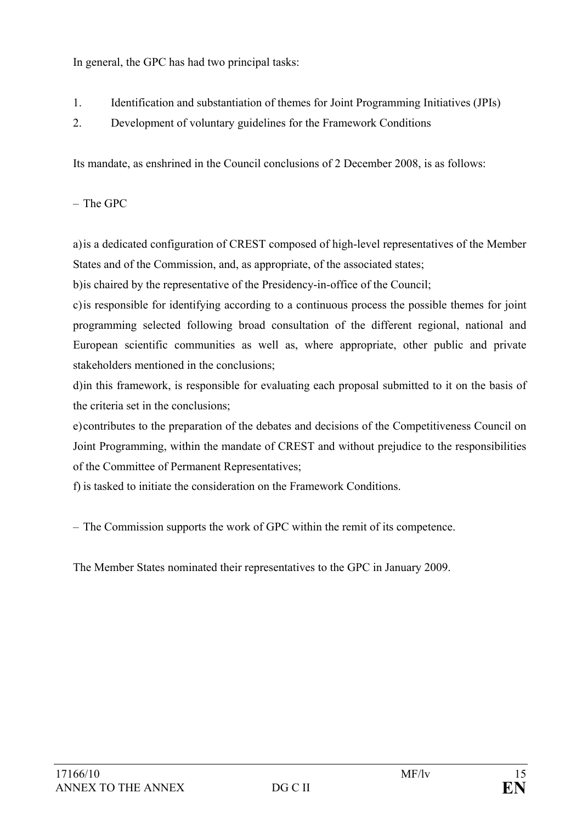In general, the GPC has had two principal tasks:

- 1. Identification and substantiation of themes for Joint Programming Initiatives (JPIs)
- 2. Development of voluntary guidelines for the Framework Conditions

Its mandate, as enshrined in the Council conclusions of 2 December 2008, is as follows:

– The GPC

a) is a dedicated configuration of CREST composed of high-level representatives of the Member States and of the Commission, and, as appropriate, of the associated states;

b) is chaired by the representative of the Presidency-in-office of the Council;

c) is responsible for identifying according to a continuous process the possible themes for joint programming selected following broad consultation of the different regional, national and European scientific communities as well as, where appropriate, other public and private stakeholders mentioned in the conclusions;

d) in this framework, is responsible for evaluating each proposal submitted to it on the basis of the criteria set in the conclusions;

e) contributes to the preparation of the debates and decisions of the Competitiveness Council on Joint Programming, within the mandate of CREST and without prejudice to the responsibilities of the Committee of Permanent Representatives;

f) is tasked to initiate the consideration on the Framework Conditions.

– The Commission supports the work of GPC within the remit of its competence.

The Member States nominated their representatives to the GPC in January 2009.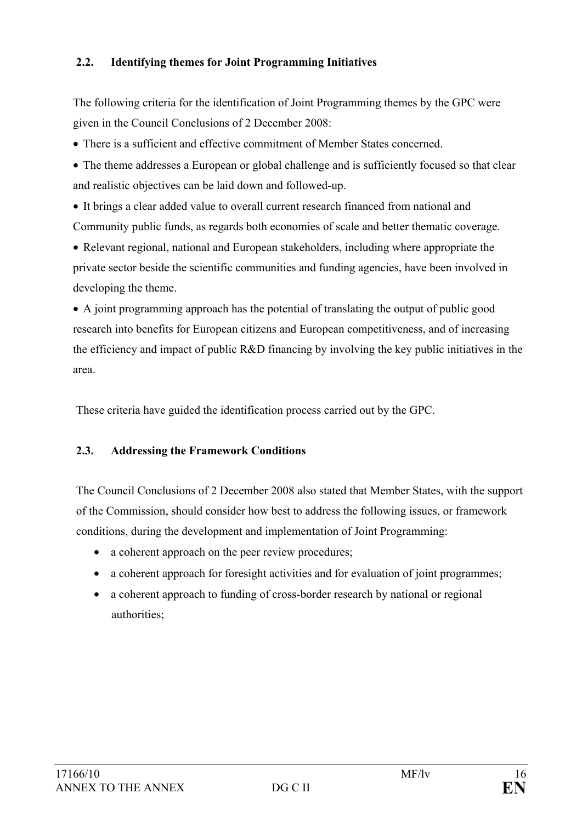## **2.2. Identifying themes for Joint Programming Initiatives**

The following criteria for the identification of Joint Programming themes by the GPC were given in the Council Conclusions of 2 December 2008:

• There is a sufficient and effective commitment of Member States concerned.

• The theme addresses a European or global challenge and is sufficiently focused so that clear and realistic objectives can be laid down and followed-up.

• It brings a clear added value to overall current research financed from national and Community public funds, as regards both economies of scale and better thematic coverage.

• Relevant regional, national and European stakeholders, including where appropriate the private sector beside the scientific communities and funding agencies, have been involved in developing the theme.

• A joint programming approach has the potential of translating the output of public good research into benefits for European citizens and European competitiveness, and of increasing the efficiency and impact of public R&D financing by involving the key public initiatives in the area.

These criteria have guided the identification process carried out by the GPC.

## **2.3. Addressing the Framework Conditions**

The Council Conclusions of 2 December 2008 also stated that Member States, with the support of the Commission, should consider how best to address the following issues, or framework conditions, during the development and implementation of Joint Programming:

- a coherent approach on the peer review procedures;
- a coherent approach for foresight activities and for evaluation of joint programmes;
- a coherent approach to funding of cross-border research by national or regional authorities;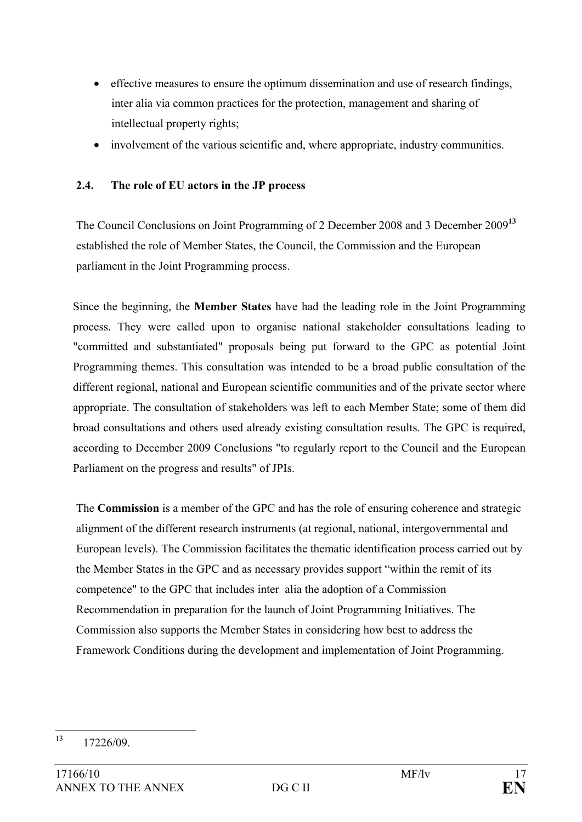- effective measures to ensure the optimum dissemination and use of research findings, inter alia via common practices for the protection, management and sharing of intellectual property rights;
- involvement of the various scientific and, where appropriate, industry communities.

## **2.4. The role of EU actors in the JP process**

The Council Conclusions on Joint Programming of 2 December 2008 and 3 December 2009**<sup>13</sup>** established the role of Member States, the Council, the Commission and the European parliament in the Joint Programming process.

Since the beginning, the **Member States** have had the leading role in the Joint Programming process. They were called upon to organise national stakeholder consultations leading to "committed and substantiated" proposals being put forward to the GPC as potential Joint Programming themes. This consultation was intended to be a broad public consultation of the different regional, national and European scientific communities and of the private sector where appropriate. The consultation of stakeholders was left to each Member State; some of them did broad consultations and others used already existing consultation results. The GPC is required, according to December 2009 Conclusions "to regularly report to the Council and the European Parliament on the progress and results" of JPIs.

The **Commission** is a member of the GPC and has the role of ensuring coherence and strategic alignment of the different research instruments (at regional, national, intergovernmental and European levels). The Commission facilitates the thematic identification process carried out by the Member States in the GPC and as necessary provides support "within the remit of its competence" to the GPC that includes inter alia the adoption of a Commission Recommendation in preparation for the launch of Joint Programming Initiatives. The Commission also supports the Member States in considering how best to address the Framework Conditions during the development and implementation of Joint Programming.

 $13$ 13 17226/09.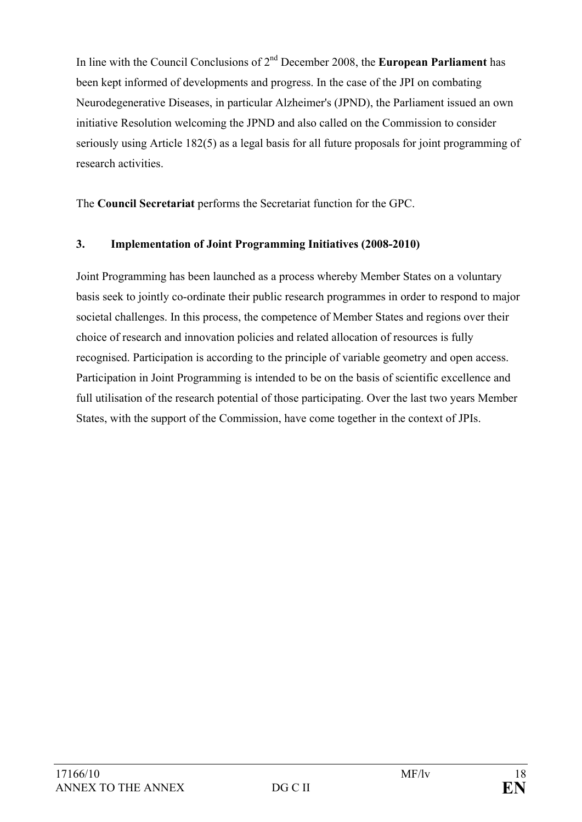In line with the Council Conclusions of 2nd December 2008, the **European Parliament** has been kept informed of developments and progress. In the case of the JPI on combating Neurodegenerative Diseases, in particular Alzheimer's (JPND), the Parliament issued an own initiative Resolution welcoming the JPND and also called on the Commission to consider seriously using Article 182(5) as a legal basis for all future proposals for joint programming of research activities.

The **Council Secretariat** performs the Secretariat function for the GPC.

## **3. Implementation of Joint Programming Initiatives (2008-2010)**

Joint Programming has been launched as a process whereby Member States on a voluntary basis seek to jointly co-ordinate their public research programmes in order to respond to major societal challenges. In this process, the competence of Member States and regions over their choice of research and innovation policies and related allocation of resources is fully recognised. Participation is according to the principle of variable geometry and open access. Participation in Joint Programming is intended to be on the basis of scientific excellence and full utilisation of the research potential of those participating. Over the last two years Member States, with the support of the Commission, have come together in the context of JPIs.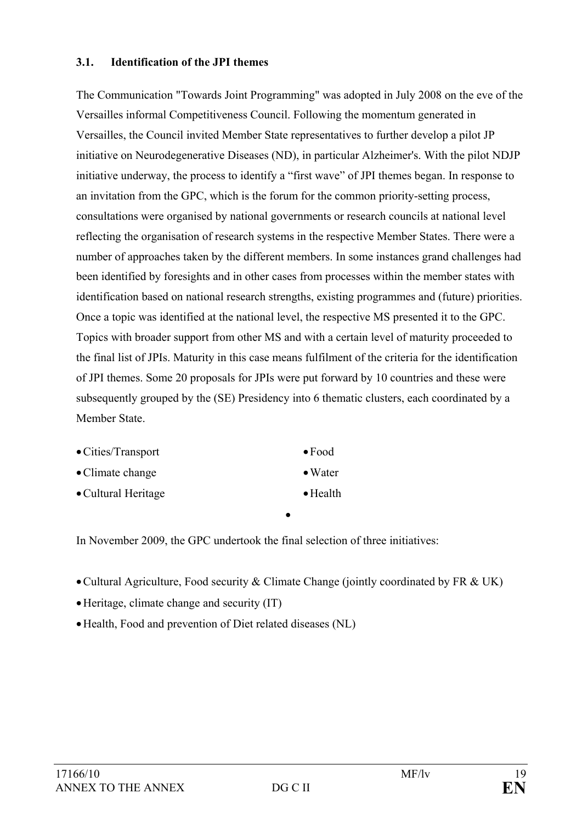#### **3.1. Identification of the JPI themes**

The Communication "Towards Joint Programming" was adopted in July 2008 on the eve of the Versailles informal Competitiveness Council. Following the momentum generated in Versailles, the Council invited Member State representatives to further develop a pilot JP initiative on Neurodegenerative Diseases (ND), in particular Alzheimer's. With the pilot NDJP initiative underway, the process to identify a "first wave" of JPI themes began. In response to an invitation from the GPC, which is the forum for the common priority-setting process, consultations were organised by national governments or research councils at national level reflecting the organisation of research systems in the respective Member States. There were a number of approaches taken by the different members. In some instances grand challenges had been identified by foresights and in other cases from processes within the member states with identification based on national research strengths, existing programmes and (future) priorities. Once a topic was identified at the national level, the respective MS presented it to the GPC. Topics with broader support from other MS and with a certain level of maturity proceeded to the final list of JPIs. Maturity in this case means fulfilment of the criteria for the identification of JPI themes. Some 20 proposals for JPIs were put forward by 10 countries and these were subsequently grouped by the (SE) Presidency into 6 thematic clusters, each coordinated by a Member State.

| • Cities/Transport       | $\bullet$ Food   |
|--------------------------|------------------|
| $\bullet$ Climate change | $\bullet$ Water  |
| • Cultural Heritage      | $\bullet$ Health |

In November 2009, the GPC undertook the final selection of three initiatives:

•Cultural Agriculture, Food security & Climate Change (jointly coordinated by FR & UK)

•

- •Heritage, climate change and security (IT)
- •Health, Food and prevention of Diet related diseases (NL)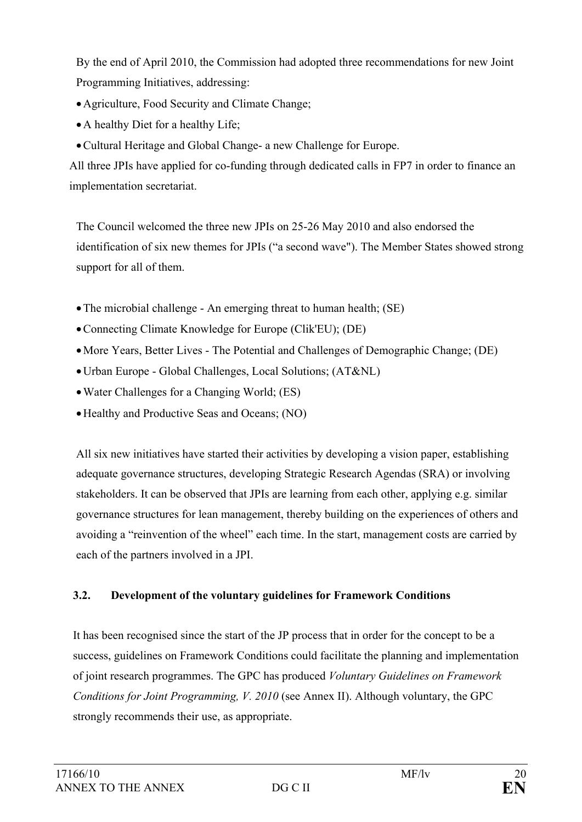By the end of April 2010, the Commission had adopted three recommendations for new Joint Programming Initiatives, addressing:

- •Agriculture, Food Security and Climate Change;
- A healthy Diet for a healthy Life:
- •Cultural Heritage and Global Change- a new Challenge for Europe.

All three JPIs have applied for co-funding through dedicated calls in FP7 in order to finance an implementation secretariat.

The Council welcomed the three new JPIs on 25-26 May 2010 and also endorsed the identification of six new themes for JPIs ("a second wave"). The Member States showed strong support for all of them.

- The microbial challenge An emerging threat to human health; (SE)
- •Connecting Climate Knowledge for Europe (Clik'EU); (DE)
- •More Years, Better Lives The Potential and Challenges of Demographic Change; (DE)
- •Urban Europe Global Challenges, Local Solutions; (AT&NL)
- Water Challenges for a Changing World: (ES)
- •Healthy and Productive Seas and Oceans; (NO)

All six new initiatives have started their activities by developing a vision paper, establishing adequate governance structures, developing Strategic Research Agendas (SRA) or involving stakeholders. It can be observed that JPIs are learning from each other, applying e.g. similar governance structures for lean management, thereby building on the experiences of others and avoiding a "reinvention of the wheel" each time. In the start, management costs are carried by each of the partners involved in a JPI.

## **3.2. Development of the voluntary guidelines for Framework Conditions**

It has been recognised since the start of the JP process that in order for the concept to be a success, guidelines on Framework Conditions could facilitate the planning and implementation of joint research programmes. The GPC has produced *Voluntary Guidelines on Framework Conditions for Joint Programming, V. 2010* (see Annex II). Although voluntary, the GPC strongly recommends their use, as appropriate.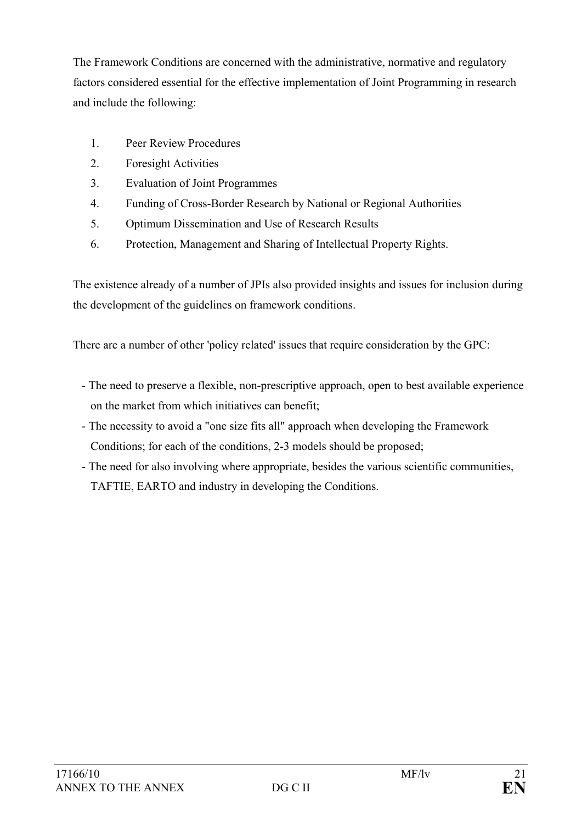The Framework Conditions are concerned with the administrative, normative and regulatory factors considered essential for the effective implementation of Joint Programming in research and include the following:

- 1. Peer Review Procedures
- 2. Foresight Activities
- 3. Evaluation of Joint Programmes
- 4. Funding of Cross-Border Research by National or Regional Authorities
- 5. Optimum Dissemination and Use of Research Results
- 6. Protection, Management and Sharing of Intellectual Property Rights.

The existence already of a number of JPIs also provided insights and issues for inclusion during the development of the guidelines on framework conditions.

There are a number of other 'policy related' issues that require consideration by the GPC:

- The need to preserve a flexible, non-prescriptive approach, open to best available experience on the market from which initiatives can benefit;
- The necessity to avoid a "one size fits all" approach when developing the Framework Conditions; for each of the conditions, 2-3 models should be proposed;
- The need for also involving where appropriate, besides the various scientific communities, TAFTIE, EARTO and industry in developing the Conditions.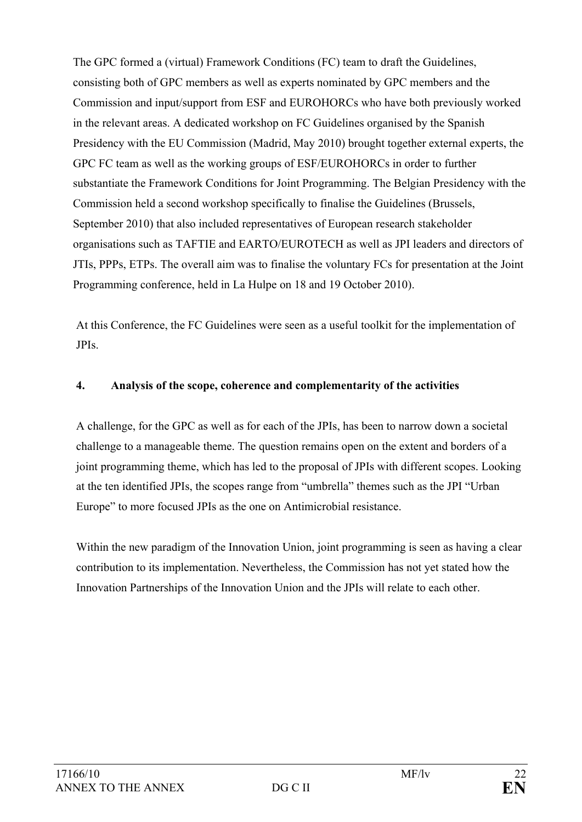The GPC formed a (virtual) Framework Conditions (FC) team to draft the Guidelines, consisting both of GPC members as well as experts nominated by GPC members and the Commission and input/support from ESF and EUROHORCs who have both previously worked in the relevant areas. A dedicated workshop on FC Guidelines organised by the Spanish Presidency with the EU Commission (Madrid, May 2010) brought together external experts, the GPC FC team as well as the working groups of ESF/EUROHORCs in order to further substantiate the Framework Conditions for Joint Programming. The Belgian Presidency with the Commission held a second workshop specifically to finalise the Guidelines (Brussels, September 2010) that also included representatives of European research stakeholder organisations such as TAFTIE and EARTO/EUROTECH as well as JPI leaders and directors of JTIs, PPPs, ETPs. The overall aim was to finalise the voluntary FCs for presentation at the Joint Programming conference, held in La Hulpe on 18 and 19 October 2010).

At this Conference, the FC Guidelines were seen as a useful toolkit for the implementation of JPIs.

## **4. Analysis of the scope, coherence and complementarity of the activities**

A challenge, for the GPC as well as for each of the JPIs, has been to narrow down a societal challenge to a manageable theme. The question remains open on the extent and borders of a joint programming theme, which has led to the proposal of JPIs with different scopes. Looking at the ten identified JPIs, the scopes range from "umbrella" themes such as the JPI "Urban Europe" to more focused JPIs as the one on Antimicrobial resistance.

Within the new paradigm of the Innovation Union, joint programming is seen as having a clear contribution to its implementation. Nevertheless, the Commission has not yet stated how the Innovation Partnerships of the Innovation Union and the JPIs will relate to each other.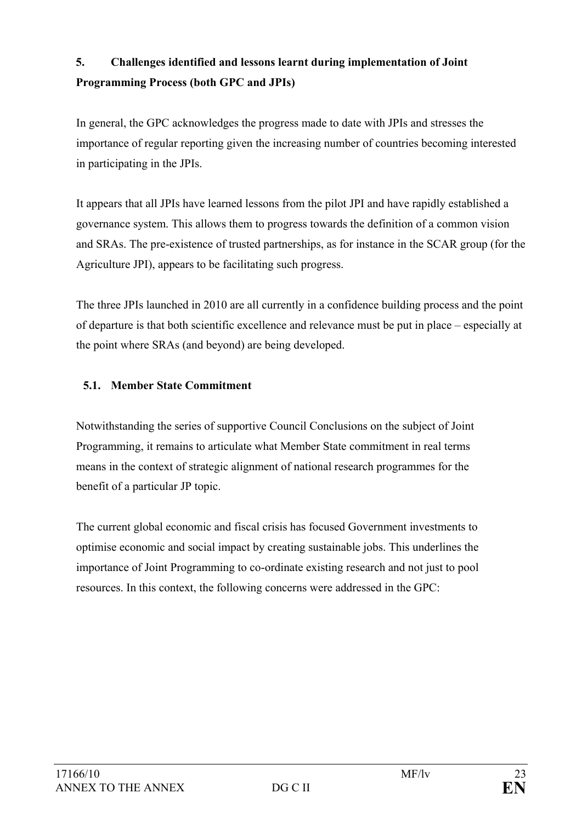# **5. Challenges identified and lessons learnt during implementation of Joint Programming Process (both GPC and JPIs)**

In general, the GPC acknowledges the progress made to date with JPIs and stresses the importance of regular reporting given the increasing number of countries becoming interested in participating in the JPIs.

It appears that all JPIs have learned lessons from the pilot JPI and have rapidly established a governance system. This allows them to progress towards the definition of a common vision and SRAs. The pre-existence of trusted partnerships, as for instance in the SCAR group (for the Agriculture JPI), appears to be facilitating such progress.

The three JPIs launched in 2010 are all currently in a confidence building process and the point of departure is that both scientific excellence and relevance must be put in place – especially at the point where SRAs (and beyond) are being developed.

## **5.1. Member State Commitment**

Notwithstanding the series of supportive Council Conclusions on the subject of Joint Programming, it remains to articulate what Member State commitment in real terms means in the context of strategic alignment of national research programmes for the benefit of a particular JP topic.

The current global economic and fiscal crisis has focused Government investments to optimise economic and social impact by creating sustainable jobs. This underlines the importance of Joint Programming to co-ordinate existing research and not just to pool resources. In this context, the following concerns were addressed in the GPC: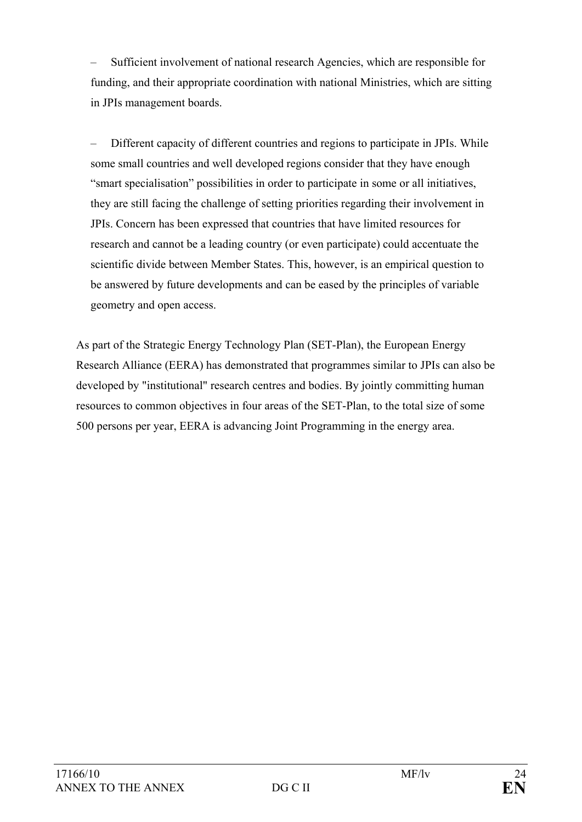– Sufficient involvement of national research Agencies, which are responsible for funding, and their appropriate coordination with national Ministries, which are sitting in JPIs management boards.

– Different capacity of different countries and regions to participate in JPIs. While some small countries and well developed regions consider that they have enough "smart specialisation" possibilities in order to participate in some or all initiatives, they are still facing the challenge of setting priorities regarding their involvement in JPIs. Concern has been expressed that countries that have limited resources for research and cannot be a leading country (or even participate) could accentuate the scientific divide between Member States. This, however, is an empirical question to be answered by future developments and can be eased by the principles of variable geometry and open access.

As part of the Strategic Energy Technology Plan (SET-Plan), the European Energy Research Alliance (EERA) has demonstrated that programmes similar to JPIs can also be developed by "institutional" research centres and bodies. By jointly committing human resources to common objectives in four areas of the SET-Plan, to the total size of some 500 persons per year, EERA is advancing Joint Programming in the energy area.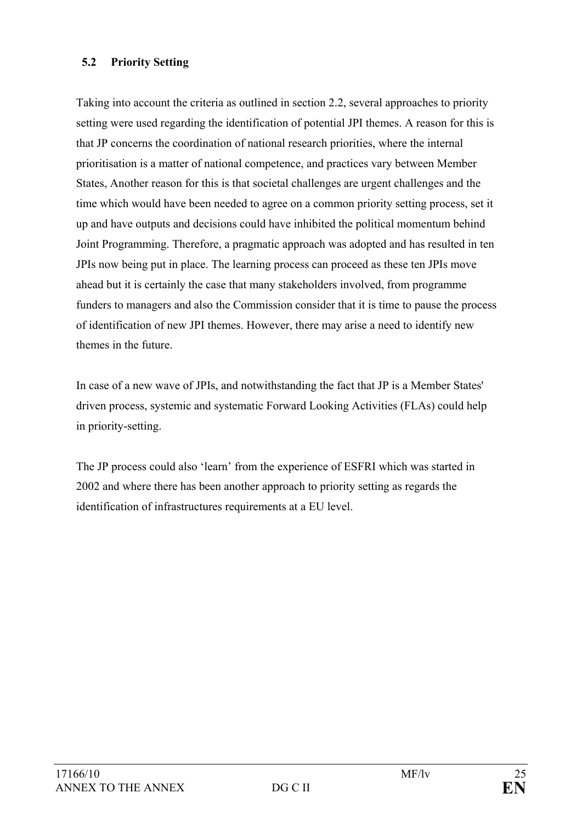### **5.2 Priority Setting**

Taking into account the criteria as outlined in section 2.2, several approaches to priority setting were used regarding the identification of potential JPI themes. A reason for this is that JP concerns the coordination of national research priorities, where the internal prioritisation is a matter of national competence, and practices vary between Member States, Another reason for this is that societal challenges are urgent challenges and the time which would have been needed to agree on a common priority setting process, set it up and have outputs and decisions could have inhibited the political momentum behind Joint Programming. Therefore, a pragmatic approach was adopted and has resulted in ten JPIs now being put in place. The learning process can proceed as these ten JPIs move ahead but it is certainly the case that many stakeholders involved, from programme funders to managers and also the Commission consider that it is time to pause the process of identification of new JPI themes. However, there may arise a need to identify new themes in the future.

In case of a new wave of JPIs, and notwithstanding the fact that JP is a Member States' driven process, systemic and systematic Forward Looking Activities (FLAs) could help in priority-setting.

The JP process could also 'learn' from the experience of ESFRI which was started in 2002 and where there has been another approach to priority setting as regards the identification of infrastructures requirements at a EU level.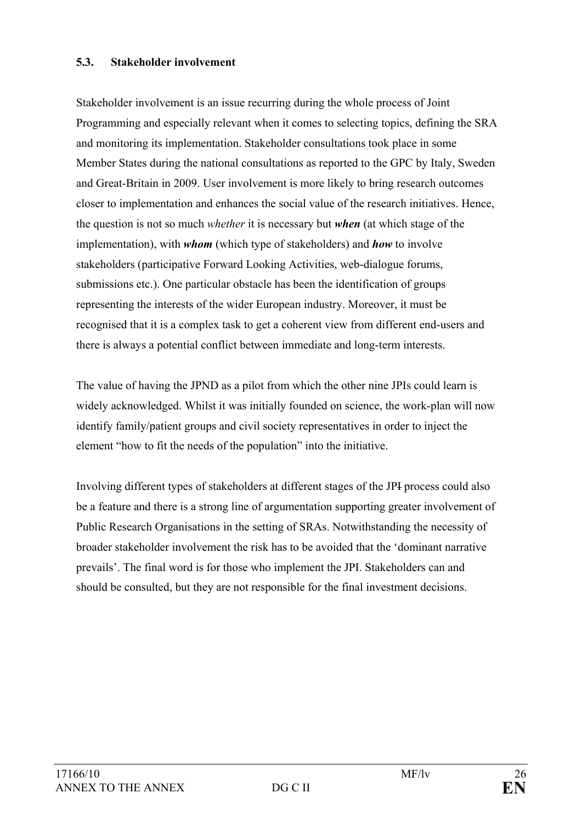#### **5.3. Stakeholder involvement**

Stakeholder involvement is an issue recurring during the whole process of Joint Programming and especially relevant when it comes to selecting topics, defining the SRA and monitoring its implementation. Stakeholder consultations took place in some Member States during the national consultations as reported to the GPC by Italy, Sweden and Great-Britain in 2009. User involvement is more likely to bring research outcomes closer to implementation and enhances the social value of the research initiatives. Hence, the question is not so much *whether* it is necessary but *when* (at which stage of the implementation), with *whom* (which type of stakeholders) and *how* to involve stakeholders (participative Forward Looking Activities, web-dialogue forums, submissions etc.). One particular obstacle has been the identification of groups representing the interests of the wider European industry. Moreover, it must be recognised that it is a complex task to get a coherent view from different end-users and there is always a potential conflict between immediate and long-term interests.

The value of having the JPND as a pilot from which the other nine JPIs could learn is widely acknowledged. Whilst it was initially founded on science, the work-plan will now identify family/patient groups and civil society representatives in order to inject the element "how to fit the needs of the population" into the initiative.

Involving different types of stakeholders at different stages of the JPI process could also be a feature and there is a strong line of argumentation supporting greater involvement of Public Research Organisations in the setting of SRAs. Notwithstanding the necessity of broader stakeholder involvement the risk has to be avoided that the 'dominant narrative prevails'. The final word is for those who implement the JPI. Stakeholders can and should be consulted, but they are not responsible for the final investment decisions.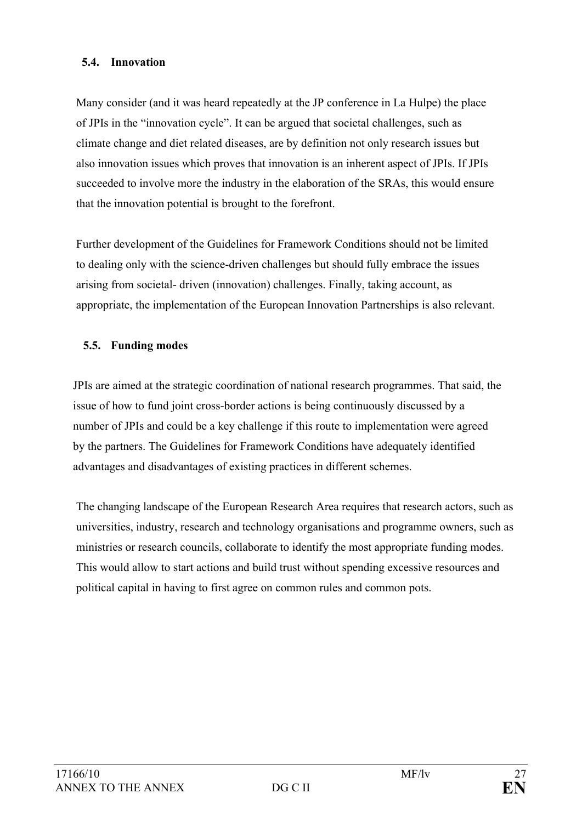#### **5.4. Innovation**

Many consider (and it was heard repeatedly at the JP conference in La Hulpe) the place of JPIs in the "innovation cycle". It can be argued that societal challenges, such as climate change and diet related diseases, are by definition not only research issues but also innovation issues which proves that innovation is an inherent aspect of JPIs. If JPIs succeeded to involve more the industry in the elaboration of the SRAs, this would ensure that the innovation potential is brought to the forefront.

Further development of the Guidelines for Framework Conditions should not be limited to dealing only with the science-driven challenges but should fully embrace the issues arising from societal- driven (innovation) challenges. Finally, taking account, as appropriate, the implementation of the European Innovation Partnerships is also relevant.

## **5.5. Funding modes**

JPIs are aimed at the strategic coordination of national research programmes. That said, the issue of how to fund joint cross-border actions is being continuously discussed by a number of JPIs and could be a key challenge if this route to implementation were agreed by the partners. The Guidelines for Framework Conditions have adequately identified advantages and disadvantages of existing practices in different schemes.

The changing landscape of the European Research Area requires that research actors, such as universities, industry, research and technology organisations and programme owners, such as ministries or research councils, collaborate to identify the most appropriate funding modes. This would allow to start actions and build trust without spending excessive resources and political capital in having to first agree on common rules and common pots.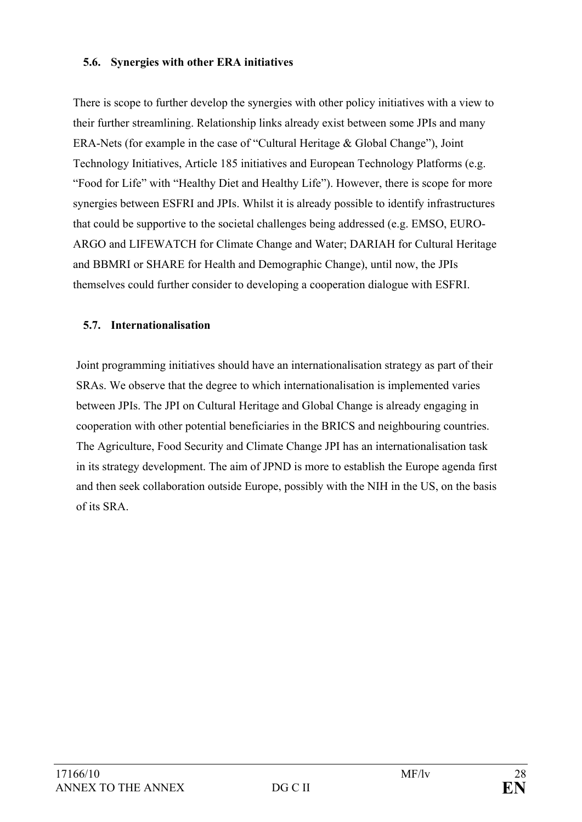#### **5.6. Synergies with other ERA initiatives**

There is scope to further develop the synergies with other policy initiatives with a view to their further streamlining. Relationship links already exist between some JPIs and many ERA-Nets (for example in the case of "Cultural Heritage & Global Change"), Joint Technology Initiatives, Article 185 initiatives and European Technology Platforms (e.g. "Food for Life" with "Healthy Diet and Healthy Life"). However, there is scope for more synergies between ESFRI and JPIs. Whilst it is already possible to identify infrastructures that could be supportive to the societal challenges being addressed (e.g. EMSO, EURO-ARGO and LIFEWATCH for Climate Change and Water; DARIAH for Cultural Heritage and BBMRI or SHARE for Health and Demographic Change), until now, the JPIs themselves could further consider to developing a cooperation dialogue with ESFRI.

## **5.7. Internationalisation**

Joint programming initiatives should have an internationalisation strategy as part of their SRAs. We observe that the degree to which internationalisation is implemented varies between JPIs. The JPI on Cultural Heritage and Global Change is already engaging in cooperation with other potential beneficiaries in the BRICS and neighbouring countries. The Agriculture, Food Security and Climate Change JPI has an internationalisation task in its strategy development. The aim of JPND is more to establish the Europe agenda first and then seek collaboration outside Europe, possibly with the NIH in the US, on the basis of its SRA.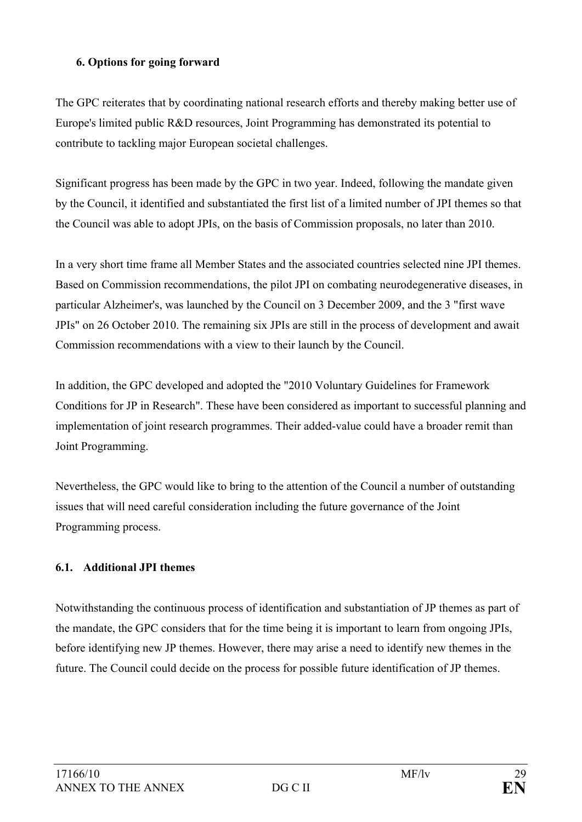### **6. Options for going forward**

The GPC reiterates that by coordinating national research efforts and thereby making better use of Europe's limited public R&D resources, Joint Programming has demonstrated its potential to contribute to tackling major European societal challenges.

Significant progress has been made by the GPC in two year. Indeed, following the mandate given by the Council, it identified and substantiated the first list of a limited number of JPI themes so that the Council was able to adopt JPIs, on the basis of Commission proposals, no later than 2010.

In a very short time frame all Member States and the associated countries selected nine JPI themes. Based on Commission recommendations, the pilot JPI on combating neurodegenerative diseases, in particular Alzheimer's, was launched by the Council on 3 December 2009, and the 3 "first wave JPIs" on 26 October 2010. The remaining six JPIs are still in the process of development and await Commission recommendations with a view to their launch by the Council.

In addition, the GPC developed and adopted the "2010 Voluntary Guidelines for Framework Conditions for JP in Research". These have been considered as important to successful planning and implementation of joint research programmes. Their added-value could have a broader remit than Joint Programming.

Nevertheless, the GPC would like to bring to the attention of the Council a number of outstanding issues that will need careful consideration including the future governance of the Joint Programming process.

## **6.1. Additional JPI themes**

Notwithstanding the continuous process of identification and substantiation of JP themes as part of the mandate, the GPC considers that for the time being it is important to learn from ongoing JPIs, before identifying new JP themes. However, there may arise a need to identify new themes in the future. The Council could decide on the process for possible future identification of JP themes.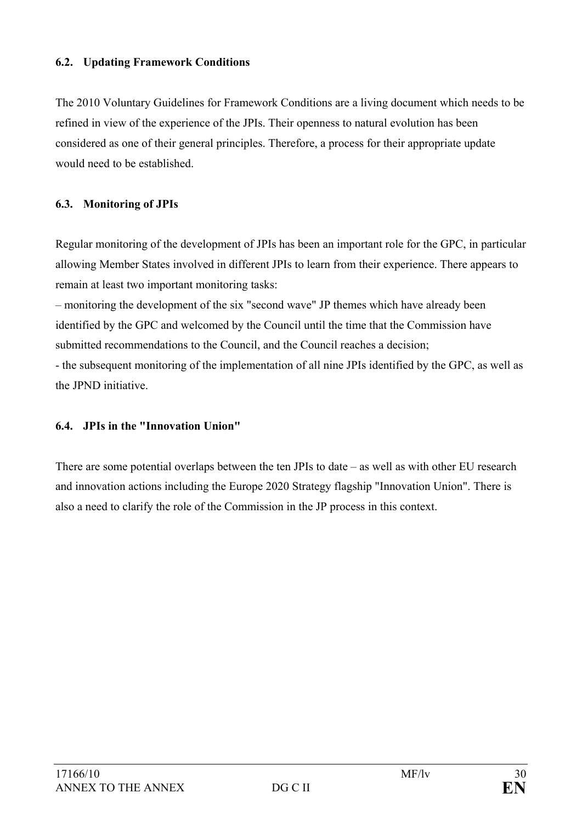The 2010 Voluntary Guidelines for Framework Conditions are a living document which needs to be refined in view of the experience of the JPIs. Their openness to natural evolution has been considered as one of their general principles. Therefore, a process for their appropriate update would need to be established.

## **6.3. Monitoring of JPIs**

Regular monitoring of the development of JPIs has been an important role for the GPC, in particular allowing Member States involved in different JPIs to learn from their experience. There appears to remain at least two important monitoring tasks:

– monitoring the development of the six "second wave" JP themes which have already been identified by the GPC and welcomed by the Council until the time that the Commission have submitted recommendations to the Council, and the Council reaches a decision;

- the subsequent monitoring of the implementation of all nine JPIs identified by the GPC, as well as the JPND initiative.

## **6.4. JPIs in the "Innovation Union"**

There are some potential overlaps between the ten JPIs to date – as well as with other EU research and innovation actions including the Europe 2020 Strategy flagship "Innovation Union". There is also a need to clarify the role of the Commission in the JP process in this context.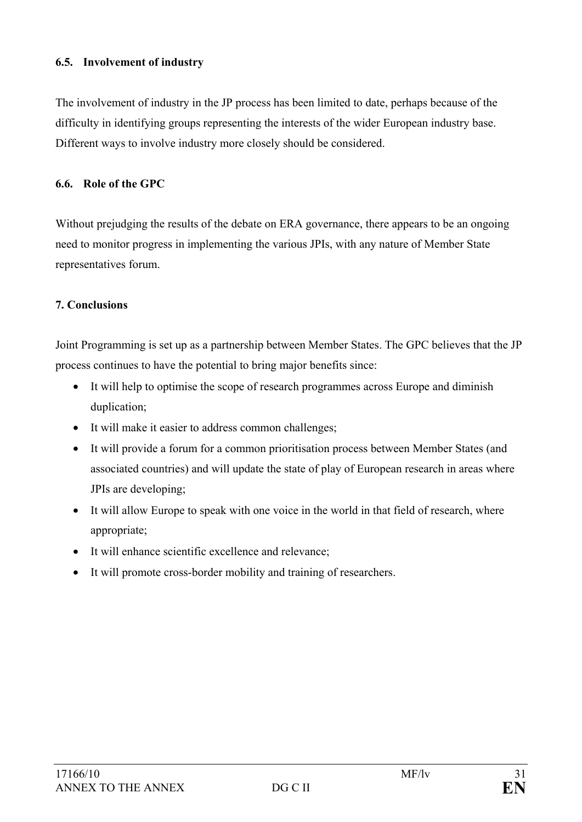#### **6.5. Involvement of industry**

The involvement of industry in the JP process has been limited to date, perhaps because of the difficulty in identifying groups representing the interests of the wider European industry base. Different ways to involve industry more closely should be considered.

### **6.6. Role of the GPC**

Without prejudging the results of the debate on ERA governance, there appears to be an ongoing need to monitor progress in implementing the various JPIs, with any nature of Member State representatives forum.

### **7. Conclusions**

Joint Programming is set up as a partnership between Member States. The GPC believes that the JP process continues to have the potential to bring major benefits since:

- It will help to optimise the scope of research programmes across Europe and diminish duplication;
- It will make it easier to address common challenges;
- It will provide a forum for a common prioritisation process between Member States (and associated countries) and will update the state of play of European research in areas where JPIs are developing;
- It will allow Europe to speak with one voice in the world in that field of research, where appropriate;
- It will enhance scientific excellence and relevance;
- It will promote cross-border mobility and training of researchers.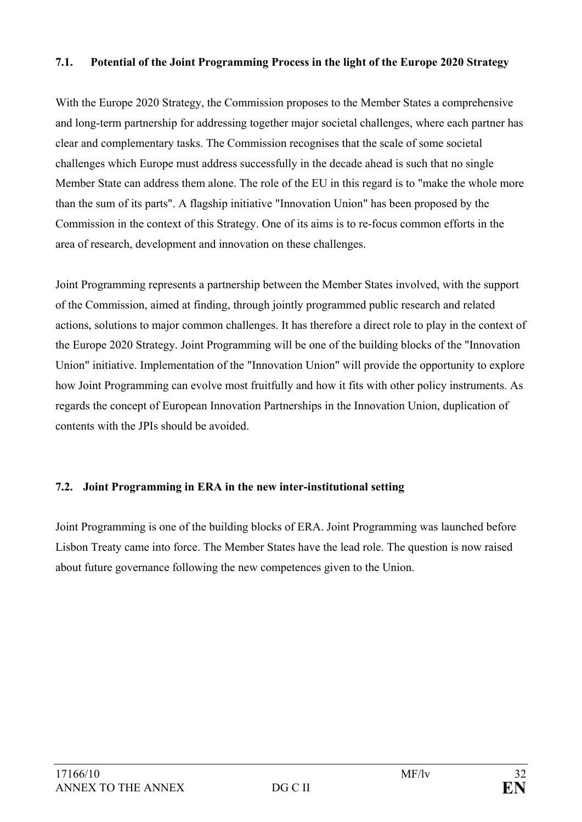#### **7.1. Potential of the Joint Programming Process in the light of the Europe 2020 Strategy**

With the Europe 2020 Strategy, the Commission proposes to the Member States a comprehensive and long-term partnership for addressing together major societal challenges, where each partner has clear and complementary tasks. The Commission recognises that the scale of some societal challenges which Europe must address successfully in the decade ahead is such that no single Member State can address them alone. The role of the EU in this regard is to "make the whole more than the sum of its parts". A flagship initiative "Innovation Union" has been proposed by the Commission in the context of this Strategy. One of its aims is to re-focus common efforts in the area of research, development and innovation on these challenges.

Joint Programming represents a partnership between the Member States involved, with the support of the Commission, aimed at finding, through jointly programmed public research and related actions, solutions to major common challenges. It has therefore a direct role to play in the context of the Europe 2020 Strategy. Joint Programming will be one of the building blocks of the "Innovation Union" initiative. Implementation of the "Innovation Union" will provide the opportunity to explore how Joint Programming can evolve most fruitfully and how it fits with other policy instruments. As regards the concept of European Innovation Partnerships in the Innovation Union, duplication of contents with the JPIs should be avoided.

## **7.2. Joint Programming in ERA in the new inter-institutional setting**

Joint Programming is one of the building blocks of ERA. Joint Programming was launched before Lisbon Treaty came into force. The Member States have the lead role. The question is now raised about future governance following the new competences given to the Union.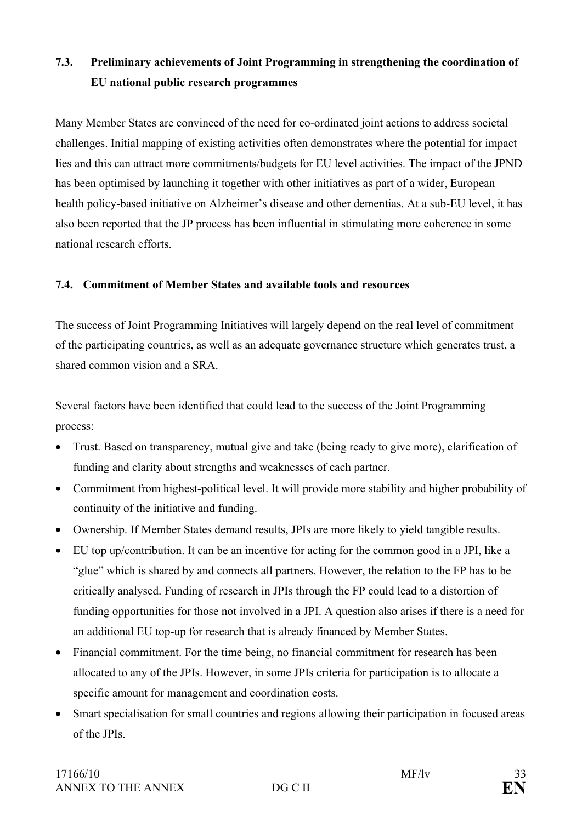# **7.3. Preliminary achievements of Joint Programming in strengthening the coordination of EU national public research programmes**

Many Member States are convinced of the need for co-ordinated joint actions to address societal challenges. Initial mapping of existing activities often demonstrates where the potential for impact lies and this can attract more commitments/budgets for EU level activities. The impact of the JPND has been optimised by launching it together with other initiatives as part of a wider, European health policy-based initiative on Alzheimer's disease and other dementias. At a sub-EU level, it has also been reported that the JP process has been influential in stimulating more coherence in some national research efforts.

## **7.4. Commitment of Member States and available tools and resources**

The success of Joint Programming Initiatives will largely depend on the real level of commitment of the participating countries, as well as an adequate governance structure which generates trust, a shared common vision and a SRA.

Several factors have been identified that could lead to the success of the Joint Programming process:

- Trust. Based on transparency, mutual give and take (being ready to give more), clarification of funding and clarity about strengths and weaknesses of each partner.
- Commitment from highest-political level. It will provide more stability and higher probability of continuity of the initiative and funding.
- Ownership. If Member States demand results, JPIs are more likely to yield tangible results.
- EU top up/contribution. It can be an incentive for acting for the common good in a JPI, like a "glue" which is shared by and connects all partners. However, the relation to the FP has to be critically analysed. Funding of research in JPIs through the FP could lead to a distortion of funding opportunities for those not involved in a JPI. A question also arises if there is a need for an additional EU top-up for research that is already financed by Member States.
- Financial commitment. For the time being, no financial commitment for research has been allocated to any of the JPIs. However, in some JPIs criteria for participation is to allocate a specific amount for management and coordination costs.
- Smart specialisation for small countries and regions allowing their participation in focused areas of the JPIs.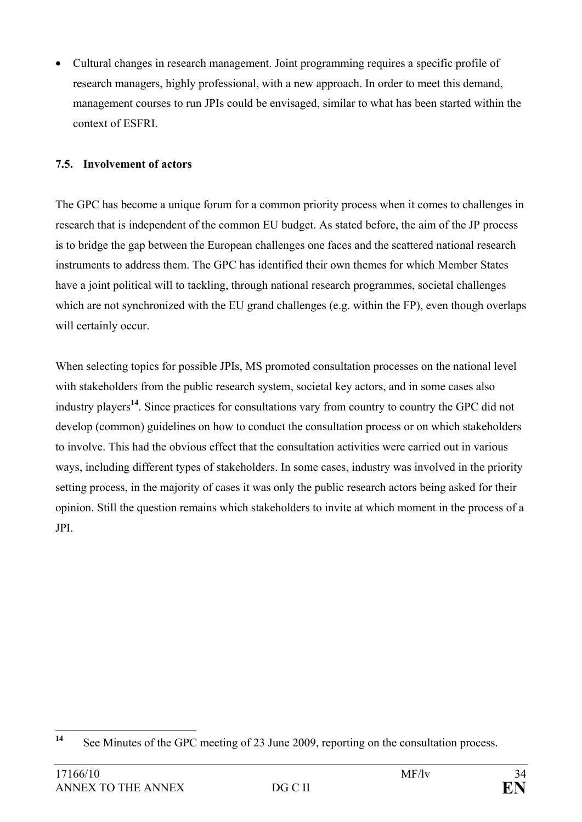• Cultural changes in research management. Joint programming requires a specific profile of research managers, highly professional, with a new approach. In order to meet this demand, management courses to run JPIs could be envisaged, similar to what has been started within the context of ESFRI.

## **7.5. Involvement of actors**

The GPC has become a unique forum for a common priority process when it comes to challenges in research that is independent of the common EU budget. As stated before, the aim of the JP process is to bridge the gap between the European challenges one faces and the scattered national research instruments to address them. The GPC has identified their own themes for which Member States have a joint political will to tackling, through national research programmes, societal challenges which are not synchronized with the EU grand challenges (e.g. within the FP), even though overlaps will certainly occur.

When selecting topics for possible JPIs, MS promoted consultation processes on the national level with stakeholders from the public research system, societal key actors, and in some cases also industry players**<sup>14</sup>**. Since practices for consultations vary from country to country the GPC did not develop (common) guidelines on how to conduct the consultation process or on which stakeholders to involve. This had the obvious effect that the consultation activities were carried out in various ways, including different types of stakeholders. In some cases, industry was involved in the priority setting process, in the majority of cases it was only the public research actors being asked for their opinion. Still the question remains which stakeholders to invite at which moment in the process of a JPI.

<sup>14</sup> See Minutes of the GPC meeting of 23 June 2009, reporting on the consultation process.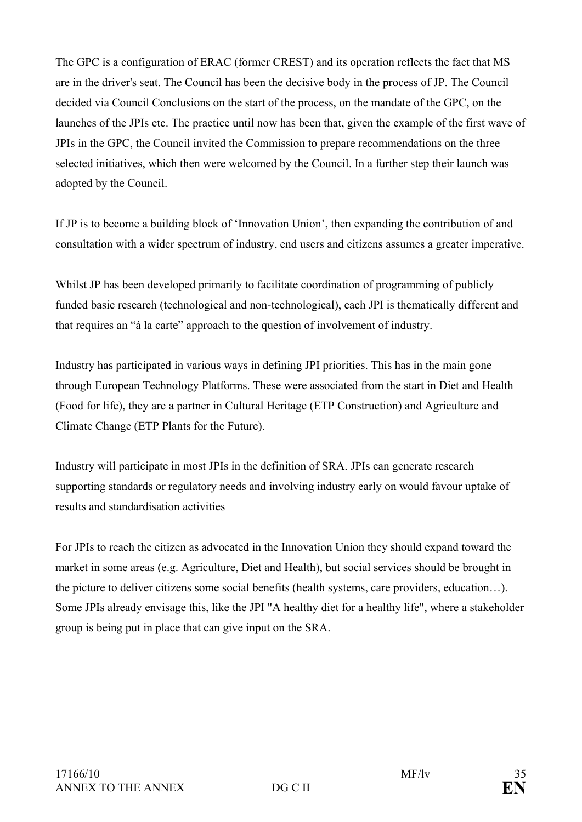The GPC is a configuration of ERAC (former CREST) and its operation reflects the fact that MS are in the driver's seat. The Council has been the decisive body in the process of JP. The Council decided via Council Conclusions on the start of the process, on the mandate of the GPC, on the launches of the JPIs etc. The practice until now has been that, given the example of the first wave of JPIs in the GPC, the Council invited the Commission to prepare recommendations on the three selected initiatives, which then were welcomed by the Council. In a further step their launch was adopted by the Council.

If JP is to become a building block of 'Innovation Union', then expanding the contribution of and consultation with a wider spectrum of industry, end users and citizens assumes a greater imperative.

Whilst JP has been developed primarily to facilitate coordination of programming of publicly funded basic research (technological and non-technological), each JPI is thematically different and that requires an "á la carte" approach to the question of involvement of industry.

Industry has participated in various ways in defining JPI priorities. This has in the main gone through European Technology Platforms. These were associated from the start in Diet and Health (Food for life), they are a partner in Cultural Heritage (ETP Construction) and Agriculture and Climate Change (ETP Plants for the Future).

Industry will participate in most JPIs in the definition of SRA. JPIs can generate research supporting standards or regulatory needs and involving industry early on would favour uptake of results and standardisation activities

For JPIs to reach the citizen as advocated in the Innovation Union they should expand toward the market in some areas (e.g. Agriculture, Diet and Health), but social services should be brought in the picture to deliver citizens some social benefits (health systems, care providers, education…). Some JPIs already envisage this, like the JPI "A healthy diet for a healthy life", where a stakeholder group is being put in place that can give input on the SRA.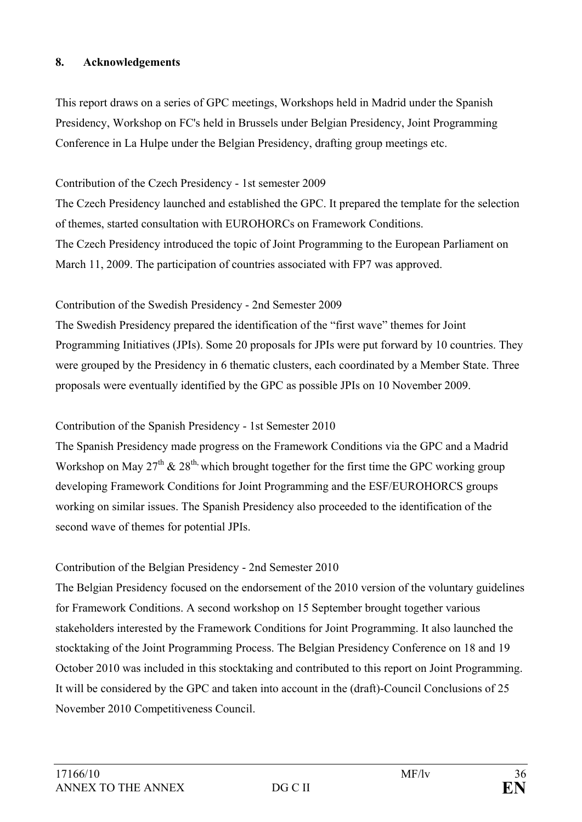### **8. Acknowledgements**

This report draws on a series of GPC meetings, Workshops held in Madrid under the Spanish Presidency, Workshop on FC's held in Brussels under Belgian Presidency, Joint Programming Conference in La Hulpe under the Belgian Presidency, drafting group meetings etc.

### Contribution of the Czech Presidency - 1st semester 2009

The Czech Presidency launched and established the GPC. It prepared the template for the selection of themes, started consultation with EUROHORCs on Framework Conditions. The Czech Presidency introduced the topic of Joint Programming to the European Parliament on March 11, 2009. The participation of countries associated with FP7 was approved.

### Contribution of the Swedish Presidency - 2nd Semester 2009

The Swedish Presidency prepared the identification of the "first wave" themes for Joint Programming Initiatives (JPIs). Some 20 proposals for JPIs were put forward by 10 countries. They were grouped by the Presidency in 6 thematic clusters, each coordinated by a Member State. Three proposals were eventually identified by the GPC as possible JPIs on 10 November 2009.

## Contribution of the Spanish Presidency - 1st Semester 2010

The Spanish Presidency made progress on the Framework Conditions via the GPC and a Madrid Workshop on May  $27<sup>th</sup>$  &  $28<sup>th</sup>$ , which brought together for the first time the GPC working group developing Framework Conditions for Joint Programming and the ESF/EUROHORCS groups working on similar issues. The Spanish Presidency also proceeded to the identification of the second wave of themes for potential JPIs.

## Contribution of the Belgian Presidency - 2nd Semester 2010

The Belgian Presidency focused on the endorsement of the 2010 version of the voluntary guidelines for Framework Conditions. A second workshop on 15 September brought together various stakeholders interested by the Framework Conditions for Joint Programming. It also launched the stocktaking of the Joint Programming Process. The Belgian Presidency Conference on 18 and 19 October 2010 was included in this stocktaking and contributed to this report on Joint Programming. It will be considered by the GPC and taken into account in the (draft)-Council Conclusions of 25 November 2010 Competitiveness Council.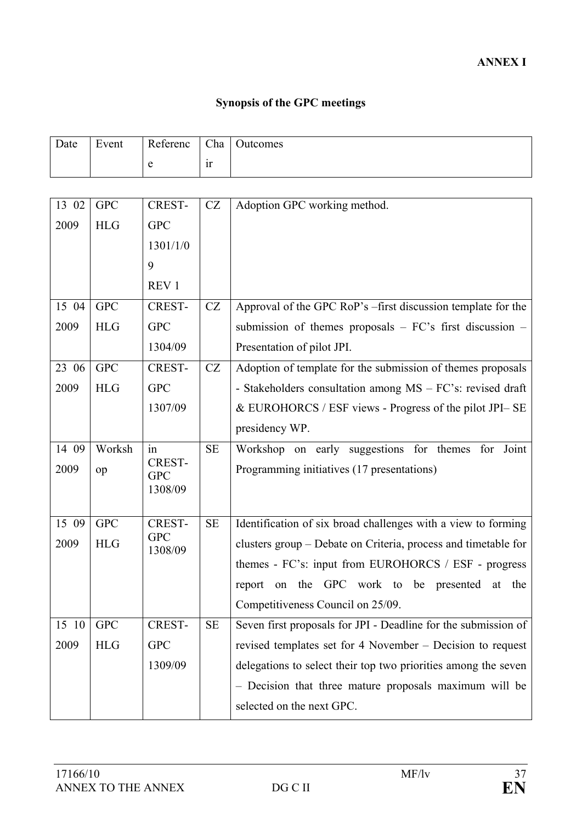# **Synopsis of the GPC meetings**

| Date  | Event      | Referenc                    | Cha       | Outcomes                                                               |
|-------|------------|-----------------------------|-----------|------------------------------------------------------------------------|
|       |            | e                           | ir        |                                                                        |
|       |            |                             |           |                                                                        |
| 13 02 | <b>GPC</b> | CREST-                      | CZ        | Adoption GPC working method.                                           |
| 2009  | <b>HLG</b> | <b>GPC</b>                  |           |                                                                        |
|       |            | 1301/1/0                    |           |                                                                        |
|       |            | 9                           |           |                                                                        |
|       |            | REV <sub>1</sub>            |           |                                                                        |
| 15 04 | <b>GPC</b> | <b>CREST-</b>               | CZ        | Approval of the GPC RoP's -first discussion template for the           |
| 2009  | <b>HLG</b> | <b>GPC</b>                  |           | submission of themes proposals $-FC's$ first discussion $-$            |
|       |            | 1304/09                     |           | Presentation of pilot JPI.                                             |
| 23 06 | <b>GPC</b> | <b>CREST-</b>               | CZ        | Adoption of template for the submission of themes proposals            |
| 2009  | <b>HLG</b> | <b>GPC</b>                  |           | - Stakeholders consultation among MS - FC's: revised draft             |
|       |            | 1307/09                     |           | & EUROHORCS / ESF views - Progress of the pilot JPI-SE                 |
|       |            |                             |           | presidency WP.                                                         |
| 14 09 | Worksh     | in                          | <b>SE</b> | Workshop on early suggestions for themes<br>Joint<br>for               |
| 2009  | op         | CREST-<br><b>GPC</b>        |           | Programming initiatives (17 presentations)                             |
|       |            | 1308/09                     |           |                                                                        |
|       |            |                             |           |                                                                        |
| 15 09 | <b>GPC</b> | <b>CREST-</b><br><b>GPC</b> | $\rm SE$  | Identification of six broad challenges with a view to forming          |
| 2009  | <b>HLG</b> | 1308/09                     |           | clusters group - Debate on Criteria, process and timetable for         |
|       |            |                             |           | themes - FC's: input from EUROHORCS / ESF - progress                   |
|       |            |                             |           | <b>GPC</b><br>work to be presented<br>the<br>the<br>report<br>at<br>on |
|       |            |                             |           | Competitiveness Council on 25/09.                                      |
| 15 10 | <b>GPC</b> | <b>CREST-</b>               | <b>SE</b> | Seven first proposals for JPI - Deadline for the submission of         |
| 2009  | <b>HLG</b> | <b>GPC</b>                  |           | revised templates set for 4 November – Decision to request             |
|       |            | 1309/09                     |           | delegations to select their top two priorities among the seven         |
|       |            |                             |           | - Decision that three mature proposals maximum will be                 |
|       |            |                             |           | selected on the next GPC.                                              |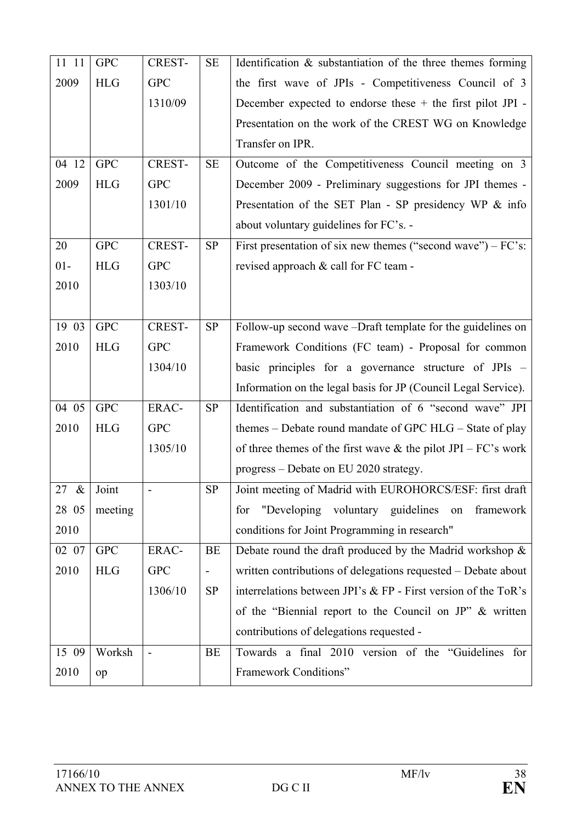| 11 11 | <b>GPC</b> | CREST-        | <b>SE</b>                | Identification $\&$ substantiation of the three themes forming   |
|-------|------------|---------------|--------------------------|------------------------------------------------------------------|
| 2009  | <b>HLG</b> | <b>GPC</b>    |                          | the first wave of JPIs - Competitiveness Council of 3            |
|       |            | 1310/09       |                          | December expected to endorse these $+$ the first pilot JPI -     |
|       |            |               |                          | Presentation on the work of the CREST WG on Knowledge            |
|       |            |               |                          | Transfer on IPR.                                                 |
| 04 12 | <b>GPC</b> | <b>CREST-</b> | <b>SE</b>                | Outcome of the Competitiveness Council meeting on 3              |
| 2009  | <b>HLG</b> | <b>GPC</b>    |                          | December 2009 - Preliminary suggestions for JPI themes -         |
|       |            | 1301/10       |                          | Presentation of the SET Plan - SP presidency WP & info           |
|       |            |               |                          | about voluntary guidelines for FC's. -                           |
| 20    | <b>GPC</b> | <b>CREST-</b> | <b>SP</b>                | First presentation of six new themes ("second wave") $-FC$ 's:   |
| $01-$ | <b>HLG</b> | <b>GPC</b>    |                          | revised approach & call for FC team -                            |
| 2010  |            | 1303/10       |                          |                                                                  |
|       |            |               |                          |                                                                  |
| 19 03 | <b>GPC</b> | <b>CREST-</b> | SP                       | Follow-up second wave -Draft template for the guidelines on      |
| 2010  | <b>HLG</b> | <b>GPC</b>    |                          | Framework Conditions (FC team) - Proposal for common             |
|       |            | 1304/10       |                          | basic principles for a governance structure of JPIs –            |
|       |            |               |                          | Information on the legal basis for JP (Council Legal Service).   |
| 04 05 | <b>GPC</b> | ERAC-         | <b>SP</b>                | Identification and substantiation of 6 "second wave" JPI         |
| 2010  | <b>HLG</b> | <b>GPC</b>    |                          | themes – Debate round mandate of GPC HLG – State of play         |
|       |            | 1305/10       |                          | of three themes of the first wave $\&$ the pilot JPI – FC's work |
|       |            |               |                          | progress – Debate on EU 2020 strategy.                           |
| 27 &  | Joint      |               | <b>SP</b>                | Joint meeting of Madrid with EUROHORCS/ESF: first draft          |
| 28 05 | meeting    |               |                          | "Developing voluntary guidelines"<br>framework<br>for<br>on      |
| 2010  |            |               |                          | conditions for Joint Programming in research"                    |
| 02 07 | <b>GPC</b> | ERAC-         | BE                       | Debate round the draft produced by the Madrid workshop $\&$      |
| 2010  | <b>HLG</b> | <b>GPC</b>    | $\overline{\phantom{0}}$ | written contributions of delegations requested - Debate about    |
|       |            | 1306/10       | <b>SP</b>                | interrelations between JPI's & FP - First version of the ToR's   |
|       |            |               |                          | of the "Biennial report to the Council on JP" & written          |
|       |            |               |                          | contributions of delegations requested -                         |
| 15 09 | Worksh     |               | <b>BE</b>                | Towards a final 2010 version of the "Guidelines for              |
| 2010  | op         |               |                          | Framework Conditions"                                            |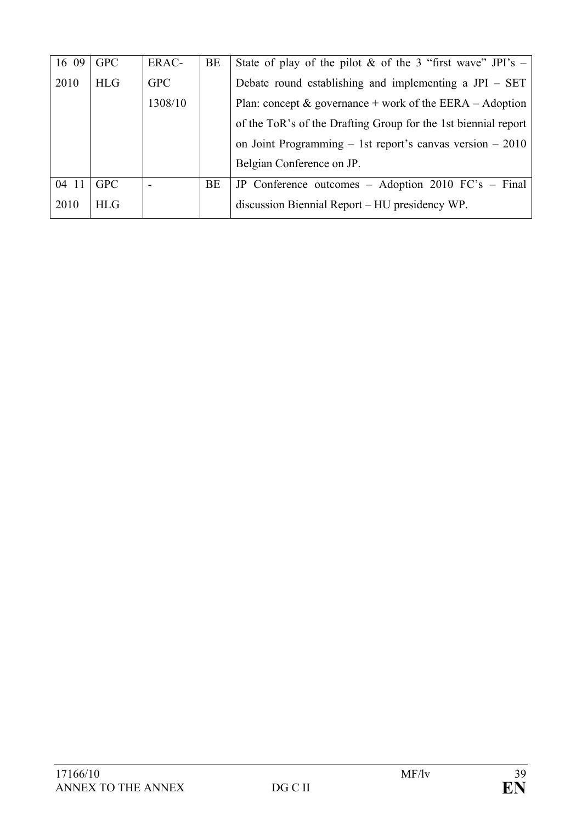| 16 09 | <b>GPC</b> | ERAC-      | BE        | State of play of the pilot & of the 3 "first wave" JPI's $-$   |
|-------|------------|------------|-----------|----------------------------------------------------------------|
| 2010  | HLG        | <b>GPC</b> |           | Debate round establishing and implementing a $JPI - SET$       |
|       |            | 1308/10    |           | Plan: concept $\&$ governance + work of the EERA – Adoption    |
|       |            |            |           | of the ToR's of the Drafting Group for the 1st biennial report |
|       |            |            |           | on Joint Programming $-$ 1st report's canvas version $-2010$   |
|       |            |            |           | Belgian Conference on JP.                                      |
| 04 11 | <b>GPC</b> |            | <b>BE</b> | JP Conference outcomes $-$ Adoption 2010 FC's $-$ Final        |
| 2010  | <b>HLG</b> |            |           | discussion Biennial Report – HU presidency WP.                 |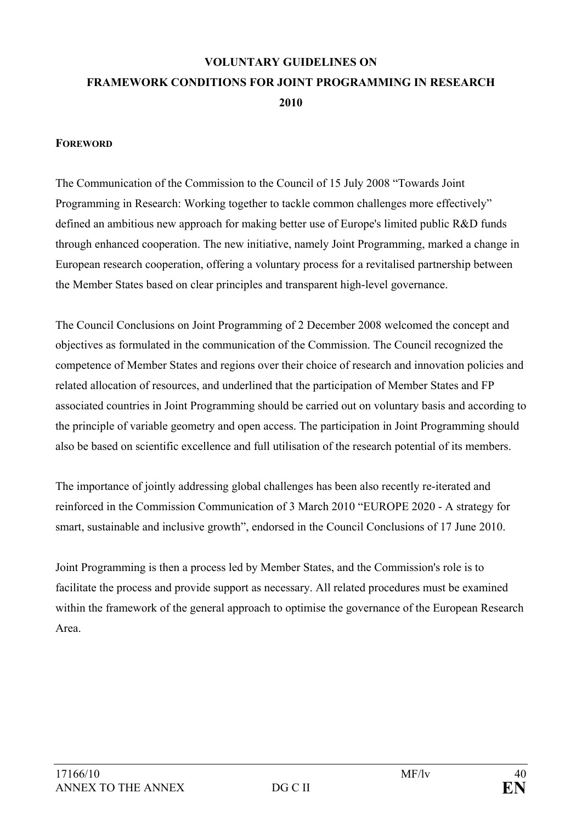## **VOLUNTARY GUIDELINES ON FRAMEWORK CONDITIONS FOR JOINT PROGRAMMING IN RESEARCH 2010**

#### **FOREWORD**

The Communication of the Commission to the Council of 15 July 2008 "Towards Joint Programming in Research: Working together to tackle common challenges more effectively" defined an ambitious new approach for making better use of Europe's limited public R&D funds through enhanced cooperation. The new initiative, namely Joint Programming, marked a change in European research cooperation, offering a voluntary process for a revitalised partnership between the Member States based on clear principles and transparent high-level governance.

The Council Conclusions on Joint Programming of 2 December 2008 welcomed the concept and objectives as formulated in the communication of the Commission. The Council recognized the competence of Member States and regions over their choice of research and innovation policies and related allocation of resources, and underlined that the participation of Member States and FP associated countries in Joint Programming should be carried out on voluntary basis and according to the principle of variable geometry and open access. The participation in Joint Programming should also be based on scientific excellence and full utilisation of the research potential of its members.

The importance of jointly addressing global challenges has been also recently re-iterated and reinforced in the Commission Communication of 3 March 2010 "EUROPE 2020 - A strategy for smart, sustainable and inclusive growth", endorsed in the Council Conclusions of 17 June 2010.

Joint Programming is then a process led by Member States, and the Commission's role is to facilitate the process and provide support as necessary. All related procedures must be examined within the framework of the general approach to optimise the governance of the European Research Area.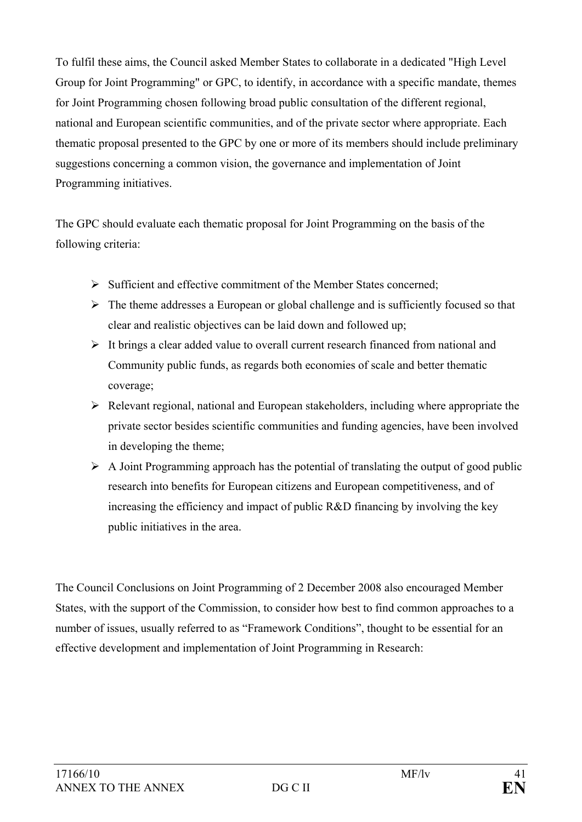To fulfil these aims, the Council asked Member States to collaborate in a dedicated "High Level Group for Joint Programming" or GPC, to identify, in accordance with a specific mandate, themes for Joint Programming chosen following broad public consultation of the different regional, national and European scientific communities, and of the private sector where appropriate. Each thematic proposal presented to the GPC by one or more of its members should include preliminary suggestions concerning a common vision, the governance and implementation of Joint Programming initiatives.

The GPC should evaluate each thematic proposal for Joint Programming on the basis of the following criteria:

- ¾ Sufficient and effective commitment of the Member States concerned;
- $\triangleright$  The theme addresses a European or global challenge and is sufficiently focused so that clear and realistic objectives can be laid down and followed up;
- $\triangleright$  It brings a clear added value to overall current research financed from national and Community public funds, as regards both economies of scale and better thematic coverage;
- $\triangleright$  Relevant regional, national and European stakeholders, including where appropriate the private sector besides scientific communities and funding agencies, have been involved in developing the theme;
- $\triangleright$  A Joint Programming approach has the potential of translating the output of good public research into benefits for European citizens and European competitiveness, and of increasing the efficiency and impact of public R&D financing by involving the key public initiatives in the area.

The Council Conclusions on Joint Programming of 2 December 2008 also encouraged Member States, with the support of the Commission, to consider how best to find common approaches to a number of issues, usually referred to as "Framework Conditions", thought to be essential for an effective development and implementation of Joint Programming in Research: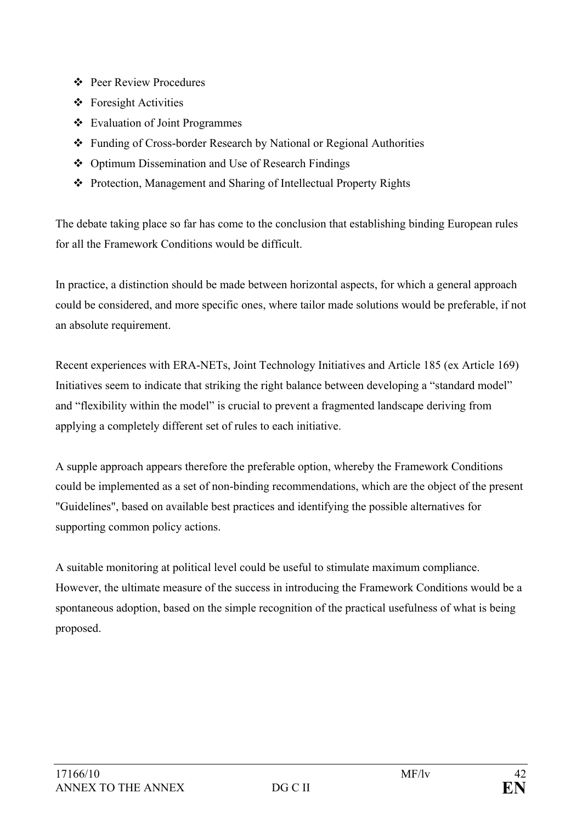- Peer Review Procedures
- Foresight Activities
- Evaluation of Joint Programmes
- Funding of Cross-border Research by National or Regional Authorities
- Optimum Dissemination and Use of Research Findings
- Protection, Management and Sharing of Intellectual Property Rights

The debate taking place so far has come to the conclusion that establishing binding European rules for all the Framework Conditions would be difficult.

In practice, a distinction should be made between horizontal aspects, for which a general approach could be considered, and more specific ones, where tailor made solutions would be preferable, if not an absolute requirement.

Recent experiences with ERA-NETs, Joint Technology Initiatives and Article 185 (ex Article 169) Initiatives seem to indicate that striking the right balance between developing a "standard model" and "flexibility within the model" is crucial to prevent a fragmented landscape deriving from applying a completely different set of rules to each initiative.

A supple approach appears therefore the preferable option, whereby the Framework Conditions could be implemented as a set of non-binding recommendations, which are the object of the present "Guidelines", based on available best practices and identifying the possible alternatives for supporting common policy actions.

A suitable monitoring at political level could be useful to stimulate maximum compliance. However, the ultimate measure of the success in introducing the Framework Conditions would be a spontaneous adoption, based on the simple recognition of the practical usefulness of what is being proposed.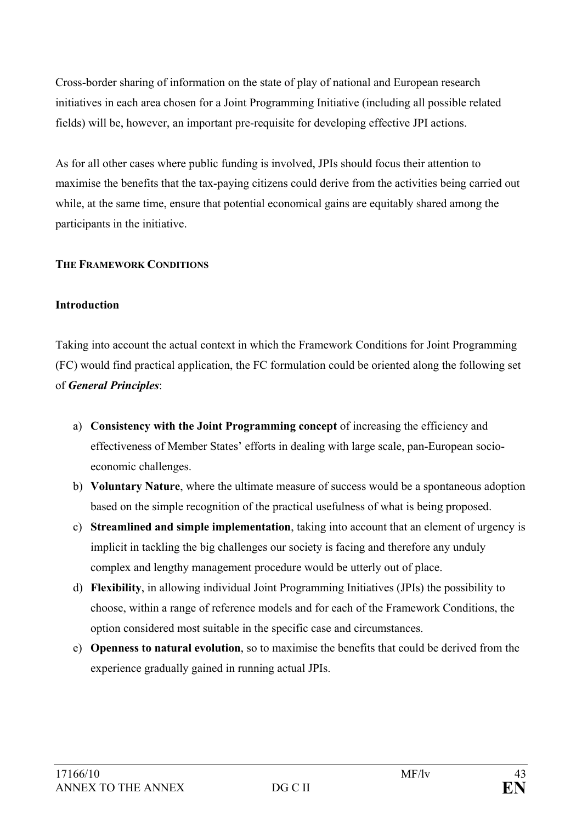Cross-border sharing of information on the state of play of national and European research initiatives in each area chosen for a Joint Programming Initiative (including all possible related fields) will be, however, an important pre-requisite for developing effective JPI actions.

As for all other cases where public funding is involved, JPIs should focus their attention to maximise the benefits that the tax-paying citizens could derive from the activities being carried out while, at the same time, ensure that potential economical gains are equitably shared among the participants in the initiative.

## **THE FRAMEWORK CONDITIONS**

## **Introduction**

Taking into account the actual context in which the Framework Conditions for Joint Programming (FC) would find practical application, the FC formulation could be oriented along the following set of *General Principles*:

- a) **Consistency with the Joint Programming concept** of increasing the efficiency and effectiveness of Member States' efforts in dealing with large scale, pan-European socioeconomic challenges.
- b) **Voluntary Nature**, where the ultimate measure of success would be a spontaneous adoption based on the simple recognition of the practical usefulness of what is being proposed.
- c) **Streamlined and simple implementation**, taking into account that an element of urgency is implicit in tackling the big challenges our society is facing and therefore any unduly complex and lengthy management procedure would be utterly out of place.
- d) **Flexibility**, in allowing individual Joint Programming Initiatives (JPIs) the possibility to choose, within a range of reference models and for each of the Framework Conditions, the option considered most suitable in the specific case and circumstances.
- e) **Openness to natural evolution**, so to maximise the benefits that could be derived from the experience gradually gained in running actual JPIs.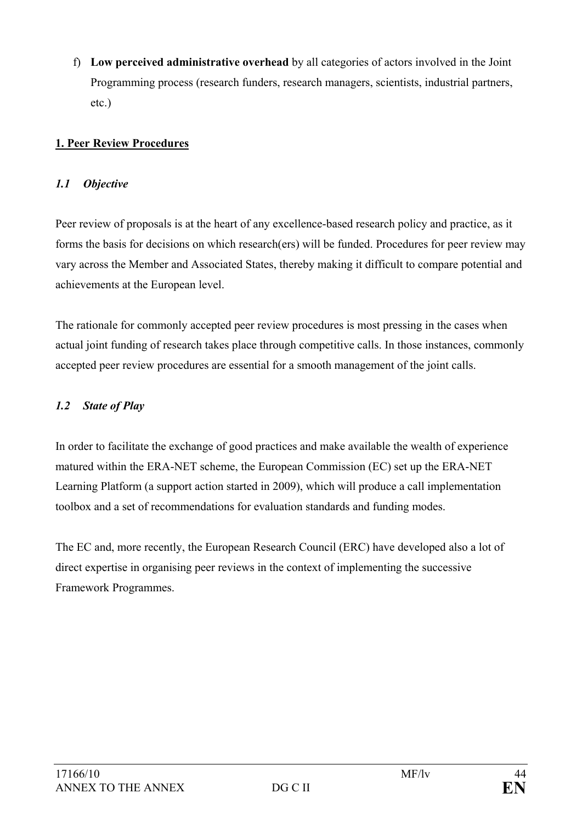f) **Low perceived administrative overhead** by all categories of actors involved in the Joint Programming process (research funders, research managers, scientists, industrial partners, etc.)

## **1. Peer Review Procedures**

### *1.1 Objective*

Peer review of proposals is at the heart of any excellence-based research policy and practice, as it forms the basis for decisions on which research(ers) will be funded. Procedures for peer review may vary across the Member and Associated States, thereby making it difficult to compare potential and achievements at the European level.

The rationale for commonly accepted peer review procedures is most pressing in the cases when actual joint funding of research takes place through competitive calls. In those instances, commonly accepted peer review procedures are essential for a smooth management of the joint calls.

### *1.2 State of Play*

In order to facilitate the exchange of good practices and make available the wealth of experience matured within the ERA-NET scheme, the European Commission (EC) set up the ERA-NET Learning Platform (a support action started in 2009), which will produce a call implementation toolbox and a set of recommendations for evaluation standards and funding modes.

The EC and, more recently, the European Research Council (ERC) have developed also a lot of direct expertise in organising peer reviews in the context of implementing the successive Framework Programmes.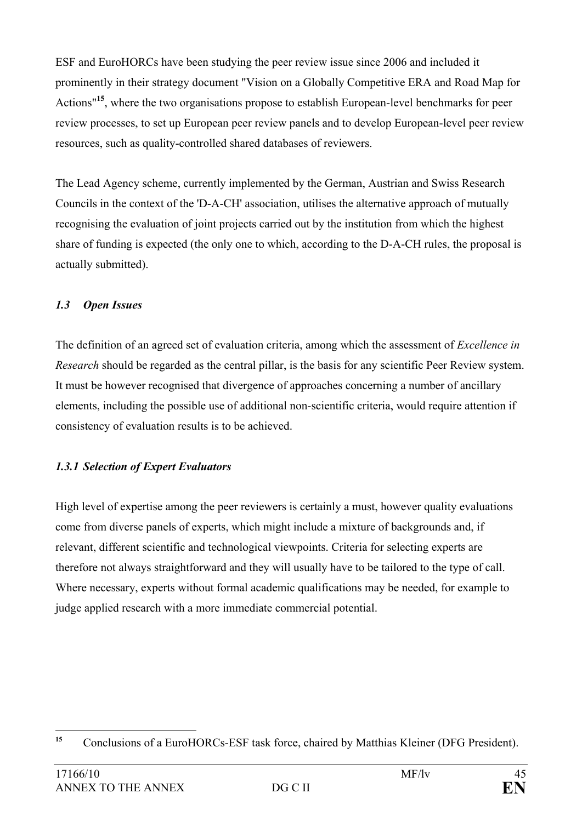ESF and EuroHORCs have been studying the peer review issue since 2006 and included it prominently in their strategy document "Vision on a Globally Competitive ERA and Road Map for Actions"**<sup>15</sup>**, where the two organisations propose to establish European-level benchmarks for peer review processes, to set up European peer review panels and to develop European-level peer review resources, such as quality-controlled shared databases of reviewers.

The Lead Agency scheme, currently implemented by the German, Austrian and Swiss Research Councils in the context of the 'D-A-CH' association, utilises the alternative approach of mutually recognising the evaluation of joint projects carried out by the institution from which the highest share of funding is expected (the only one to which, according to the D-A-CH rules, the proposal is actually submitted).

## *1.3 Open Issues*

The definition of an agreed set of evaluation criteria, among which the assessment of *Excellence in Research* should be regarded as the central pillar, is the basis for any scientific Peer Review system. It must be however recognised that divergence of approaches concerning a number of ancillary elements, including the possible use of additional non-scientific criteria, would require attention if consistency of evaluation results is to be achieved.

## *1.3.1 Selection of Expert Evaluators*

High level of expertise among the peer reviewers is certainly a must, however quality evaluations come from diverse panels of experts, which might include a mixture of backgrounds and, if relevant, different scientific and technological viewpoints. Criteria for selecting experts are therefore not always straightforward and they will usually have to be tailored to the type of call. Where necessary, experts without formal academic qualifications may be needed, for example to judge applied research with a more immediate commercial potential.

 $15$ **<sup>15</sup>** Conclusions of a EuroHORCs-ESF task force, chaired by Matthias Kleiner (DFG President).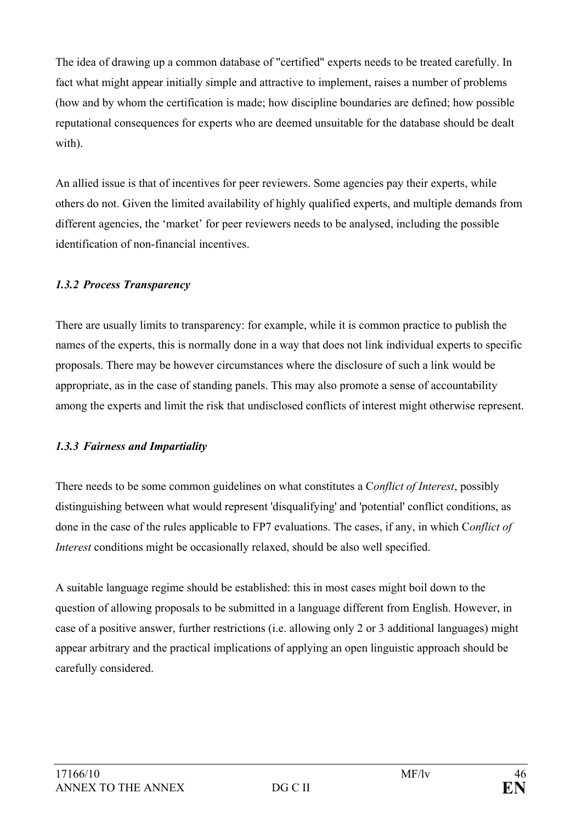The idea of drawing up a common database of "certified" experts needs to be treated carefully. In fact what might appear initially simple and attractive to implement, raises a number of problems (how and by whom the certification is made; how discipline boundaries are defined; how possible reputational consequences for experts who are deemed unsuitable for the database should be dealt with).

An allied issue is that of incentives for peer reviewers. Some agencies pay their experts, while others do not. Given the limited availability of highly qualified experts, and multiple demands from different agencies, the 'market' for peer reviewers needs to be analysed, including the possible identification of non-financial incentives.

## *1.3.2 Process Transparency*

There are usually limits to transparency: for example, while it is common practice to publish the names of the experts, this is normally done in a way that does not link individual experts to specific proposals. There may be however circumstances where the disclosure of such a link would be appropriate, as in the case of standing panels. This may also promote a sense of accountability among the experts and limit the risk that undisclosed conflicts of interest might otherwise represent.

#### *1.3.3 Fairness and Impartiality*

There needs to be some common guidelines on what constitutes a C*onflict of Interest*, possibly distinguishing between what would represent 'disqualifying' and 'potential' conflict conditions, as done in the case of the rules applicable to FP7 evaluations. The cases, if any, in which C*onflict of Interest* conditions might be occasionally relaxed, should be also well specified.

A suitable language regime should be established: this in most cases might boil down to the question of allowing proposals to be submitted in a language different from English. However, in case of a positive answer, further restrictions (i.e. allowing only 2 or 3 additional languages) might appear arbitrary and the practical implications of applying an open linguistic approach should be carefully considered.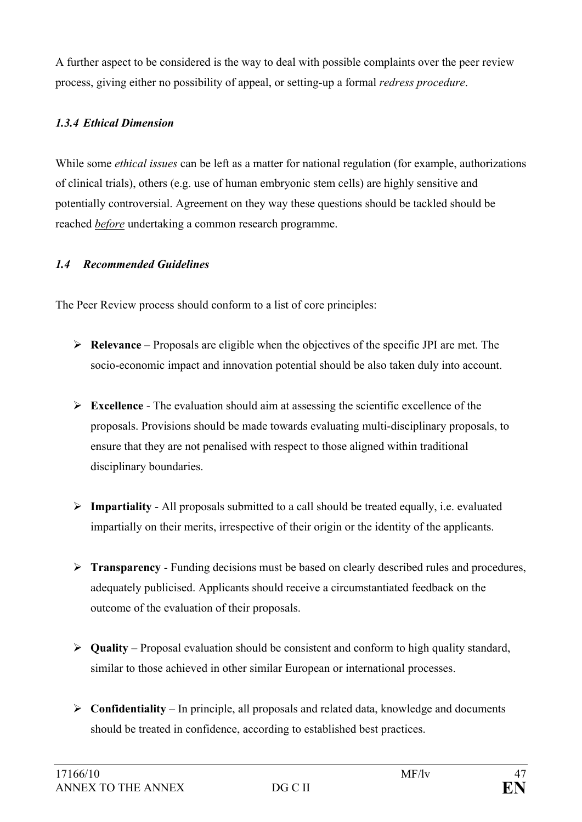A further aspect to be considered is the way to deal with possible complaints over the peer review process, giving either no possibility of appeal, or setting-up a formal *redress procedure*.

## *1.3.4 Ethical Dimension*

While some *ethical issues* can be left as a matter for national regulation (for example, authorizations of clinical trials), others (e.g. use of human embryonic stem cells) are highly sensitive and potentially controversial. Agreement on they way these questions should be tackled should be reached *before* undertaking a common research programme.

## *1.4 Recommended Guidelines*

The Peer Review process should conform to a list of core principles:

- ¾ **Relevance**  Proposals are eligible when the objectives of the specific JPI are met. The socio-economic impact and innovation potential should be also taken duly into account.
- ¾ **Excellence** The evaluation should aim at assessing the scientific excellence of the proposals. Provisions should be made towards evaluating multi-disciplinary proposals, to ensure that they are not penalised with respect to those aligned within traditional disciplinary boundaries.
- ¾ **Impartiality** All proposals submitted to a call should be treated equally, i.e. evaluated impartially on their merits, irrespective of their origin or the identity of the applicants.
- ¾ **Transparency** Funding decisions must be based on clearly described rules and procedures, adequately publicised. Applicants should receive a circumstantiated feedback on the outcome of the evaluation of their proposals.
- ¾ **Quality**  Proposal evaluation should be consistent and conform to high quality standard, similar to those achieved in other similar European or international processes.
- ¾ **Confidentiality** In principle, all proposals and related data, knowledge and documents should be treated in confidence, according to established best practices.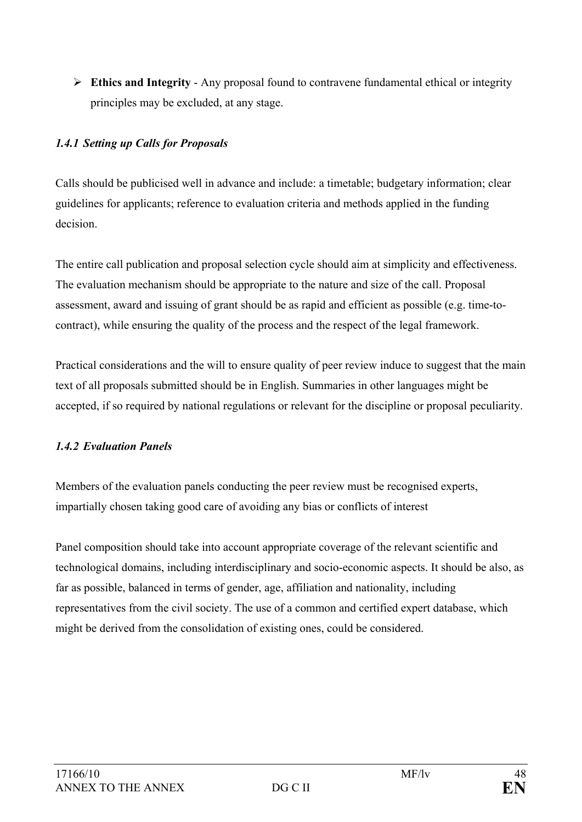¾ **Ethics and Integrity** - Any proposal found to contravene fundamental ethical or integrity principles may be excluded, at any stage.

## *1.4.1 Setting up Calls for Proposals*

Calls should be publicised well in advance and include: a timetable; budgetary information; clear guidelines for applicants; reference to evaluation criteria and methods applied in the funding decision.

The entire call publication and proposal selection cycle should aim at simplicity and effectiveness. The evaluation mechanism should be appropriate to the nature and size of the call. Proposal assessment, award and issuing of grant should be as rapid and efficient as possible (e.g. time-tocontract), while ensuring the quality of the process and the respect of the legal framework.

Practical considerations and the will to ensure quality of peer review induce to suggest that the main text of all proposals submitted should be in English. Summaries in other languages might be accepted, if so required by national regulations or relevant for the discipline or proposal peculiarity.

## *1.4.2 Evaluation Panels*

Members of the evaluation panels conducting the peer review must be recognised experts, impartially chosen taking good care of avoiding any bias or conflicts of interest

Panel composition should take into account appropriate coverage of the relevant scientific and technological domains, including interdisciplinary and socio-economic aspects. It should be also, as far as possible, balanced in terms of gender, age, affiliation and nationality, including representatives from the civil society. The use of a common and certified expert database, which might be derived from the consolidation of existing ones, could be considered.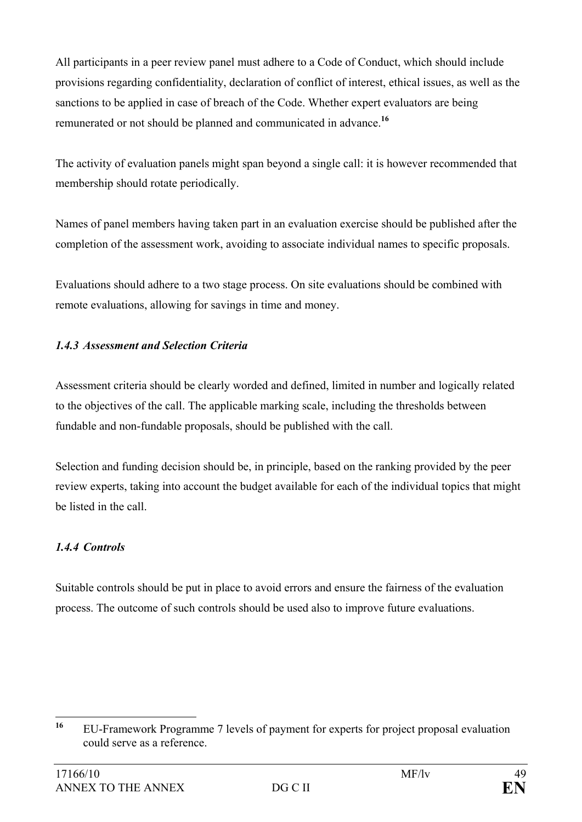All participants in a peer review panel must adhere to a Code of Conduct, which should include provisions regarding confidentiality, declaration of conflict of interest, ethical issues, as well as the sanctions to be applied in case of breach of the Code. Whether expert evaluators are being remunerated or not should be planned and communicated in advance.**<sup>16</sup>**

The activity of evaluation panels might span beyond a single call: it is however recommended that membership should rotate periodically.

Names of panel members having taken part in an evaluation exercise should be published after the completion of the assessment work, avoiding to associate individual names to specific proposals.

Evaluations should adhere to a two stage process. On site evaluations should be combined with remote evaluations, allowing for savings in time and money.

## *1.4.3 Assessment and Selection Criteria*

Assessment criteria should be clearly worded and defined, limited in number and logically related to the objectives of the call. The applicable marking scale, including the thresholds between fundable and non-fundable proposals, should be published with the call.

Selection and funding decision should be, in principle, based on the ranking provided by the peer review experts, taking into account the budget available for each of the individual topics that might be listed in the call.

## *1.4.4 Controls*

Suitable controls should be put in place to avoid errors and ensure the fairness of the evaluation process. The outcome of such controls should be used also to improve future evaluations.

 $16$ **<sup>16</sup>** EU-Framework Programme 7 levels of payment for experts for project proposal evaluation could serve as a reference.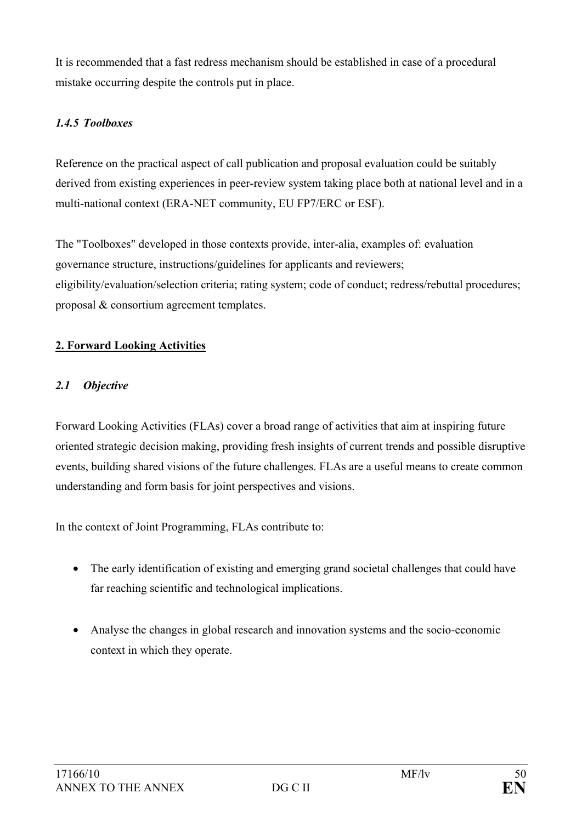It is recommended that a fast redress mechanism should be established in case of a procedural mistake occurring despite the controls put in place.

## *1.4.5 Toolboxes*

Reference on the practical aspect of call publication and proposal evaluation could be suitably derived from existing experiences in peer-review system taking place both at national level and in a multi-national context (ERA-NET community, EU FP7/ERC or ESF).

The "Toolboxes" developed in those contexts provide, inter-alia, examples of: evaluation governance structure, instructions/guidelines for applicants and reviewers; eligibility/evaluation/selection criteria; rating system; code of conduct; redress/rebuttal procedures; proposal & consortium agreement templates.

## **2. Forward Looking Activities**

## *2.1 Objective*

Forward Looking Activities (FLAs) cover a broad range of activities that aim at inspiring future oriented strategic decision making, providing fresh insights of current trends and possible disruptive events, building shared visions of the future challenges. FLAs are a useful means to create common understanding and form basis for joint perspectives and visions.

In the context of Joint Programming, FLAs contribute to:

- The early identification of existing and emerging grand societal challenges that could have far reaching scientific and technological implications.
- Analyse the changes in global research and innovation systems and the socio-economic context in which they operate.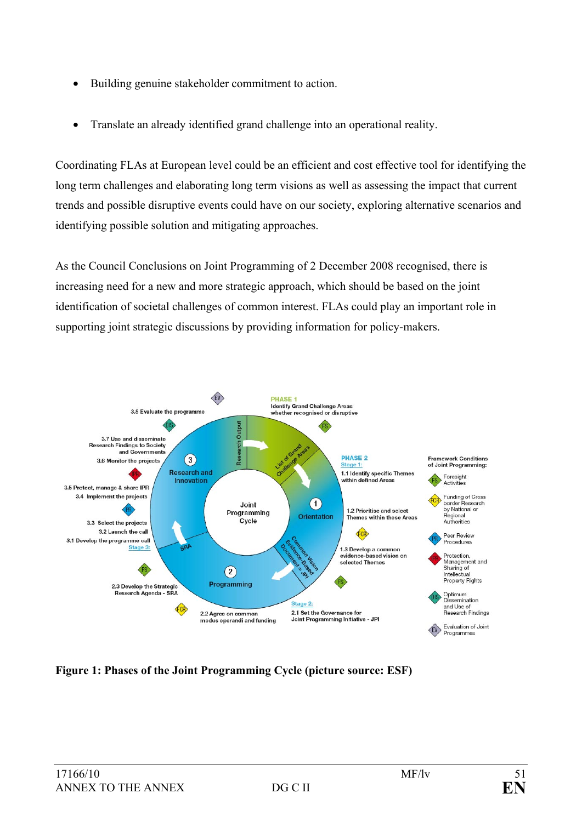- Building genuine stakeholder commitment to action.
- Translate an already identified grand challenge into an operational reality.

Coordinating FLAs at European level could be an efficient and cost effective tool for identifying the long term challenges and elaborating long term visions as well as assessing the impact that current trends and possible disruptive events could have on our society, exploring alternative scenarios and identifying possible solution and mitigating approaches.

As the Council Conclusions on Joint Programming of 2 December 2008 recognised, there is increasing need for a new and more strategic approach, which should be based on the joint identification of societal challenges of common interest. FLAs could play an important role in supporting joint strategic discussions by providing information for policy-makers.



**Figure 1: Phases of the Joint Programming Cycle (picture source: ESF)**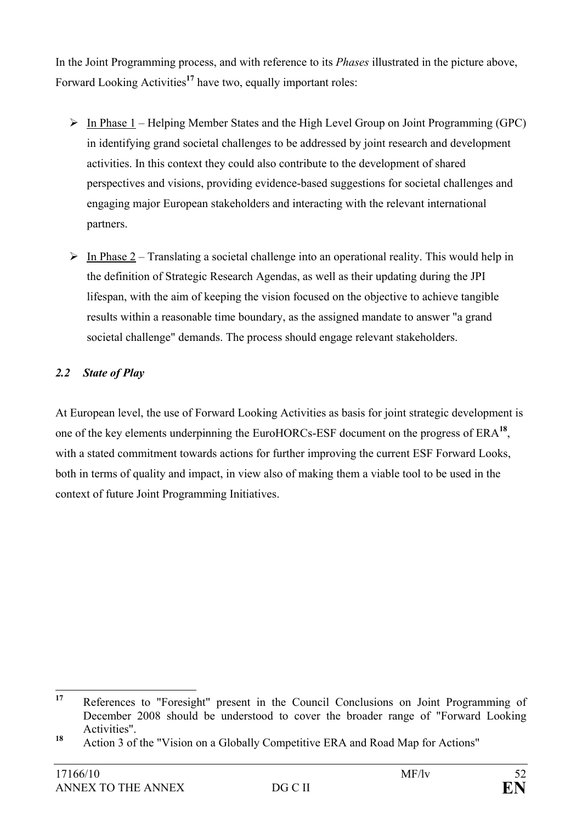In the Joint Programming process, and with reference to its *Phases* illustrated in the picture above, Forward Looking Activities**<sup>17</sup>** have two, equally important roles:

- $\triangleright$  In Phase 1 Helping Member States and the High Level Group on Joint Programming (GPC) in identifying grand societal challenges to be addressed by joint research and development activities. In this context they could also contribute to the development of shared perspectives and visions, providing evidence-based suggestions for societal challenges and engaging major European stakeholders and interacting with the relevant international partners.
- $\triangleright$  In Phase 2 Translating a societal challenge into an operational reality. This would help in the definition of Strategic Research Agendas, as well as their updating during the JPI lifespan, with the aim of keeping the vision focused on the objective to achieve tangible results within a reasonable time boundary, as the assigned mandate to answer "a grand societal challenge" demands. The process should engage relevant stakeholders.

## *2.2 State of Play*

At European level, the use of Forward Looking Activities as basis for joint strategic development is one of the key elements underpinning the EuroHORCs-ESF document on the progress of ERA**<sup>18</sup>**, with a stated commitment towards actions for further improving the current ESF Forward Looks, both in terms of quality and impact, in view also of making them a viable tool to be used in the context of future Joint Programming Initiatives.

<sup>17</sup> References to "Foresight" present in the Council Conclusions on Joint Programming of December 2008 should be understood to cover the broader range of "Forward Looking Activities".

**<sup>18</sup>** Action 3 of the "Vision on a Globally Competitive ERA and Road Map for Actions"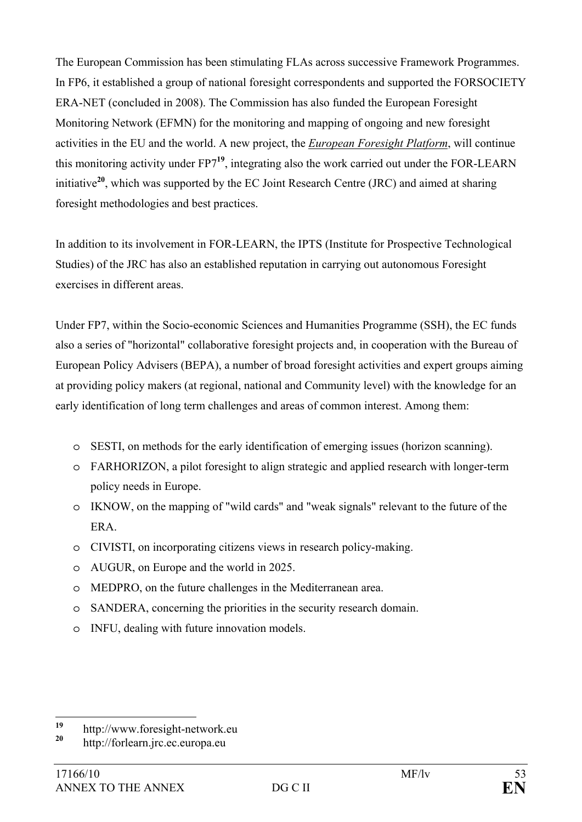The European Commission has been stimulating FLAs across successive Framework Programmes. In FP6, it established a group of national foresight correspondents and supported the FORSOCIETY ERA-NET (concluded in 2008). The Commission has also funded the European Foresight Monitoring Network (EFMN) for the monitoring and mapping of ongoing and new foresight activities in the EU and the world. A new project, the *European Foresight Platform*, will continue this monitoring activity under FP7**<sup>19</sup>**, integrating also the work carried out under the FOR-LEARN initiative**<sup>20</sup>**, which was supported by the EC Joint Research Centre (JRC) and aimed at sharing foresight methodologies and best practices.

In addition to its involvement in FOR-LEARN, the IPTS (Institute for Prospective Technological Studies) of the JRC has also an established reputation in carrying out autonomous Foresight exercises in different areas.

Under FP7, within the Socio-economic Sciences and Humanities Programme (SSH), the EC funds also a series of "horizontal" collaborative foresight projects and, in cooperation with the Bureau of European Policy Advisers (BEPA), a number of broad foresight activities and expert groups aiming at providing policy makers (at regional, national and Community level) with the knowledge for an early identification of long term challenges and areas of common interest. Among them:

- o SESTI, on methods for the early identification of emerging issues (horizon scanning).
- o FARHORIZON, a pilot foresight to align strategic and applied research with longer-term policy needs in Europe.
- o IKNOW, on the mapping of "wild cards" and "weak signals" relevant to the future of the ERA.
- o CIVISTI, on incorporating citizens views in research policy-making.
- o AUGUR, on Europe and the world in 2025.
- o MEDPRO, on the future challenges in the Mediterranean area.
- o SANDERA, concerning the priorities in the security research domain.
- o INFU, dealing with future innovation models.

 $19$ <sup>19</sup> http://www.foresight-network.eu

**<sup>20</sup>** http://forlearn.jrc.ec.europa.eu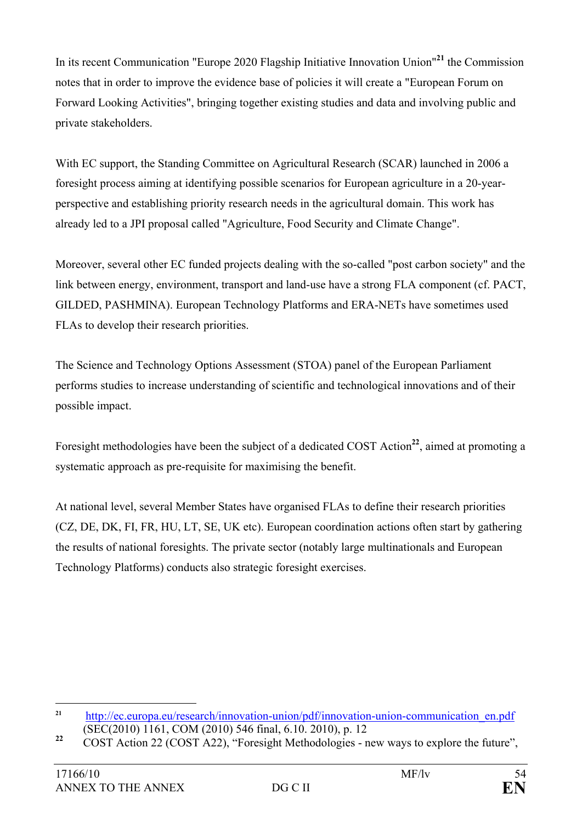In its recent Communication "Europe 2020 Flagship Initiative Innovation Union"**<sup>21</sup>** the Commission notes that in order to improve the evidence base of policies it will create a "European Forum on Forward Looking Activities", bringing together existing studies and data and involving public and private stakeholders.

With EC support, the Standing Committee on Agricultural Research (SCAR) launched in 2006 a foresight process aiming at identifying possible scenarios for European agriculture in a 20-yearperspective and establishing priority research needs in the agricultural domain. This work has already led to a JPI proposal called "Agriculture, Food Security and Climate Change".

Moreover, several other EC funded projects dealing with the so-called "post carbon society" and the link between energy, environment, transport and land-use have a strong FLA component (cf. PACT, GILDED, PASHMINA). European Technology Platforms and ERA-NETs have sometimes used FLAs to develop their research priorities.

The Science and Technology Options Assessment (STOA) panel of the European Parliament performs studies to increase understanding of scientific and technological innovations and of their possible impact.

Foresight methodologies have been the subject of a dedicated COST Action**<sup>22</sup>**, aimed at promoting a systematic approach as pre-requisite for maximising the benefit.

At national level, several Member States have organised FLAs to define their research priorities (CZ, DE, DK, FI, FR, HU, LT, SE, UK etc). European coordination actions often start by gathering the results of national foresights. The private sector (notably large multinationals and European Technology Platforms) conducts also strategic foresight exercises.

 $21$ **<sup>21</sup>** http://ec.europa.eu/research/innovation-union/pdf/innovation-union-communication\_en.pdf (SEC(2010) 1161, COM (2010) 546 final, 6.10. 2010), p. 12

<sup>&</sup>lt;sup>22</sup> COST Action 22 (COST A22), "Foresight Methodologies - new ways to explore the future",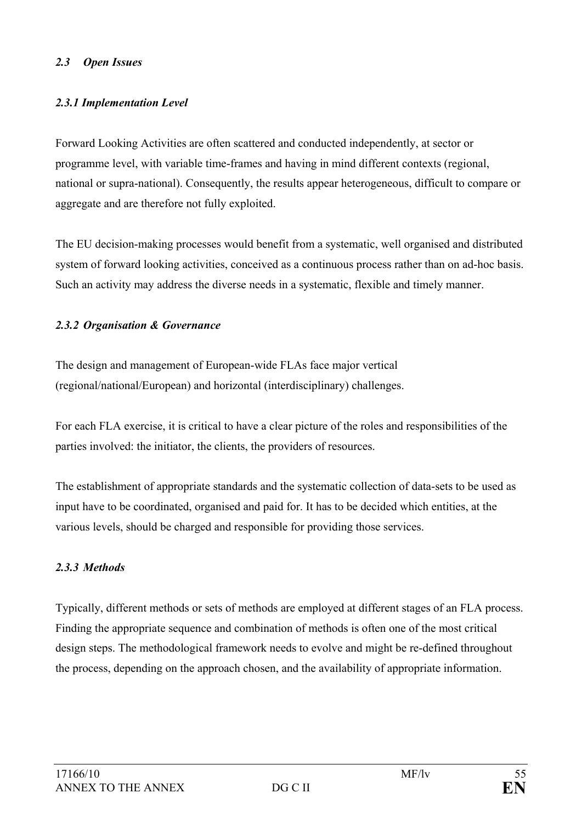#### *2.3 Open Issues*

### *2.3.1 Implementation Level*

Forward Looking Activities are often scattered and conducted independently, at sector or programme level, with variable time-frames and having in mind different contexts (regional, national or supra-national). Consequently, the results appear heterogeneous, difficult to compare or aggregate and are therefore not fully exploited.

The EU decision-making processes would benefit from a systematic, well organised and distributed system of forward looking activities, conceived as a continuous process rather than on ad-hoc basis. Such an activity may address the diverse needs in a systematic, flexible and timely manner.

#### *2.3.2 Organisation & Governance*

The design and management of European-wide FLAs face major vertical (regional/national/European) and horizontal (interdisciplinary) challenges.

For each FLA exercise, it is critical to have a clear picture of the roles and responsibilities of the parties involved: the initiator, the clients, the providers of resources.

The establishment of appropriate standards and the systematic collection of data-sets to be used as input have to be coordinated, organised and paid for. It has to be decided which entities, at the various levels, should be charged and responsible for providing those services.

#### *2.3.3 Methods*

Typically, different methods or sets of methods are employed at different stages of an FLA process. Finding the appropriate sequence and combination of methods is often one of the most critical design steps. The methodological framework needs to evolve and might be re-defined throughout the process, depending on the approach chosen, and the availability of appropriate information.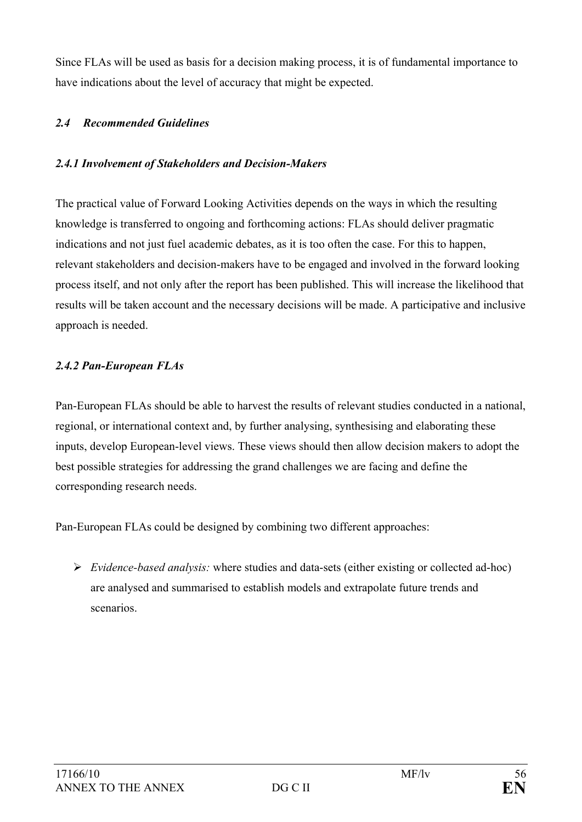Since FLAs will be used as basis for a decision making process, it is of fundamental importance to have indications about the level of accuracy that might be expected.

## *2.4 Recommended Guidelines*

### *2.4.1 Involvement of Stakeholders and Decision-Makers*

The practical value of Forward Looking Activities depends on the ways in which the resulting knowledge is transferred to ongoing and forthcoming actions: FLAs should deliver pragmatic indications and not just fuel academic debates, as it is too often the case. For this to happen, relevant stakeholders and decision-makers have to be engaged and involved in the forward looking process itself, and not only after the report has been published. This will increase the likelihood that results will be taken account and the necessary decisions will be made. A participative and inclusive approach is needed.

#### *2.4.2 Pan-European FLAs*

Pan-European FLAs should be able to harvest the results of relevant studies conducted in a national, regional, or international context and, by further analysing, synthesising and elaborating these inputs, develop European-level views. These views should then allow decision makers to adopt the best possible strategies for addressing the grand challenges we are facing and define the corresponding research needs.

Pan-European FLAs could be designed by combining two different approaches:

¾ *Evidence-based analysis:* where studies and data-sets (either existing or collected ad-hoc) are analysed and summarised to establish models and extrapolate future trends and scenarios.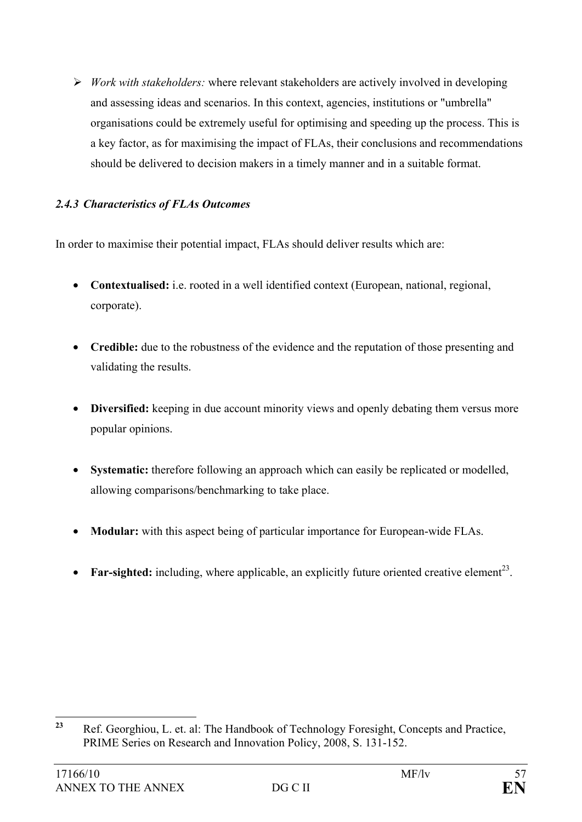¾ *Work with stakeholders:* where relevant stakeholders are actively involved in developing and assessing ideas and scenarios. In this context, agencies, institutions or "umbrella" organisations could be extremely useful for optimising and speeding up the process. This is a key factor, as for maximising the impact of FLAs, their conclusions and recommendations should be delivered to decision makers in a timely manner and in a suitable format.

### *2.4.3 Characteristics of FLAs Outcomes*

In order to maximise their potential impact, FLAs should deliver results which are:

- **Contextualised:** i.e. rooted in a well identified context (European, national, regional, corporate).
- **Credible:** due to the robustness of the evidence and the reputation of those presenting and validating the results.
- **Diversified:** keeping in due account minority views and openly debating them versus more popular opinions.
- **Systematic:** therefore following an approach which can easily be replicated or modelled, allowing comparisons/benchmarking to take place.
- **Modular:** with this aspect being of particular importance for European-wide FLAs.
- **Far-sighted:** including, where applicable, an explicitly future oriented creative element<sup>23</sup>.

 $23$ **<sup>23</sup>** Ref. Georghiou, L. et. al: The Handbook of Technology Foresight, Concepts and Practice, PRIME Series on Research and Innovation Policy, 2008, S. 131-152.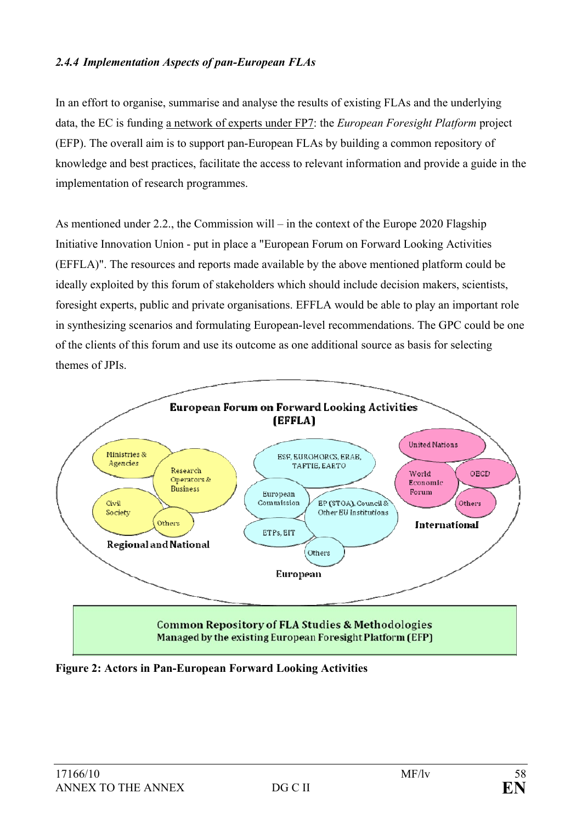#### *2.4.4 Implementation Aspects of pan-European FLAs*

In an effort to organise, summarise and analyse the results of existing FLAs and the underlying data, the EC is funding a network of experts under FP7: the *European Foresight Platform* project (EFP). The overall aim is to support pan-European FLAs by building a common repository of knowledge and best practices, facilitate the access to relevant information and provide a guide in the implementation of research programmes.

As mentioned under 2.2., the Commission will – in the context of the Europe 2020 Flagship Initiative Innovation Union - put in place a "European Forum on Forward Looking Activities (EFFLA)". The resources and reports made available by the above mentioned platform could be ideally exploited by this forum of stakeholders which should include decision makers, scientists, foresight experts, public and private organisations. EFFLA would be able to play an important role in synthesizing scenarios and formulating European-level recommendations. The GPC could be one of the clients of this forum and use its outcome as one additional source as basis for selecting themes of JPIs.



**Figure 2: Actors in Pan-European Forward Looking Activities**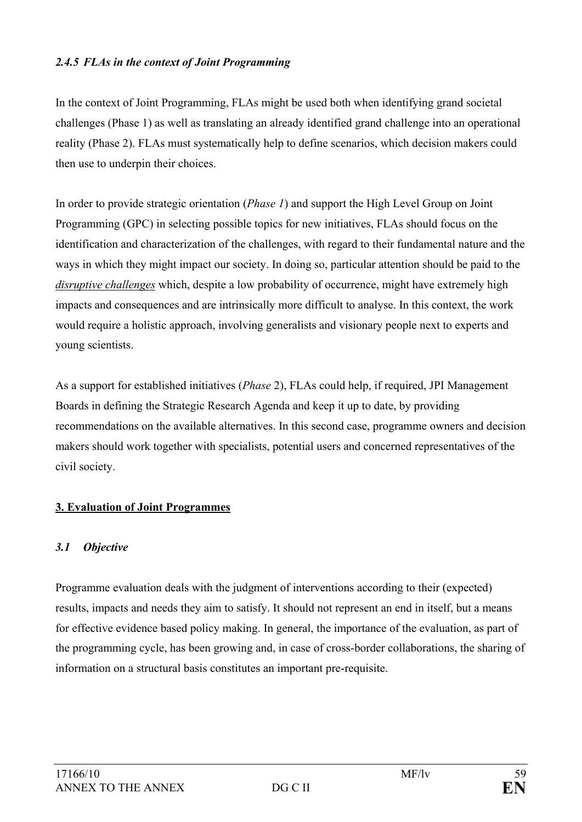#### *2.4.5 FLAs in the context of Joint Programming*

In the context of Joint Programming, FLAs might be used both when identifying grand societal challenges (Phase 1) as well as translating an already identified grand challenge into an operational reality (Phase 2). FLAs must systematically help to define scenarios, which decision makers could then use to underpin their choices.

In order to provide strategic orientation (*Phase 1*) and support the High Level Group on Joint Programming (GPC) in selecting possible topics for new initiatives, FLAs should focus on the identification and characterization of the challenges, with regard to their fundamental nature and the ways in which they might impact our society. In doing so, particular attention should be paid to the *disruptive challenges* which, despite a low probability of occurrence, might have extremely high impacts and consequences and are intrinsically more difficult to analyse. In this context, the work would require a holistic approach, involving generalists and visionary people next to experts and young scientists.

As a support for established initiatives (*Phase* 2), FLAs could help, if required, JPI Management Boards in defining the Strategic Research Agenda and keep it up to date, by providing recommendations on the available alternatives. In this second case, programme owners and decision makers should work together with specialists, potential users and concerned representatives of the civil society.

#### **3. Evaluation of Joint Programmes**

#### *3.1 Objective*

Programme evaluation deals with the judgment of interventions according to their (expected) results, impacts and needs they aim to satisfy. It should not represent an end in itself, but a means for effective evidence based policy making. In general, the importance of the evaluation, as part of the programming cycle, has been growing and, in case of cross-border collaborations, the sharing of information on a structural basis constitutes an important pre-requisite.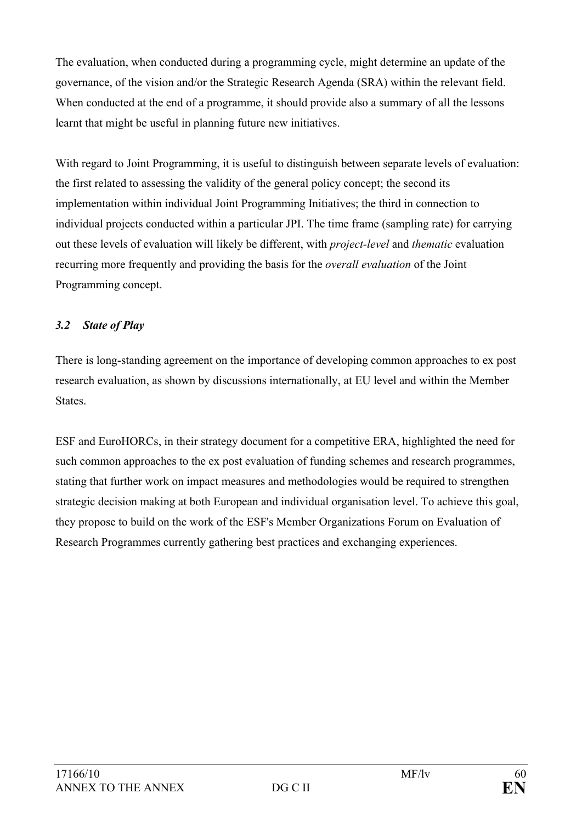The evaluation, when conducted during a programming cycle, might determine an update of the governance, of the vision and/or the Strategic Research Agenda (SRA) within the relevant field. When conducted at the end of a programme, it should provide also a summary of all the lessons learnt that might be useful in planning future new initiatives.

With regard to Joint Programming, it is useful to distinguish between separate levels of evaluation: the first related to assessing the validity of the general policy concept; the second its implementation within individual Joint Programming Initiatives; the third in connection to individual projects conducted within a particular JPI. The time frame (sampling rate) for carrying out these levels of evaluation will likely be different, with *project-level* and *thematic* evaluation recurring more frequently and providing the basis for the *overall evaluation* of the Joint Programming concept.

## *3.2 State of Play*

There is long-standing agreement on the importance of developing common approaches to ex post research evaluation, as shown by discussions internationally, at EU level and within the Member States.

ESF and EuroHORCs, in their strategy document for a competitive ERA, highlighted the need for such common approaches to the ex post evaluation of funding schemes and research programmes, stating that further work on impact measures and methodologies would be required to strengthen strategic decision making at both European and individual organisation level. To achieve this goal, they propose to build on the work of the ESF's Member Organizations Forum on Evaluation of Research Programmes currently gathering best practices and exchanging experiences.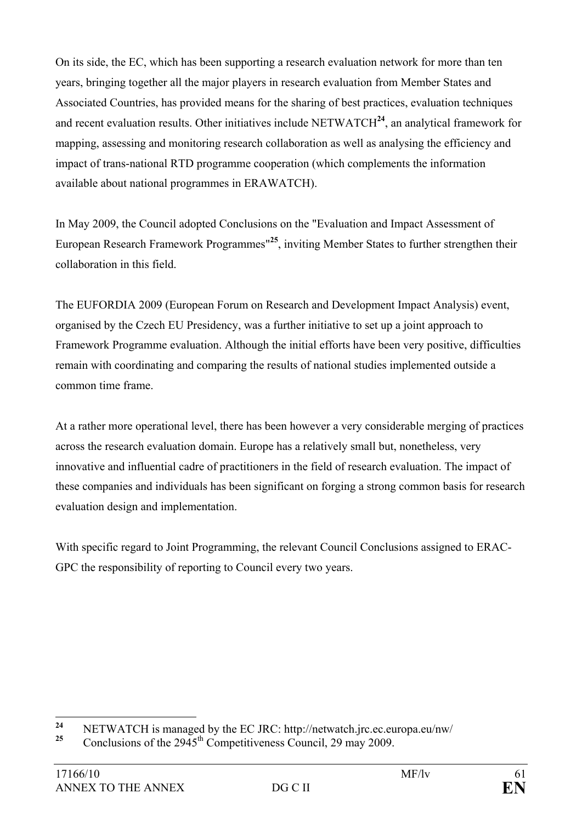On its side, the EC, which has been supporting a research evaluation network for more than ten years, bringing together all the major players in research evaluation from Member States and Associated Countries, has provided means for the sharing of best practices, evaluation techniques and recent evaluation results. Other initiatives include NETWATCH**<sup>24</sup>**, an analytical framework for mapping, assessing and monitoring research collaboration as well as analysing the efficiency and impact of trans-national RTD programme cooperation (which complements the information available about national programmes in ERAWATCH).

In May 2009, the Council adopted Conclusions on the "Evaluation and Impact Assessment of European Research Framework Programmes"**<sup>25</sup>**, inviting Member States to further strengthen their collaboration in this field.

The EUFORDIA 2009 (European Forum on Research and Development Impact Analysis) event, organised by the Czech EU Presidency, was a further initiative to set up a joint approach to Framework Programme evaluation. Although the initial efforts have been very positive, difficulties remain with coordinating and comparing the results of national studies implemented outside a common time frame.

At a rather more operational level, there has been however a very considerable merging of practices across the research evaluation domain. Europe has a relatively small but, nonetheless, very innovative and influential cadre of practitioners in the field of research evaluation. The impact of these companies and individuals has been significant on forging a strong common basis for research evaluation design and implementation.

With specific regard to Joint Programming, the relevant Council Conclusions assigned to ERAC-GPC the responsibility of reporting to Council every two years.

 $24$ **24** NETWATCH is managed by the EC JRC: http://netwatch.jrc.ec.europa.eu/nw/<br>25 Constraints of the 2045<sup>th</sup> Commetitiveness Council 20 meas 2000

**<sup>25</sup>** Conclusions of the 2945th Competitiveness Council, 29 may 2009.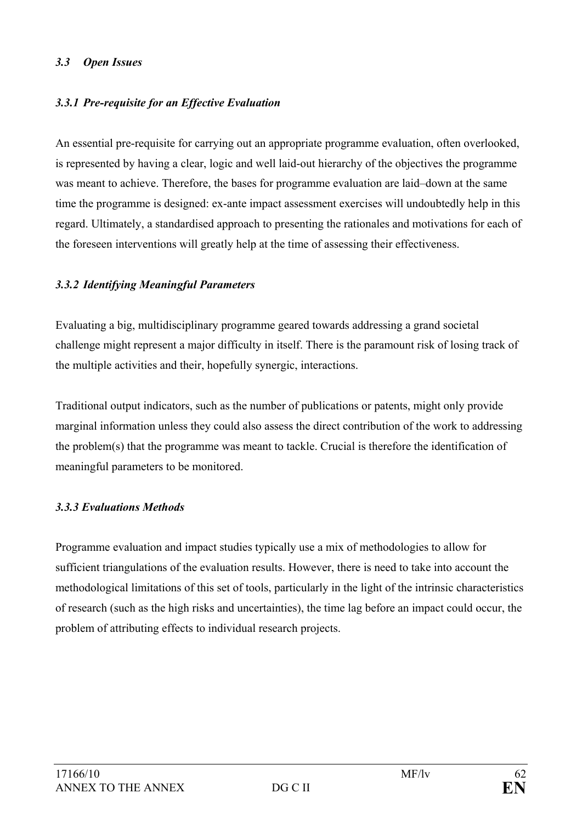#### *3.3 Open Issues*

### *3.3.1 Pre-requisite for an Effective Evaluation*

An essential pre-requisite for carrying out an appropriate programme evaluation, often overlooked, is represented by having a clear, logic and well laid-out hierarchy of the objectives the programme was meant to achieve. Therefore, the bases for programme evaluation are laid–down at the same time the programme is designed: ex-ante impact assessment exercises will undoubtedly help in this regard. Ultimately, a standardised approach to presenting the rationales and motivations for each of the foreseen interventions will greatly help at the time of assessing their effectiveness.

#### *3.3.2 Identifying Meaningful Parameters*

Evaluating a big, multidisciplinary programme geared towards addressing a grand societal challenge might represent a major difficulty in itself. There is the paramount risk of losing track of the multiple activities and their, hopefully synergic, interactions.

Traditional output indicators, such as the number of publications or patents, might only provide marginal information unless they could also assess the direct contribution of the work to addressing the problem(s) that the programme was meant to tackle. Crucial is therefore the identification of meaningful parameters to be monitored.

#### *3.3.3 Evaluations Methods*

Programme evaluation and impact studies typically use a mix of methodologies to allow for sufficient triangulations of the evaluation results. However, there is need to take into account the methodological limitations of this set of tools, particularly in the light of the intrinsic characteristics of research (such as the high risks and uncertainties), the time lag before an impact could occur, the problem of attributing effects to individual research projects.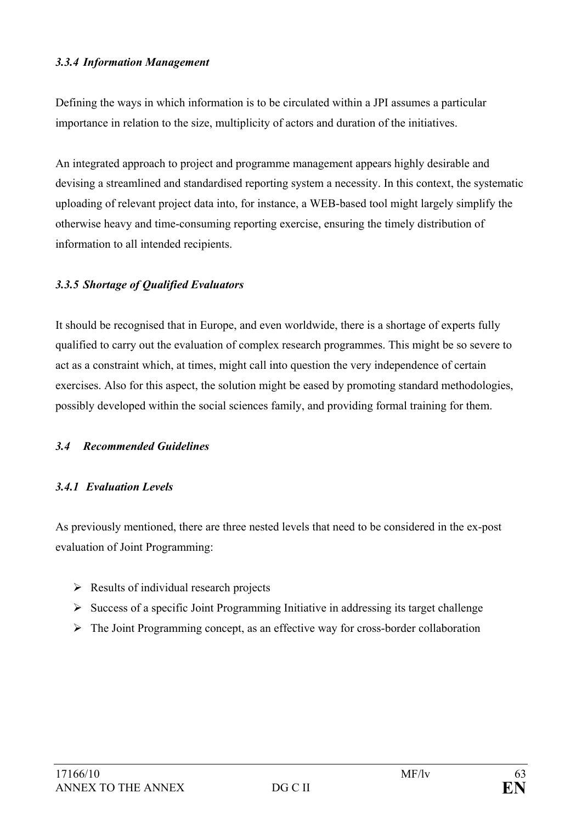#### *3.3.4 Information Management*

Defining the ways in which information is to be circulated within a JPI assumes a particular importance in relation to the size, multiplicity of actors and duration of the initiatives.

An integrated approach to project and programme management appears highly desirable and devising a streamlined and standardised reporting system a necessity. In this context, the systematic uploading of relevant project data into, for instance, a WEB-based tool might largely simplify the otherwise heavy and time-consuming reporting exercise, ensuring the timely distribution of information to all intended recipients.

#### *3.3.5 Shortage of Qualified Evaluators*

It should be recognised that in Europe, and even worldwide, there is a shortage of experts fully qualified to carry out the evaluation of complex research programmes. This might be so severe to act as a constraint which, at times, might call into question the very independence of certain exercises. Also for this aspect, the solution might be eased by promoting standard methodologies, possibly developed within the social sciences family, and providing formal training for them.

#### *3.4 Recommended Guidelines*

#### *3.4.1 Evaluation Levels*

As previously mentioned, there are three nested levels that need to be considered in the ex-post evaluation of Joint Programming:

- $\triangleright$  Results of individual research projects
- $\triangleright$  Success of a specific Joint Programming Initiative in addressing its target challenge
- $\triangleright$  The Joint Programming concept, as an effective way for cross-border collaboration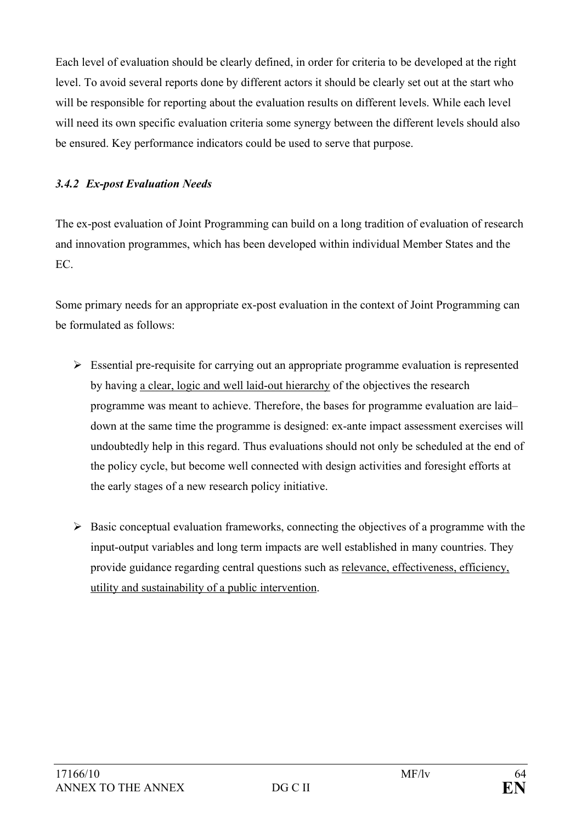Each level of evaluation should be clearly defined, in order for criteria to be developed at the right level. To avoid several reports done by different actors it should be clearly set out at the start who will be responsible for reporting about the evaluation results on different levels. While each level will need its own specific evaluation criteria some synergy between the different levels should also be ensured. Key performance indicators could be used to serve that purpose.

### *3.4.2 Ex-post Evaluation Needs*

The ex-post evaluation of Joint Programming can build on a long tradition of evaluation of research and innovation programmes, which has been developed within individual Member States and the EC.

Some primary needs for an appropriate ex-post evaluation in the context of Joint Programming can be formulated as follows:

- $\triangleright$  Essential pre-requisite for carrying out an appropriate programme evaluation is represented by having a clear, logic and well laid-out hierarchy of the objectives the research programme was meant to achieve. Therefore, the bases for programme evaluation are laid– down at the same time the programme is designed: ex-ante impact assessment exercises will undoubtedly help in this regard. Thus evaluations should not only be scheduled at the end of the policy cycle, but become well connected with design activities and foresight efforts at the early stages of a new research policy initiative.
- $\triangleright$  Basic conceptual evaluation frameworks, connecting the objectives of a programme with the input-output variables and long term impacts are well established in many countries. They provide guidance regarding central questions such as relevance, effectiveness, efficiency, utility and sustainability of a public intervention.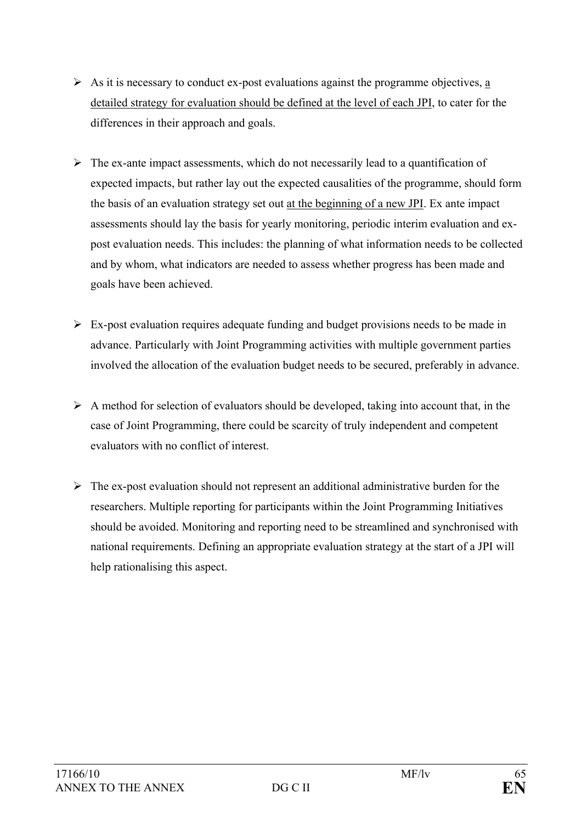- $\triangleright$  As it is necessary to conduct ex-post evaluations against the programme objectives, a detailed strategy for evaluation should be defined at the level of each JPI, to cater for the differences in their approach and goals.
- $\triangleright$  The ex-ante impact assessments, which do not necessarily lead to a quantification of expected impacts, but rather lay out the expected causalities of the programme, should form the basis of an evaluation strategy set out at the beginning of a new JPI. Ex ante impact assessments should lay the basis for yearly monitoring, periodic interim evaluation and expost evaluation needs. This includes: the planning of what information needs to be collected and by whom, what indicators are needed to assess whether progress has been made and goals have been achieved.
- $\triangleright$  Ex-post evaluation requires adequate funding and budget provisions needs to be made in advance. Particularly with Joint Programming activities with multiple government parties involved the allocation of the evaluation budget needs to be secured, preferably in advance.
- $\triangleright$  A method for selection of evaluators should be developed, taking into account that, in the case of Joint Programming, there could be scarcity of truly independent and competent evaluators with no conflict of interest.
- $\triangleright$  The ex-post evaluation should not represent an additional administrative burden for the researchers. Multiple reporting for participants within the Joint Programming Initiatives should be avoided. Monitoring and reporting need to be streamlined and synchronised with national requirements. Defining an appropriate evaluation strategy at the start of a JPI will help rationalising this aspect.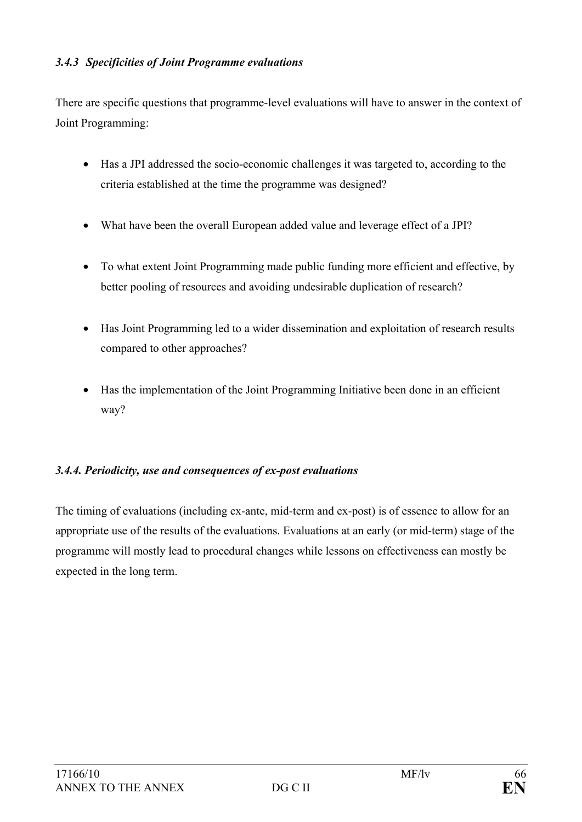#### *3.4.3 Specificities of Joint Programme evaluations*

There are specific questions that programme-level evaluations will have to answer in the context of Joint Programming:

- Has a JPI addressed the socio-economic challenges it was targeted to, according to the criteria established at the time the programme was designed?
- What have been the overall European added value and leverage effect of a JPI?
- To what extent Joint Programming made public funding more efficient and effective, by better pooling of resources and avoiding undesirable duplication of research?
- Has Joint Programming led to a wider dissemination and exploitation of research results compared to other approaches?
- Has the implementation of the Joint Programming Initiative been done in an efficient way?

#### *3.4.4. Periodicity, use and consequences of ex-post evaluations*

The timing of evaluations (including ex-ante, mid-term and ex-post) is of essence to allow for an appropriate use of the results of the evaluations. Evaluations at an early (or mid-term) stage of the programme will mostly lead to procedural changes while lessons on effectiveness can mostly be expected in the long term.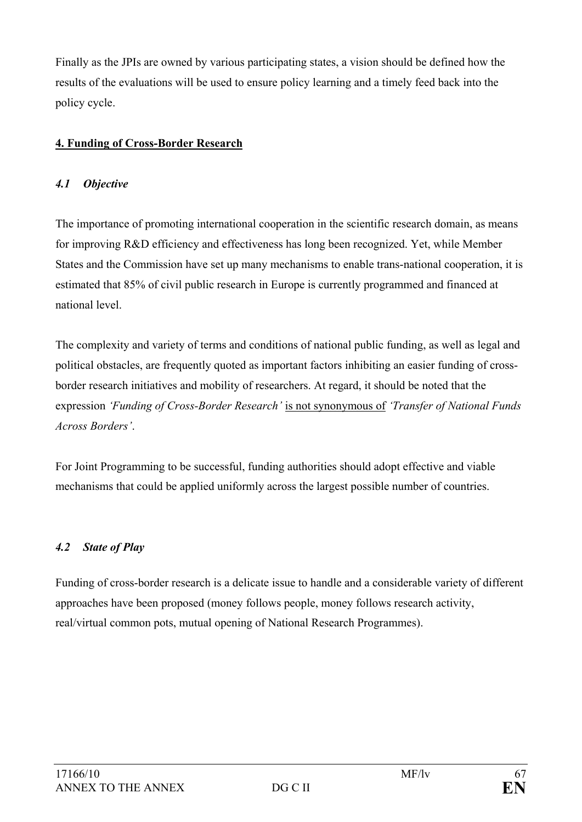Finally as the JPIs are owned by various participating states, a vision should be defined how the results of the evaluations will be used to ensure policy learning and a timely feed back into the policy cycle.

## **4. Funding of Cross-Border Research**

### *4.1 Objective*

The importance of promoting international cooperation in the scientific research domain, as means for improving R&D efficiency and effectiveness has long been recognized. Yet, while Member States and the Commission have set up many mechanisms to enable trans-national cooperation, it is estimated that 85% of civil public research in Europe is currently programmed and financed at national level.

The complexity and variety of terms and conditions of national public funding, as well as legal and political obstacles, are frequently quoted as important factors inhibiting an easier funding of crossborder research initiatives and mobility of researchers. At regard, it should be noted that the expression *'Funding of Cross-Border Research'* is not synonymous of *'Transfer of National Funds Across Borders'*.

For Joint Programming to be successful, funding authorities should adopt effective and viable mechanisms that could be applied uniformly across the largest possible number of countries.

## *4.2 State of Play*

Funding of cross-border research is a delicate issue to handle and a considerable variety of different approaches have been proposed (money follows people, money follows research activity, real/virtual common pots, mutual opening of National Research Programmes).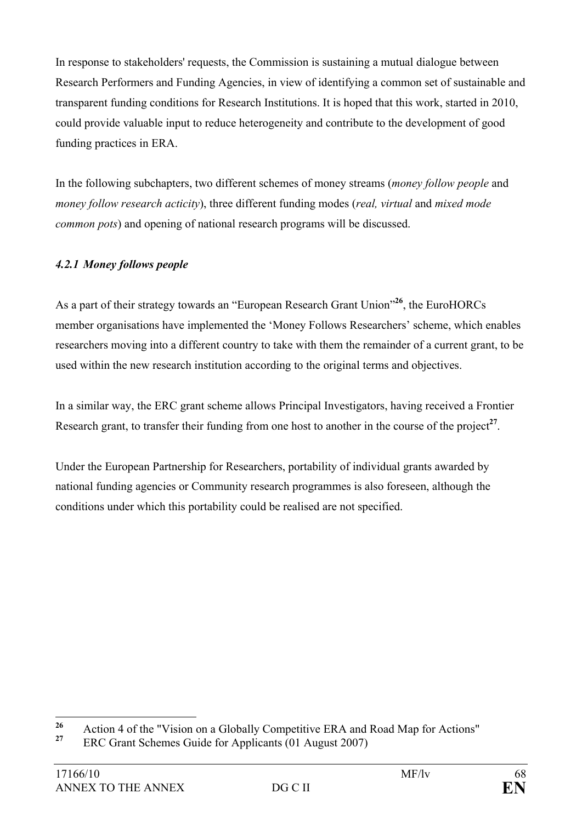In response to stakeholders' requests, the Commission is sustaining a mutual dialogue between Research Performers and Funding Agencies, in view of identifying a common set of sustainable and transparent funding conditions for Research Institutions. It is hoped that this work, started in 2010, could provide valuable input to reduce heterogeneity and contribute to the development of good funding practices in ERA.

In the following subchapters, two different schemes of money streams (*money follow people* and *money follow research acticity*), three different funding modes (*real, virtual* and *mixed mode common pots*) and opening of national research programs will be discussed.

## *4.2.1 Money follows people*

As a part of their strategy towards an "European Research Grant Union"**<sup>26</sup>**, the EuroHORCs member organisations have implemented the 'Money Follows Researchers' scheme, which enables researchers moving into a different country to take with them the remainder of a current grant, to be used within the new research institution according to the original terms and objectives.

In a similar way, the ERC grant scheme allows Principal Investigators, having received a Frontier Research grant, to transfer their funding from one host to another in the course of the project<sup>27</sup>.

Under the European Partnership for Researchers, portability of individual grants awarded by national funding agencies or Community research programmes is also foreseen, although the conditions under which this portability could be realised are not specified.

 $26$ <sup>26</sup> Action 4 of the "Vision on a Globally Competitive ERA and Road Map for Actions"<br><sup>27</sup> EBC Crant Sakamas Cuide for Applicants (01 Avenuet 2007)

**<sup>27</sup>** ERC Grant Schemes Guide for Applicants (01 August 2007)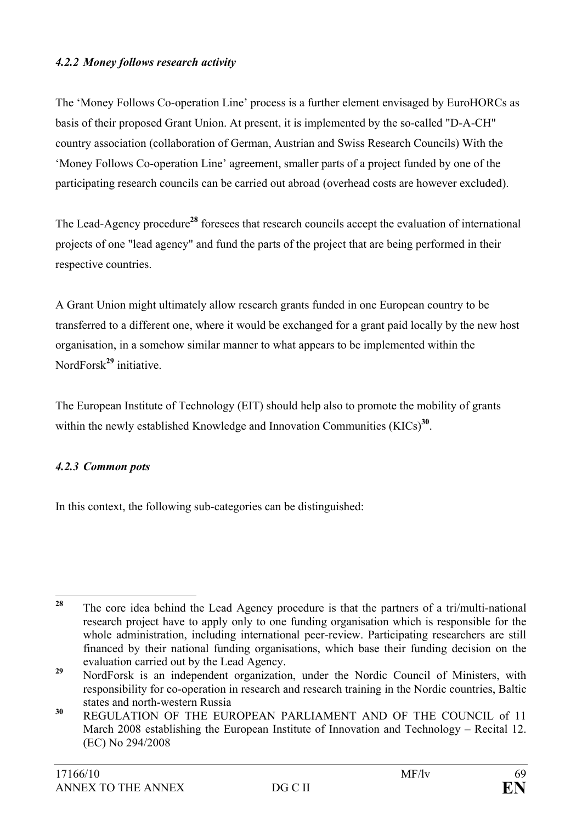#### *4.2.2 Money follows research activity*

The 'Money Follows Co-operation Line' process is a further element envisaged by EuroHORCs as basis of their proposed Grant Union. At present, it is implemented by the so-called "D-A-CH" country association (collaboration of German, Austrian and Swiss Research Councils) With the 'Money Follows Co-operation Line' agreement, smaller parts of a project funded by one of the participating research councils can be carried out abroad (overhead costs are however excluded).

The Lead-Agency procedure**<sup>28</sup>** foresees that research councils accept the evaluation of international projects of one "lead agency" and fund the parts of the project that are being performed in their respective countries.

A Grant Union might ultimately allow research grants funded in one European country to be transferred to a different one, where it would be exchanged for a grant paid locally by the new host organisation, in a somehow similar manner to what appears to be implemented within the NordForsk**<sup>29</sup>** initiative.

The European Institute of Technology (EIT) should help also to promote the mobility of grants within the newly established Knowledge and Innovation Communities (KICs)<sup>30</sup>.

#### *4.2.3 Common pots*

In this context, the following sub-categories can be distinguished:

<sup>28</sup> **<sup>28</sup>** The core idea behind the Lead Agency procedure is that the partners of a tri/multi-national research project have to apply only to one funding organisation which is responsible for the whole administration, including international peer-review. Participating researchers are still financed by their national funding organisations, which base their funding decision on the evaluation carried out by the Lead Agency.

**<sup>29</sup>** NordForsk is an independent organization, under the Nordic Council of Ministers, with responsibility for co-operation in research and research training in the Nordic countries, Baltic states and north-western Russia

**<sup>30</sup>** REGULATION OF THE EUROPEAN PARLIAMENT AND OF THE COUNCIL of 11 March 2008 establishing the European Institute of Innovation and Technology – Recital 12. (EC) No 294/2008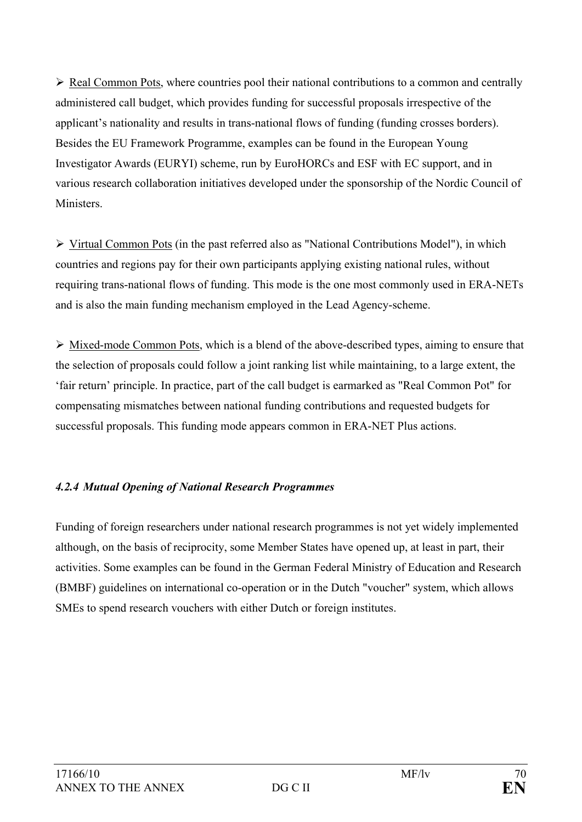$\triangleright$  Real Common Pots, where countries pool their national contributions to a common and centrally administered call budget, which provides funding for successful proposals irrespective of the applicant's nationality and results in trans-national flows of funding (funding crosses borders). Besides the EU Framework Programme, examples can be found in the European Young Investigator Awards (EURYI) scheme, run by EuroHORCs and ESF with EC support, and in various research collaboration initiatives developed under the sponsorship of the Nordic Council of **Ministers** 

 $\triangleright$  Virtual Common Pots (in the past referred also as "National Contributions Model"), in which countries and regions pay for their own participants applying existing national rules, without requiring trans-national flows of funding. This mode is the one most commonly used in ERA-NETs and is also the main funding mechanism employed in the Lead Agency-scheme.

 $\triangleright$  Mixed-mode Common Pots, which is a blend of the above-described types, aiming to ensure that the selection of proposals could follow a joint ranking list while maintaining, to a large extent, the 'fair return' principle. In practice, part of the call budget is earmarked as "Real Common Pot" for compensating mismatches between national funding contributions and requested budgets for successful proposals. This funding mode appears common in ERA-NET Plus actions.

## *4.2.4 Mutual Opening of National Research Programmes*

Funding of foreign researchers under national research programmes is not yet widely implemented although, on the basis of reciprocity, some Member States have opened up, at least in part, their activities. Some examples can be found in the German Federal Ministry of Education and Research (BMBF) guidelines on international co-operation or in the Dutch "voucher" system, which allows SMEs to spend research vouchers with either Dutch or foreign institutes.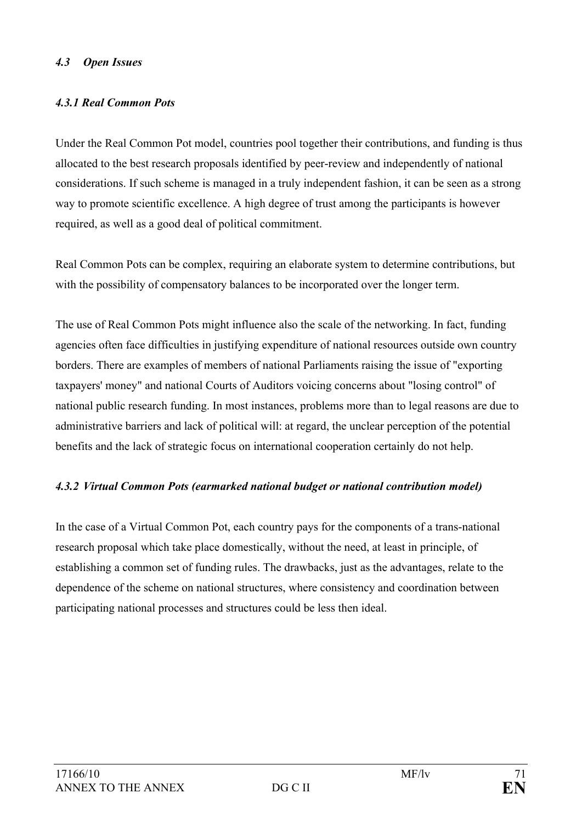#### *4.3 Open Issues*

#### *4.3.1 Real Common Pots*

Under the Real Common Pot model, countries pool together their contributions, and funding is thus allocated to the best research proposals identified by peer-review and independently of national considerations. If such scheme is managed in a truly independent fashion, it can be seen as a strong way to promote scientific excellence. A high degree of trust among the participants is however required, as well as a good deal of political commitment.

Real Common Pots can be complex, requiring an elaborate system to determine contributions, but with the possibility of compensatory balances to be incorporated over the longer term.

The use of Real Common Pots might influence also the scale of the networking. In fact, funding agencies often face difficulties in justifying expenditure of national resources outside own country borders. There are examples of members of national Parliaments raising the issue of "exporting taxpayers' money" and national Courts of Auditors voicing concerns about "losing control" of national public research funding. In most instances, problems more than to legal reasons are due to administrative barriers and lack of political will: at regard, the unclear perception of the potential benefits and the lack of strategic focus on international cooperation certainly do not help.

#### *4.3.2 Virtual Common Pots (earmarked national budget or national contribution model)*

In the case of a Virtual Common Pot, each country pays for the components of a trans-national research proposal which take place domestically, without the need, at least in principle, of establishing a common set of funding rules. The drawbacks, just as the advantages, relate to the dependence of the scheme on national structures, where consistency and coordination between participating national processes and structures could be less then ideal.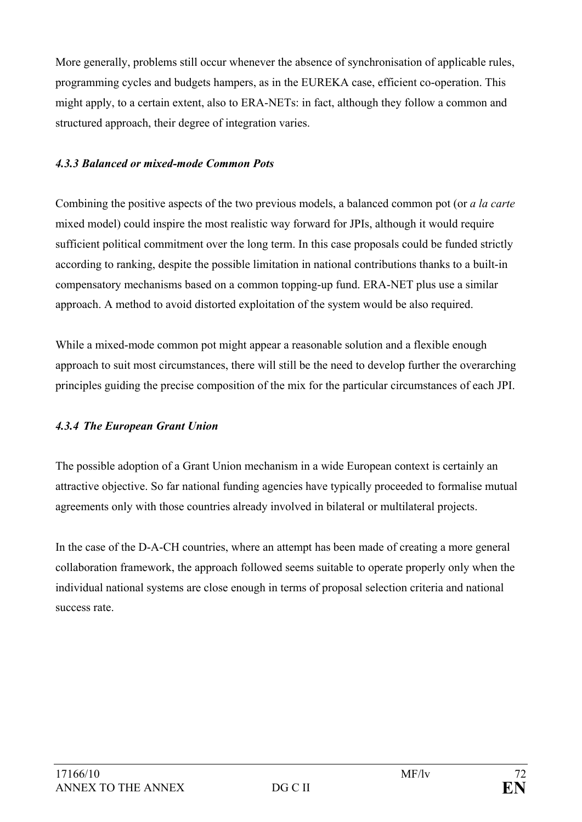More generally, problems still occur whenever the absence of synchronisation of applicable rules, programming cycles and budgets hampers, as in the EUREKA case, efficient co-operation. This might apply, to a certain extent, also to ERA-NETs: in fact, although they follow a common and structured approach, their degree of integration varies.

## *4.3.3 Balanced or mixed-mode Common Pots*

Combining the positive aspects of the two previous models, a balanced common pot (or *a la carte* mixed model) could inspire the most realistic way forward for JPIs, although it would require sufficient political commitment over the long term. In this case proposals could be funded strictly according to ranking, despite the possible limitation in national contributions thanks to a built-in compensatory mechanisms based on a common topping-up fund. ERA-NET plus use a similar approach. A method to avoid distorted exploitation of the system would be also required.

While a mixed-mode common pot might appear a reasonable solution and a flexible enough approach to suit most circumstances, there will still be the need to develop further the overarching principles guiding the precise composition of the mix for the particular circumstances of each JPI.

## *4.3.4 The European Grant Union*

The possible adoption of a Grant Union mechanism in a wide European context is certainly an attractive objective. So far national funding agencies have typically proceeded to formalise mutual agreements only with those countries already involved in bilateral or multilateral projects.

In the case of the D-A-CH countries, where an attempt has been made of creating a more general collaboration framework, the approach followed seems suitable to operate properly only when the individual national systems are close enough in terms of proposal selection criteria and national success rate.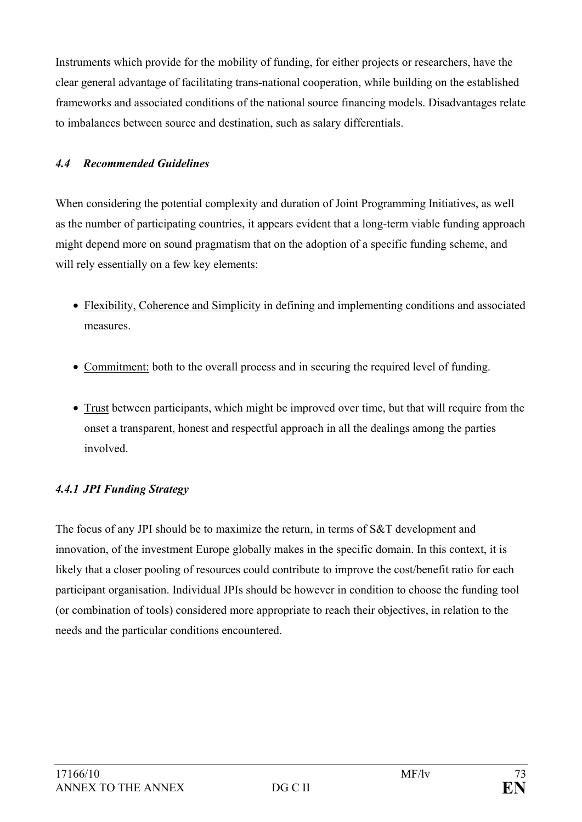Instruments which provide for the mobility of funding, for either projects or researchers, have the clear general advantage of facilitating trans-national cooperation, while building on the established frameworks and associated conditions of the national source financing models. Disadvantages relate to imbalances between source and destination, such as salary differentials.

## *4.4 Recommended Guidelines*

When considering the potential complexity and duration of Joint Programming Initiatives, as well as the number of participating countries, it appears evident that a long-term viable funding approach might depend more on sound pragmatism that on the adoption of a specific funding scheme, and will rely essentially on a few key elements:

- Flexibility, Coherence and Simplicity in defining and implementing conditions and associated measures.
- Commitment: both to the overall process and in securing the required level of funding.
- Trust between participants, which might be improved over time, but that will require from the onset a transparent, honest and respectful approach in all the dealings among the parties involved.

## *4.4.1 JPI Funding Strategy*

The focus of any JPI should be to maximize the return, in terms of S&T development and innovation, of the investment Europe globally makes in the specific domain. In this context, it is likely that a closer pooling of resources could contribute to improve the cost/benefit ratio for each participant organisation. Individual JPIs should be however in condition to choose the funding tool (or combination of tools) considered more appropriate to reach their objectives, in relation to the needs and the particular conditions encountered.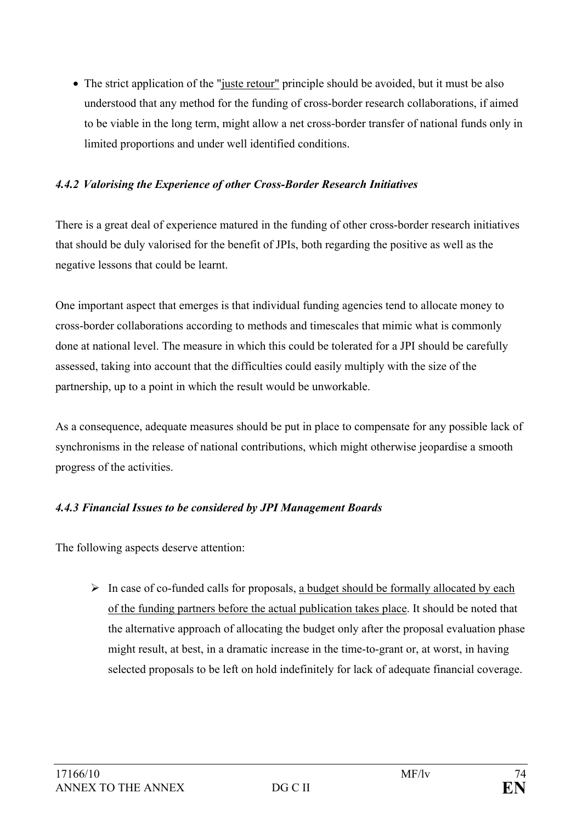• The strict application of the "juste retour" principle should be avoided, but it must be also understood that any method for the funding of cross-border research collaborations, if aimed to be viable in the long term, might allow a net cross-border transfer of national funds only in limited proportions and under well identified conditions.

### *4.4.2 Valorising the Experience of other Cross-Border Research Initiatives*

There is a great deal of experience matured in the funding of other cross-border research initiatives that should be duly valorised for the benefit of JPIs, both regarding the positive as well as the negative lessons that could be learnt.

One important aspect that emerges is that individual funding agencies tend to allocate money to cross-border collaborations according to methods and timescales that mimic what is commonly done at national level. The measure in which this could be tolerated for a JPI should be carefully assessed, taking into account that the difficulties could easily multiply with the size of the partnership, up to a point in which the result would be unworkable.

As a consequence, adequate measures should be put in place to compensate for any possible lack of synchronisms in the release of national contributions, which might otherwise jeopardise a smooth progress of the activities.

## *4.4.3 Financial Issues to be considered by JPI Management Boards*

The following aspects deserve attention:

 $\triangleright$  In case of co-funded calls for proposals, a budget should be formally allocated by each of the funding partners before the actual publication takes place. It should be noted that the alternative approach of allocating the budget only after the proposal evaluation phase might result, at best, in a dramatic increase in the time-to-grant or, at worst, in having selected proposals to be left on hold indefinitely for lack of adequate financial coverage.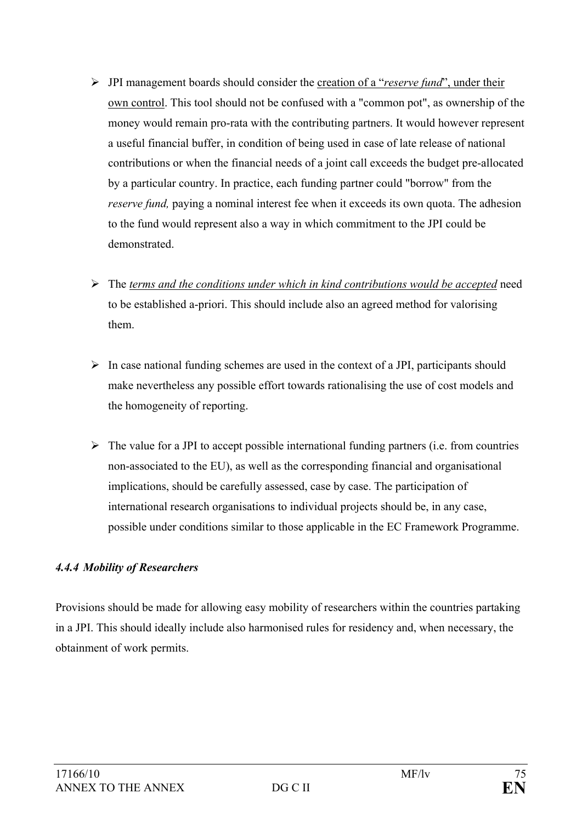- ¾ JPI management boards should consider the creation of a "*reserve fund*", under their own control. This tool should not be confused with a "common pot", as ownership of the money would remain pro-rata with the contributing partners. It would however represent a useful financial buffer, in condition of being used in case of late release of national contributions or when the financial needs of a joint call exceeds the budget pre-allocated by a particular country. In practice, each funding partner could "borrow" from the *reserve fund*, paying a nominal interest fee when it exceeds its own quota. The adhesion to the fund would represent also a way in which commitment to the JPI could be demonstrated.
- ¾ The *terms and the conditions under which in kind contributions would be accepted* need to be established a-priori. This should include also an agreed method for valorising them.
- $\triangleright$  In case national funding schemes are used in the context of a JPI, participants should make nevertheless any possible effort towards rationalising the use of cost models and the homogeneity of reporting.
- $\triangleright$  The value for a JPI to accept possible international funding partners (i.e. from countries non-associated to the EU), as well as the corresponding financial and organisational implications, should be carefully assessed, case by case. The participation of international research organisations to individual projects should be, in any case, possible under conditions similar to those applicable in the EC Framework Programme.

### *4.4.4 Mobility of Researchers*

Provisions should be made for allowing easy mobility of researchers within the countries partaking in a JPI. This should ideally include also harmonised rules for residency and, when necessary, the obtainment of work permits.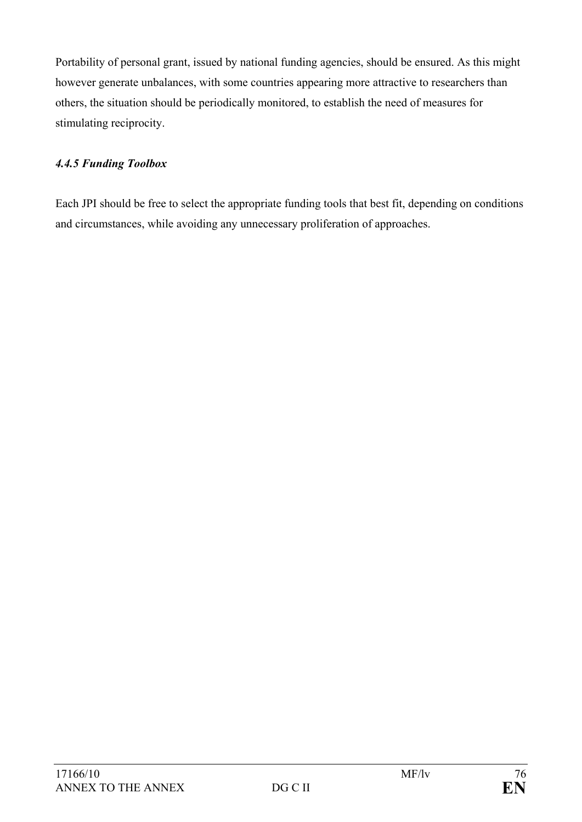Portability of personal grant, issued by national funding agencies, should be ensured. As this might however generate unbalances, with some countries appearing more attractive to researchers than others, the situation should be periodically monitored, to establish the need of measures for stimulating reciprocity.

## *4.4.5 Funding Toolbox*

Each JPI should be free to select the appropriate funding tools that best fit, depending on conditions and circumstances, while avoiding any unnecessary proliferation of approaches.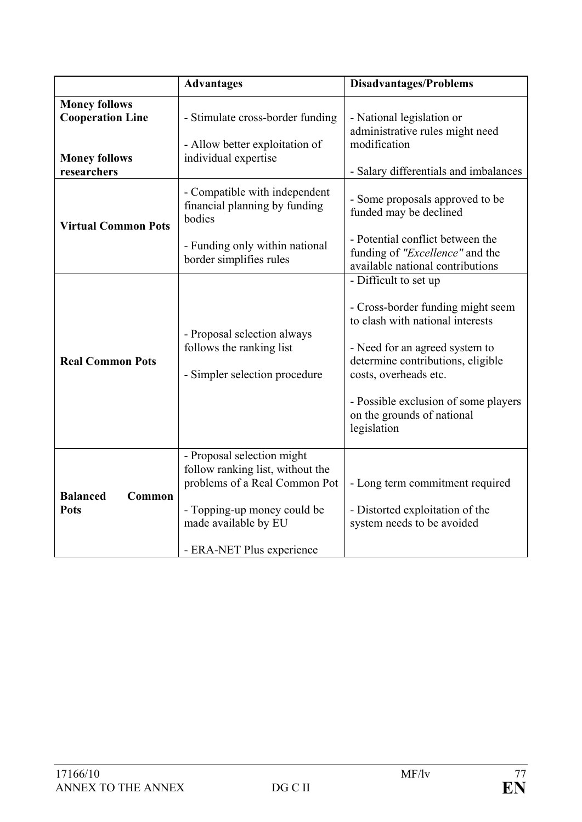|                                                                                        | <b>Advantages</b>                                                                                                                                                                   | <b>Disadvantages/Problems</b>                                                                                                                                                                                                                                                       |
|----------------------------------------------------------------------------------------|-------------------------------------------------------------------------------------------------------------------------------------------------------------------------------------|-------------------------------------------------------------------------------------------------------------------------------------------------------------------------------------------------------------------------------------------------------------------------------------|
| <b>Money follows</b><br><b>Cooperation Line</b><br><b>Money follows</b><br>researchers | - Stimulate cross-border funding<br>- Allow better exploitation of<br>individual expertise                                                                                          | - National legislation or<br>administrative rules might need<br>modification<br>- Salary differentials and imbalances                                                                                                                                                               |
| <b>Virtual Common Pots</b>                                                             | - Compatible with independent<br>financial planning by funding<br>bodies<br>- Funding only within national<br>border simplifies rules                                               | - Some proposals approved to be<br>funded may be declined<br>- Potential conflict between the<br>funding of "Excellence" and the<br>available national contributions                                                                                                                |
| <b>Real Common Pots</b>                                                                | - Proposal selection always<br>follows the ranking list<br>- Simpler selection procedure                                                                                            | - Difficult to set up<br>- Cross-border funding might seem<br>to clash with national interests<br>- Need for an agreed system to<br>determine contributions, eligible<br>costs, overheads etc.<br>- Possible exclusion of some players<br>on the grounds of national<br>legislation |
| <b>Balanced</b><br>Common<br><b>Pots</b>                                               | - Proposal selection might<br>follow ranking list, without the<br>problems of a Real Common Pot<br>- Topping-up money could be<br>made available by EU<br>- ERA-NET Plus experience | - Long term commitment required<br>- Distorted exploitation of the<br>system needs to be avoided                                                                                                                                                                                    |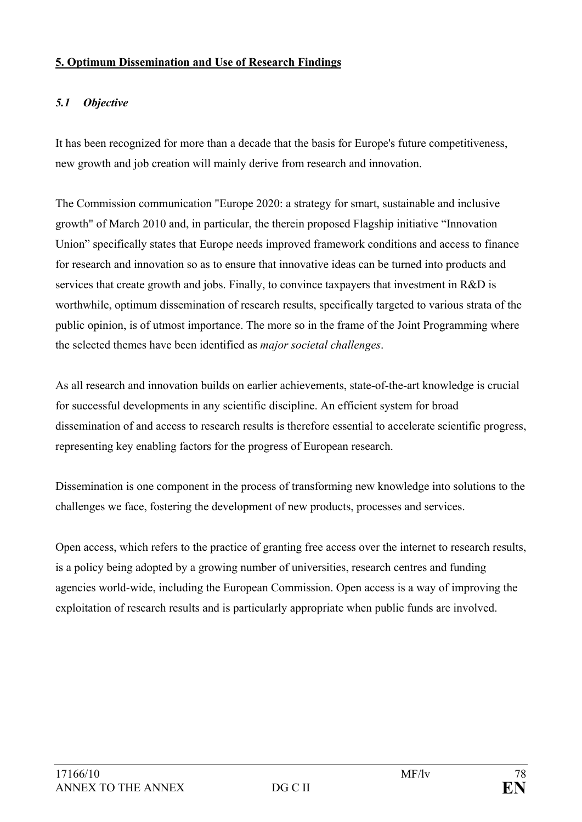#### **5. Optimum Dissemination and Use of Research Findings**

## *5.1 Objective*

It has been recognized for more than a decade that the basis for Europe's future competitiveness, new growth and job creation will mainly derive from research and innovation.

The Commission communication "Europe 2020: a strategy for smart, sustainable and inclusive growth" of March 2010 and, in particular, the therein proposed Flagship initiative "Innovation Union" specifically states that Europe needs improved framework conditions and access to finance for research and innovation so as to ensure that innovative ideas can be turned into products and services that create growth and jobs. Finally, to convince taxpayers that investment in R&D is worthwhile, optimum dissemination of research results, specifically targeted to various strata of the public opinion, is of utmost importance. The more so in the frame of the Joint Programming where the selected themes have been identified as *major societal challenges*.

As all research and innovation builds on earlier achievements, state-of-the-art knowledge is crucial for successful developments in any scientific discipline. An efficient system for broad dissemination of and access to research results is therefore essential to accelerate scientific progress, representing key enabling factors for the progress of European research.

Dissemination is one component in the process of transforming new knowledge into solutions to the challenges we face, fostering the development of new products, processes and services.

Open access, which refers to the practice of granting free access over the internet to research results, is a policy being adopted by a growing number of universities, research centres and funding agencies world-wide, including the European Commission. Open access is a way of improving the exploitation of research results and is particularly appropriate when public funds are involved.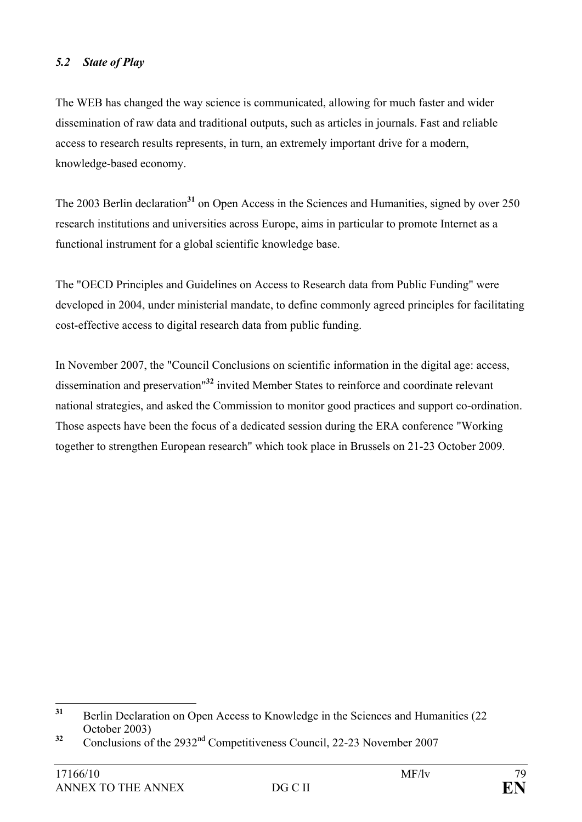#### *5.2 State of Play*

The WEB has changed the way science is communicated, allowing for much faster and wider dissemination of raw data and traditional outputs, such as articles in journals. Fast and reliable access to research results represents, in turn, an extremely important drive for a modern, knowledge-based economy.

The 2003 Berlin declaration<sup>31</sup> on Open Access in the Sciences and Humanities, signed by over 250 research institutions and universities across Europe, aims in particular to promote Internet as a functional instrument for a global scientific knowledge base.

The "OECD Principles and Guidelines on Access to Research data from Public Funding" were developed in 2004, under ministerial mandate, to define commonly agreed principles for facilitating cost-effective access to digital research data from public funding.

In November 2007, the "Council Conclusions on scientific information in the digital age: access, dissemination and preservation"**<sup>32</sup>** invited Member States to reinforce and coordinate relevant national strategies, and asked the Commission to monitor good practices and support co-ordination. Those aspects have been the focus of a dedicated session during the ERA conference "Working together to strengthen European research" which took place in Brussels on 21-23 October 2009.

 $31$ **<sup>31</sup>** Berlin Declaration on Open Access to Knowledge in the Sciences and Humanities (22 October 2003)

<sup>&</sup>lt;sup>32</sup> Conclusions of the 2932<sup>nd</sup> Competitiveness Council, 22-23 November 2007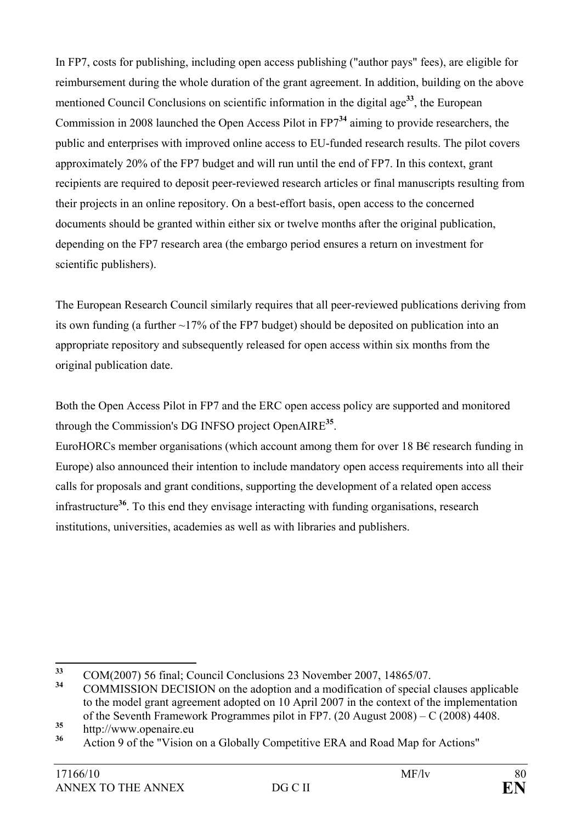In FP7, costs for publishing, including open access publishing ("author pays" fees), are eligible for reimbursement during the whole duration of the grant agreement. In addition, building on the above mentioned Council Conclusions on scientific information in the digital age**<sup>33</sup>**, the European Commission in 2008 launched the Open Access Pilot in FP7**<sup>34</sup>** aiming to provide researchers, the public and enterprises with improved online access to EU-funded research results. The pilot covers approximately 20% of the FP7 budget and will run until the end of FP7. In this context, grant recipients are required to deposit peer-reviewed research articles or final manuscripts resulting from their projects in an online repository. On a best-effort basis, open access to the concerned documents should be granted within either six or twelve months after the original publication, depending on the FP7 research area (the embargo period ensures a return on investment for scientific publishers).

The European Research Council similarly requires that all peer-reviewed publications deriving from its own funding (a further  $\sim$ 17% of the FP7 budget) should be deposited on publication into an appropriate repository and subsequently released for open access within six months from the original publication date.

Both the Open Access Pilot in FP7 and the ERC open access policy are supported and monitored through the Commission's DG INFSO project OpenAIRE**<sup>35</sup>**.

EuroHORCs member organisations (which account among them for over 18 B $\epsilon$  research funding in Europe) also announced their intention to include mandatory open access requirements into all their calls for proposals and grant conditions, supporting the development of a related open access infrastructure**<sup>36</sup>**. To this end they envisage interacting with funding organisations, research institutions, universities, academies as well as with libraries and publishers.

<sup>33</sup> **<sup>33</sup>** COM(2007) 56 final; Council Conclusions 23 November 2007, 14865/07.

**<sup>34</sup>** COMMISSION DECISION on the adoption and a modification of special clauses applicable to the model grant agreement adopted on 10 April 2007 in the context of the implementation of the Seventh Framework Programmes pilot in FP7. (20 August 2008) – C (2008) 4408.

<sup>&</sup>lt;sup>35</sup> http://www.openaire.eu

**<sup>36</sup>** Action 9 of the "Vision on a Globally Competitive ERA and Road Map for Actions"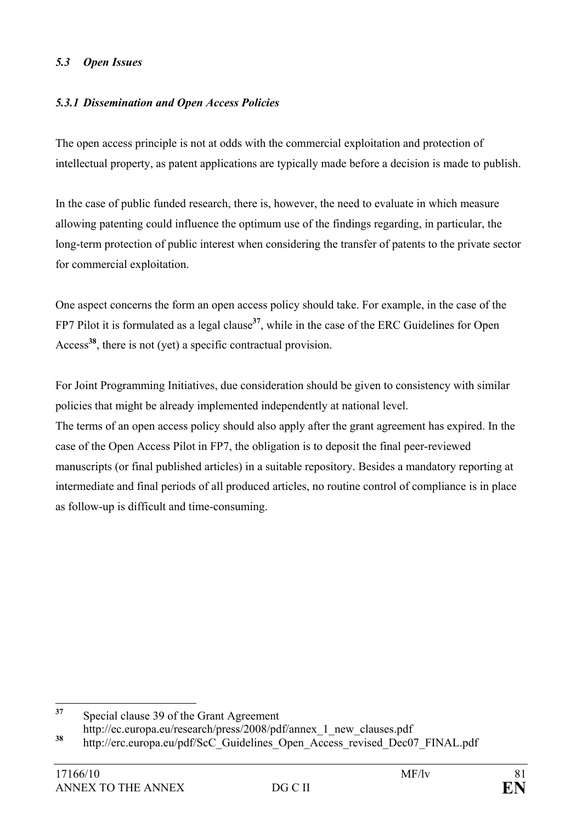### *5.3 Open Issues*

### *5.3.1 Dissemination and Open Access Policies*

The open access principle is not at odds with the commercial exploitation and protection of intellectual property, as patent applications are typically made before a decision is made to publish.

In the case of public funded research, there is, however, the need to evaluate in which measure allowing patenting could influence the optimum use of the findings regarding, in particular, the long-term protection of public interest when considering the transfer of patents to the private sector for commercial exploitation.

One aspect concerns the form an open access policy should take. For example, in the case of the FP7 Pilot it is formulated as a legal clause**<sup>37</sup>**, while in the case of the ERC Guidelines for Open Access**<sup>38</sup>**, there is not (yet) a specific contractual provision.

For Joint Programming Initiatives, due consideration should be given to consistency with similar policies that might be already implemented independently at national level.

The terms of an open access policy should also apply after the grant agreement has expired. In the case of the Open Access Pilot in FP7, the obligation is to deposit the final peer-reviewed manuscripts (or final published articles) in a suitable repository. Besides a mandatory reporting at intermediate and final periods of all produced articles, no routine control of compliance is in place as follow-up is difficult and time-consuming.

 $37$ **<sup>37</sup>** Special clause 39 of the Grant Agreement http://ec.europa.eu/research/press/2008/pdf/annex\_1\_new\_clauses.pdf

<sup>&</sup>lt;sup>38</sup> http://erc.europa.eu/pdf/ScC\_Guidelines\_Open\_Access\_revised\_Dec07\_FINAL.pdf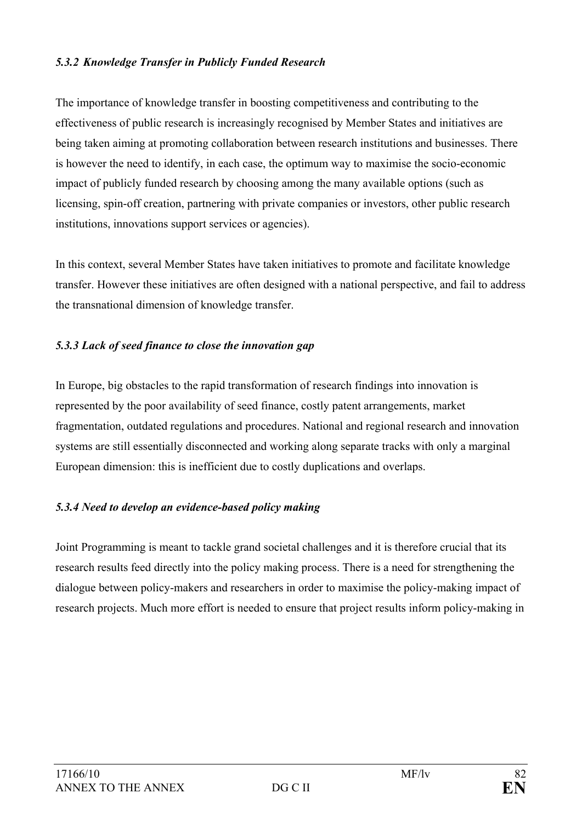#### *5.3.2 Knowledge Transfer in Publicly Funded Research*

The importance of knowledge transfer in boosting competitiveness and contributing to the effectiveness of public research is increasingly recognised by Member States and initiatives are being taken aiming at promoting collaboration between research institutions and businesses. There is however the need to identify, in each case, the optimum way to maximise the socio-economic impact of publicly funded research by choosing among the many available options (such as licensing, spin-off creation, partnering with private companies or investors, other public research institutions, innovations support services or agencies).

In this context, several Member States have taken initiatives to promote and facilitate knowledge transfer. However these initiatives are often designed with a national perspective, and fail to address the transnational dimension of knowledge transfer.

### *5.3.3 Lack of seed finance to close the innovation gap*

In Europe, big obstacles to the rapid transformation of research findings into innovation is represented by the poor availability of seed finance, costly patent arrangements, market fragmentation, outdated regulations and procedures. National and regional research and innovation systems are still essentially disconnected and working along separate tracks with only a marginal European dimension: this is inefficient due to costly duplications and overlaps.

### *5.3.4 Need to develop an evidence-based policy making*

Joint Programming is meant to tackle grand societal challenges and it is therefore crucial that its research results feed directly into the policy making process. There is a need for strengthening the dialogue between policy-makers and researchers in order to maximise the policy-making impact of research projects. Much more effort is needed to ensure that project results inform policy-making in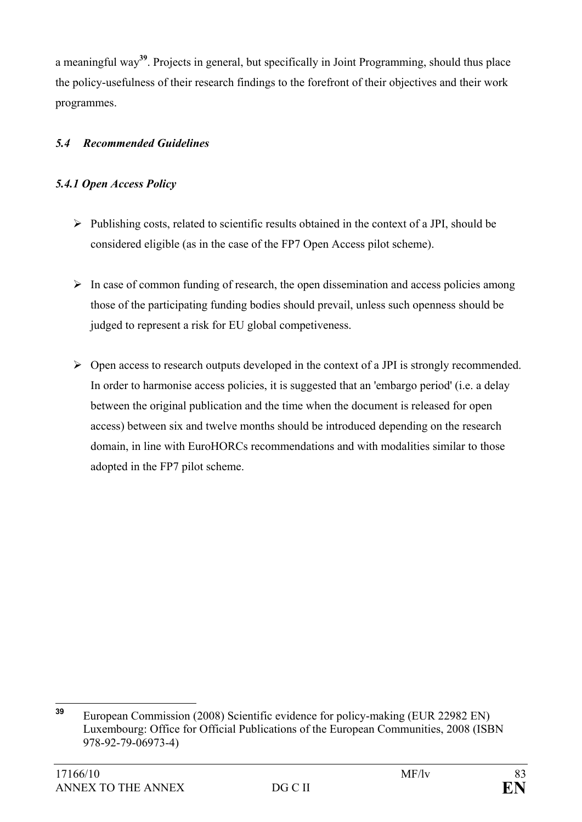a meaningful way**<sup>39</sup>**. Projects in general, but specifically in Joint Programming, should thus place the policy-usefulness of their research findings to the forefront of their objectives and their work programmes.

## *5.4 Recommended Guidelines*

## *5.4.1 Open Access Policy*

- $\triangleright$  Publishing costs, related to scientific results obtained in the context of a JPI, should be considered eligible (as in the case of the FP7 Open Access pilot scheme).
- $\triangleright$  In case of common funding of research, the open dissemination and access policies among those of the participating funding bodies should prevail, unless such openness should be judged to represent a risk for EU global competiveness.
- $\triangleright$  Open access to research outputs developed in the context of a JPI is strongly recommended. In order to harmonise access policies, it is suggested that an 'embargo period' (i.e. a delay between the original publication and the time when the document is released for open access) between six and twelve months should be introduced depending on the research domain, in line with EuroHORCs recommendations and with modalities similar to those adopted in the FP7 pilot scheme.

<sup>39</sup> **<sup>39</sup>** European Commission (2008) Scientific evidence for policy-making (EUR 22982 EN) Luxembourg: Office for Official Publications of the European Communities, 2008 (ISBN 978-92-79-06973-4)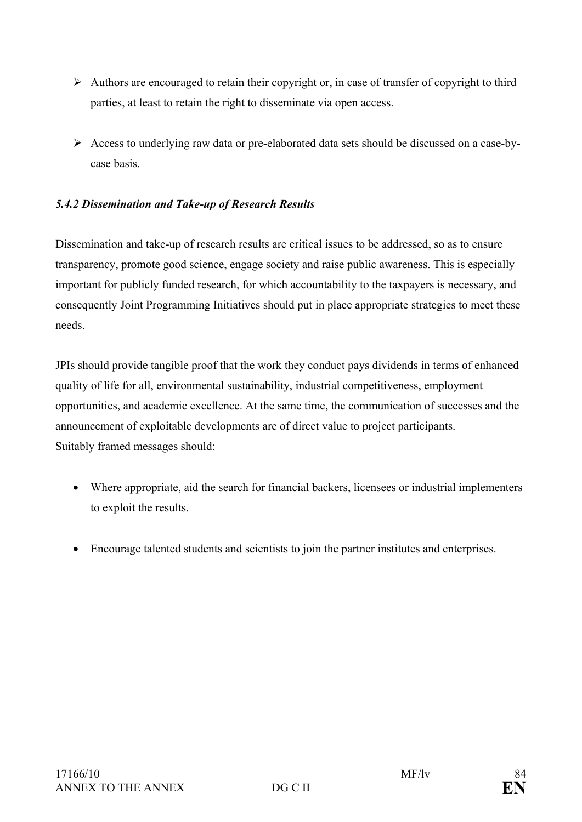- $\triangleright$  Authors are encouraged to retain their copyright or, in case of transfer of copyright to third parties, at least to retain the right to disseminate via open access.
- ¾ Access to underlying raw data or pre-elaborated data sets should be discussed on a case-bycase basis.

## *5.4.2 Dissemination and Take-up of Research Results*

Dissemination and take-up of research results are critical issues to be addressed, so as to ensure transparency, promote good science, engage society and raise public awareness. This is especially important for publicly funded research, for which accountability to the taxpayers is necessary, and consequently Joint Programming Initiatives should put in place appropriate strategies to meet these needs.

JPIs should provide tangible proof that the work they conduct pays dividends in terms of enhanced quality of life for all, environmental sustainability, industrial competitiveness, employment opportunities, and academic excellence. At the same time, the communication of successes and the announcement of exploitable developments are of direct value to project participants. Suitably framed messages should:

- Where appropriate, aid the search for financial backers, licensees or industrial implementers to exploit the results.
- Encourage talented students and scientists to join the partner institutes and enterprises.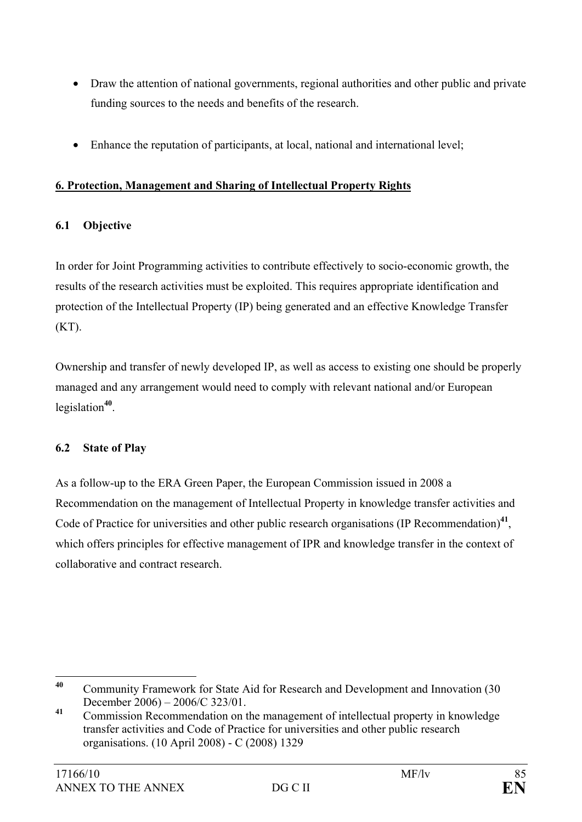- Draw the attention of national governments, regional authorities and other public and private funding sources to the needs and benefits of the research.
- Enhance the reputation of participants, at local, national and international level;

## **6. Protection, Management and Sharing of Intellectual Property Rights**

## **6.1 Objective**

In order for Joint Programming activities to contribute effectively to socio-economic growth, the results of the research activities must be exploited. This requires appropriate identification and protection of the Intellectual Property (IP) being generated and an effective Knowledge Transfer  $(KT)$ .

Ownership and transfer of newly developed IP, as well as access to existing one should be properly managed and any arrangement would need to comply with relevant national and/or European legislation**<sup>40</sup>**.

## **6.2 State of Play**

As a follow-up to the ERA Green Paper, the European Commission issued in 2008 a Recommendation on the management of Intellectual Property in knowledge transfer activities and Code of Practice for universities and other public research organisations (IP Recommendation)<sup>41</sup>, which offers principles for effective management of IPR and knowledge transfer in the context of collaborative and contract research.

<sup>40</sup> **<sup>40</sup>** Community Framework for State Aid for Research and Development and Innovation (30 December 2006) – 2006/C 323/01.

**<sup>41</sup>** Commission Recommendation on the management of intellectual property in knowledge transfer activities and Code of Practice for universities and other public research organisations. (10 April 2008) - C (2008) 1329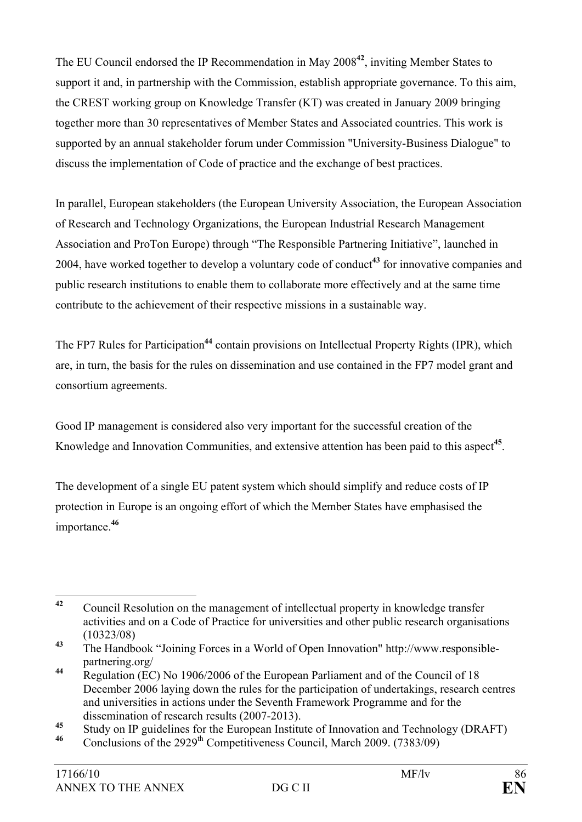The EU Council endorsed the IP Recommendation in May 2008**<sup>42</sup>**, inviting Member States to support it and, in partnership with the Commission, establish appropriate governance. To this aim, the CREST working group on Knowledge Transfer (KT) was created in January 2009 bringing together more than 30 representatives of Member States and Associated countries. This work is supported by an annual stakeholder forum under Commission "University-Business Dialogue" to discuss the implementation of Code of practice and the exchange of best practices.

In parallel, European stakeholders (the European University Association, the European Association of Research and Technology Organizations, the European Industrial Research Management Association and ProTon Europe) through "The Responsible Partnering Initiative", launched in 2004, have worked together to develop a voluntary code of conduct**<sup>43</sup>** for innovative companies and public research institutions to enable them to collaborate more effectively and at the same time contribute to the achievement of their respective missions in a sustainable way.

The FP7 Rules for Participation<sup>44</sup> contain provisions on Intellectual Property Rights (IPR), which are, in turn, the basis for the rules on dissemination and use contained in the FP7 model grant and consortium agreements.

Good IP management is considered also very important for the successful creation of the Knowledge and Innovation Communities, and extensive attention has been paid to this aspect**<sup>45</sup>**.

The development of a single EU patent system which should simplify and reduce costs of IP protection in Europe is an ongoing effort of which the Member States have emphasised the importance.**<sup>46</sup>**

 $42$ **<sup>42</sup>** Council Resolution on the management of intellectual property in knowledge transfer activities and on a Code of Practice for universities and other public research organisations (10323/08)

**<sup>43</sup>** The Handbook "Joining Forces in a World of Open Innovation" http://www.responsiblepartnering.org/

**<sup>44</sup>** Regulation (EC) No 1906/2006 of the European Parliament and of the Council of 18 December 2006 laying down the rules for the participation of undertakings, research centres and universities in actions under the Seventh Framework Programme and for the dissemination of research results (2007-2013).

<sup>&</sup>lt;sup>45</sup> Study on IP guidelines for the European Institute of Innovation and Technology (DRAFT)<br><sup>46</sup> Canalysians of the 2000<sup>th</sup> Cannotitiveness Cauncil, Marsh 2000. (7282/00)

Conclusions of the  $2929^{\text{th}}$  Competitiveness Council, March 2009. (7383/09)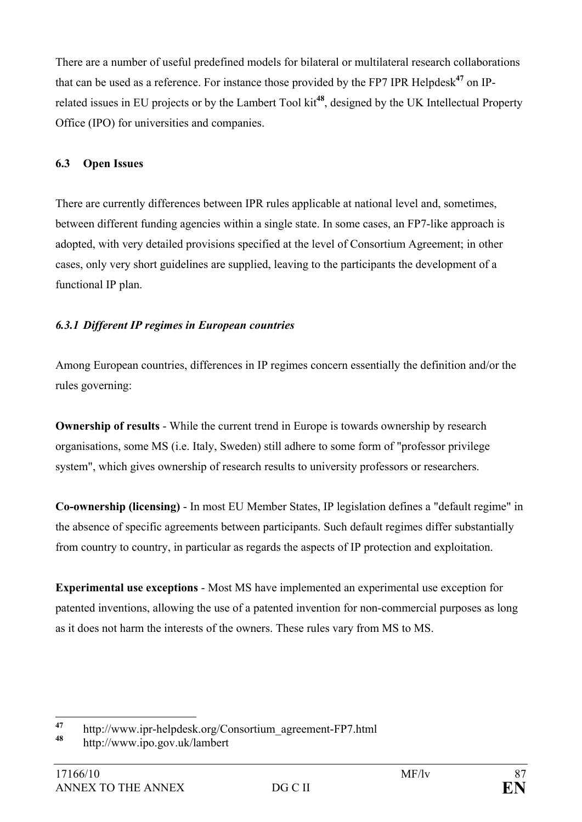There are a number of useful predefined models for bilateral or multilateral research collaborations that can be used as a reference. For instance those provided by the FP7 IPR Helpdesk**<sup>47</sup>** on IPrelated issues in EU projects or by the Lambert Tool kit**<sup>48</sup>**, designed by the UK Intellectual Property Office (IPO) for universities and companies.

## **6.3 Open Issues**

There are currently differences between IPR rules applicable at national level and, sometimes, between different funding agencies within a single state. In some cases, an FP7-like approach is adopted, with very detailed provisions specified at the level of Consortium Agreement; in other cases, only very short guidelines are supplied, leaving to the participants the development of a functional IP plan.

## *6.3.1 Different IP regimes in European countries*

Among European countries, differences in IP regimes concern essentially the definition and/or the rules governing:

**Ownership of results** - While the current trend in Europe is towards ownership by research organisations, some MS (i.e. Italy, Sweden) still adhere to some form of "professor privilege system", which gives ownership of research results to university professors or researchers.

**Co-ownership (licensing)** - In most EU Member States, IP legislation defines a "default regime" in the absence of specific agreements between participants. Such default regimes differ substantially from country to country, in particular as regards the aspects of IP protection and exploitation.

**Experimental use exceptions** - Most MS have implemented an experimental use exception for patented inventions, allowing the use of a patented invention for non-commercial purposes as long as it does not harm the interests of the owners. These rules vary from MS to MS.

 $\overline{47}$ **<sup>47</sup>** http://www.ipr-helpdesk.org/Consortium\_agreement-FP7.html

**<sup>48</sup>** http://www.ipo.gov.uk/lambert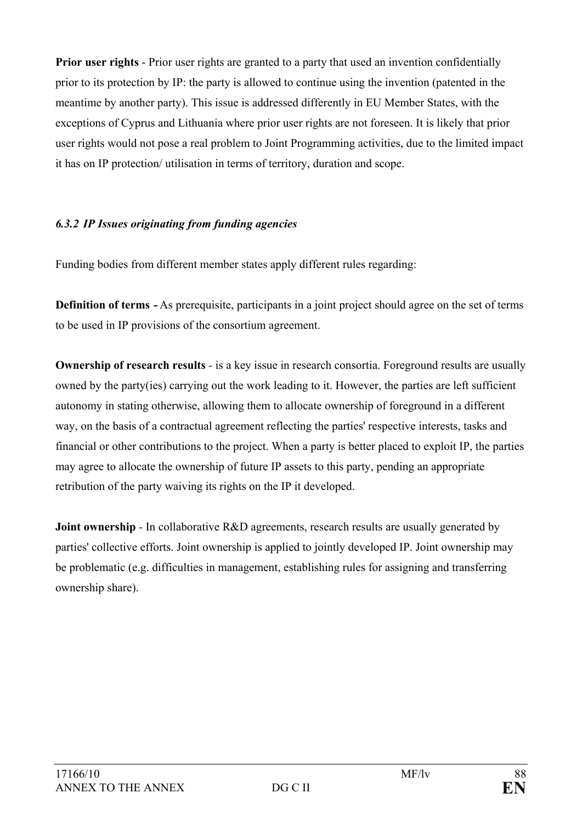**Prior user rights** - Prior user rights are granted to a party that used an invention confidentially prior to its protection by IP: the party is allowed to continue using the invention (patented in the meantime by another party). This issue is addressed differently in EU Member States, with the exceptions of Cyprus and Lithuania where prior user rights are not foreseen. It is likely that prior user rights would not pose a real problem to Joint Programming activities, due to the limited impact it has on IP protection/ utilisation in terms of territory, duration and scope.

### *6.3.2 IP Issues originating from funding agencies*

Funding bodies from different member states apply different rules regarding:

**Definition of terms <b>-** As prerequisite, participants in a joint project should agree on the set of terms to be used in IP provisions of the consortium agreement.

**Ownership of research results** *-* is a key issue in research consortia. Foreground results are usually owned by the party(ies) carrying out the work leading to it. However, the parties are left sufficient autonomy in stating otherwise, allowing them to allocate ownership of foreground in a different way, on the basis of a contractual agreement reflecting the parties' respective interests, tasks and financial or other contributions to the project. When a party is better placed to exploit IP, the parties may agree to allocate the ownership of future IP assets to this party, pending an appropriate retribution of the party waiving its rights on the IP it developed.

**Joint ownership** - In collaborative R&D agreements, research results are usually generated by parties' collective efforts. Joint ownership is applied to jointly developed IP. Joint ownership may be problematic (e.g. difficulties in management, establishing rules for assigning and transferring ownership share).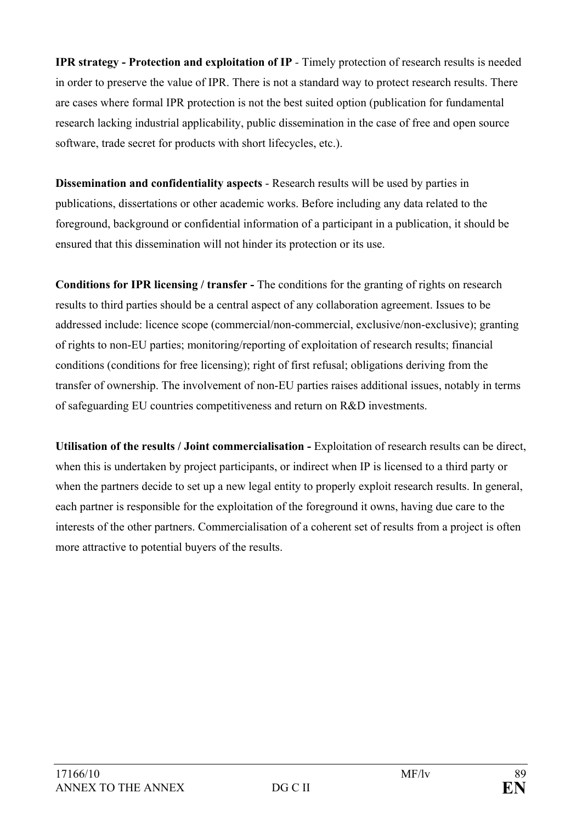**IPR strategy - Protection and exploitation of IP** - Timely protection of research results is needed in order to preserve the value of IPR. There is not a standard way to protect research results. There are cases where formal IPR protection is not the best suited option (publication for fundamental research lacking industrial applicability, public dissemination in the case of free and open source software, trade secret for products with short lifecycles, etc.).

**Dissemination and confidentiality aspects** - Research results will be used by parties in publications, dissertations or other academic works. Before including any data related to the foreground, background or confidential information of a participant in a publication, it should be ensured that this dissemination will not hinder its protection or its use.

**Conditions for IPR licensing / transfer -** The conditions for the granting of rights on research results to third parties should be a central aspect of any collaboration agreement. Issues to be addressed include: licence scope (commercial/non-commercial, exclusive/non-exclusive); granting of rights to non-EU parties; monitoring/reporting of exploitation of research results; financial conditions (conditions for free licensing); right of first refusal; obligations deriving from the transfer of ownership. The involvement of non-EU parties raises additional issues, notably in terms of safeguarding EU countries competitiveness and return on R&D investments.

**Utilisation of the results / Joint commercialisation -** Exploitation of research results can be direct, when this is undertaken by project participants, or indirect when IP is licensed to a third party or when the partners decide to set up a new legal entity to properly exploit research results. In general, each partner is responsible for the exploitation of the foreground it owns, having due care to the interests of the other partners. Commercialisation of a coherent set of results from a project is often more attractive to potential buyers of the results.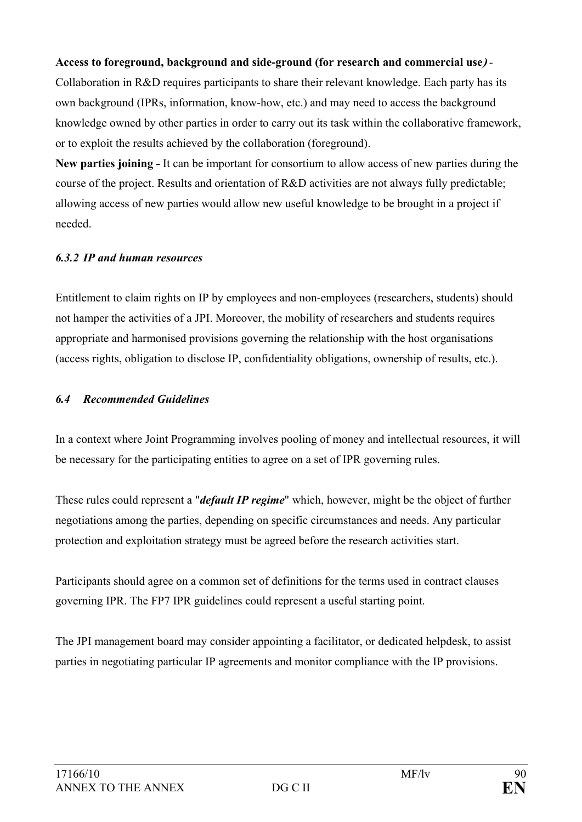#### **Access to foreground, background and side-ground (for research and commercial use)** *-*

Collaboration in R&D requires participants to share their relevant knowledge. Each party has its own background (IPRs, information, know-how, etc.) and may need to access the background knowledge owned by other parties in order to carry out its task within the collaborative framework, or to exploit the results achieved by the collaboration (foreground).

**New parties joining -** It can be important for consortium to allow access of new parties during the course of the project. Results and orientation of R&D activities are not always fully predictable; allowing access of new parties would allow new useful knowledge to be brought in a project if needed.

#### *6.3.2 IP and human resources*

Entitlement to claim rights on IP by employees and non-employees (researchers, students) should not hamper the activities of a JPI. Moreover, the mobility of researchers and students requires appropriate and harmonised provisions governing the relationship with the host organisations (access rights, obligation to disclose IP, confidentiality obligations, ownership of results, etc.).

#### *6.4 Recommended Guidelines*

In a context where Joint Programming involves pooling of money and intellectual resources, it will be necessary for the participating entities to agree on a set of IPR governing rules.

These rules could represent a "*default IP regime*" which, however, might be the object of further negotiations among the parties, depending on specific circumstances and needs. Any particular protection and exploitation strategy must be agreed before the research activities start.

Participants should agree on a common set of definitions for the terms used in contract clauses governing IPR. The FP7 IPR guidelines could represent a useful starting point.

The JPI management board may consider appointing a facilitator, or dedicated helpdesk, to assist parties in negotiating particular IP agreements and monitor compliance with the IP provisions.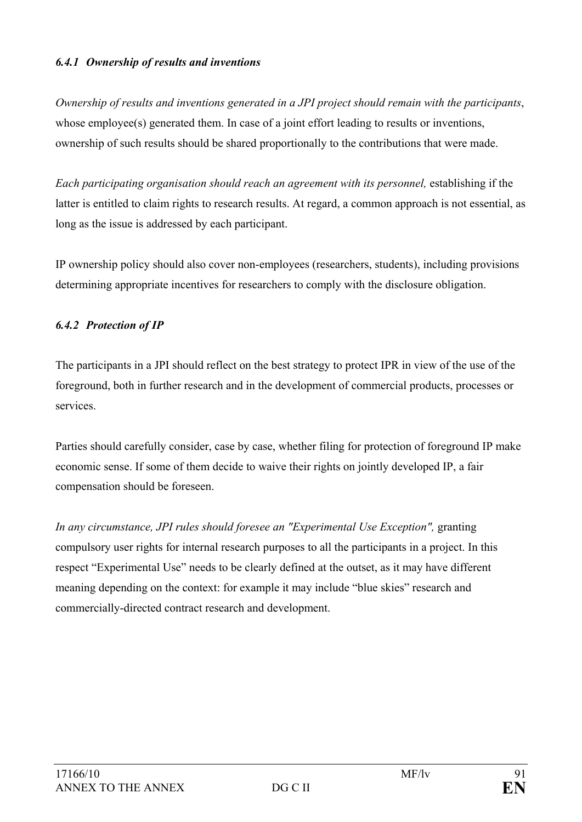### *6.4.1 Ownership of results and inventions*

*Ownership of results and inventions generated in a JPI project should remain with the participants*, whose employee(s) generated them. In case of a joint effort leading to results or inventions, ownership of such results should be shared proportionally to the contributions that were made.

*Each participating organisation should reach an agreement with its personnel,* establishing if the latter is entitled to claim rights to research results. At regard, a common approach is not essential, as long as the issue is addressed by each participant.

IP ownership policy should also cover non-employees (researchers, students), including provisions determining appropriate incentives for researchers to comply with the disclosure obligation.

#### *6.4.2 Protection of IP*

The participants in a JPI should reflect on the best strategy to protect IPR in view of the use of the foreground, both in further research and in the development of commercial products, processes or services.

Parties should carefully consider, case by case, whether filing for protection of foreground IP make economic sense. If some of them decide to waive their rights on jointly developed IP, a fair compensation should be foreseen.

In any circumstance, JPI rules should foresee an "Experimental Use Exception", granting compulsory user rights for internal research purposes to all the participants in a project. In this respect "Experimental Use" needs to be clearly defined at the outset, as it may have different meaning depending on the context: for example it may include "blue skies" research and commercially-directed contract research and development.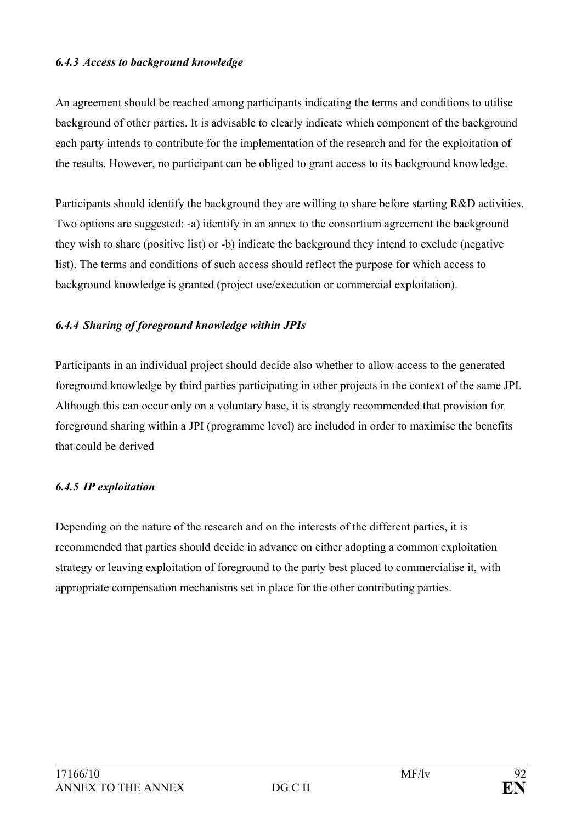#### *6.4.3 Access to background knowledge*

An agreement should be reached among participants indicating the terms and conditions to utilise background of other parties. It is advisable to clearly indicate which component of the background each party intends to contribute for the implementation of the research and for the exploitation of the results. However, no participant can be obliged to grant access to its background knowledge.

Participants should identify the background they are willing to share before starting R&D activities. Two options are suggested: -a) identify in an annex to the consortium agreement the background they wish to share (positive list) or -b) indicate the background they intend to exclude (negative list). The terms and conditions of such access should reflect the purpose for which access to background knowledge is granted (project use/execution or commercial exploitation).

### *6.4.4 Sharing of foreground knowledge within JPIs*

Participants in an individual project should decide also whether to allow access to the generated foreground knowledge by third parties participating in other projects in the context of the same JPI. Although this can occur only on a voluntary base, it is strongly recommended that provision for foreground sharing within a JPI (programme level) are included in order to maximise the benefits that could be derived

### *6.4.5 IP exploitation*

Depending on the nature of the research and on the interests of the different parties, it is recommended that parties should decide in advance on either adopting a common exploitation strategy or leaving exploitation of foreground to the party best placed to commercialise it, with appropriate compensation mechanisms set in place for the other contributing parties.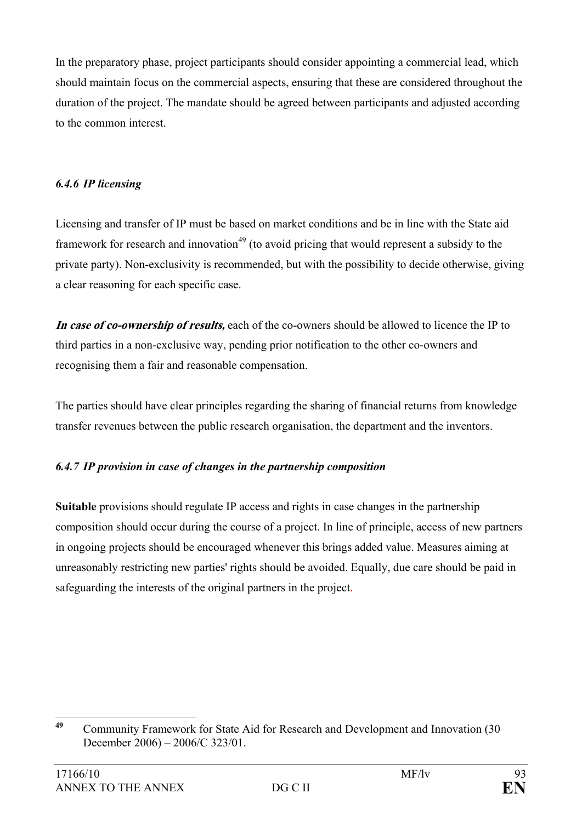In the preparatory phase, project participants should consider appointing a commercial lead, which should maintain focus on the commercial aspects, ensuring that these are considered throughout the duration of the project. The mandate should be agreed between participants and adjusted according to the common interest.

### *6.4.6 IP licensing*

Licensing and transfer of IP must be based on market conditions and be in line with the State aid framework for research and innovation<sup>49</sup> (to avoid pricing that would represent a subsidy to the private party). Non-exclusivity is recommended, but with the possibility to decide otherwise, giving a clear reasoning for each specific case.

**In case of co-ownership of results,** each of the co-owners should be allowed to licence the IP to third parties in a non-exclusive way, pending prior notification to the other co-owners and recognising them a fair and reasonable compensation.

The parties should have clear principles regarding the sharing of financial returns from knowledge transfer revenues between the public research organisation, the department and the inventors.

## *6.4.7 IP provision in case of changes in the partnership composition*

**Suitable** provisions should regulate IP access and rights in case changes in the partnership composition should occur during the course of a project. In line of principle, access of new partners in ongoing projects should be encouraged whenever this brings added value. Measures aiming at unreasonably restricting new parties' rights should be avoided. Equally, due care should be paid in safeguarding the interests of the original partners in the project.

 $\overline{40}$ **<sup>49</sup>** Community Framework for State Aid for Research and Development and Innovation (30 December 2006) – 2006/C 323/01.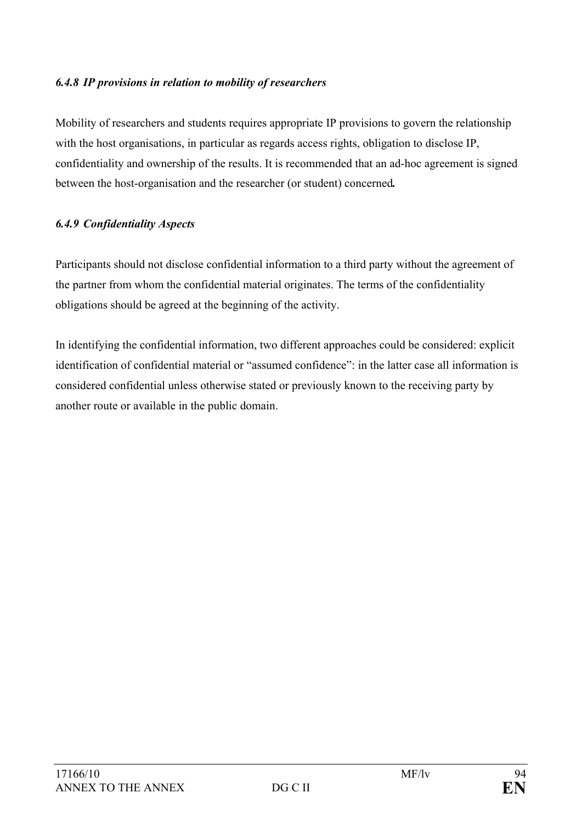### *6.4.8 IP provisions in relation to mobility of researchers*

Mobility of researchers and students requires appropriate IP provisions to govern the relationship with the host organisations, in particular as regards access rights, obligation to disclose IP, confidentiality and ownership of the results. It is recommended that an ad-hoc agreement is signed between the host-organisation and the researcher (or student) concerned*.* 

### *6.4.9 Confidentiality Aspects*

Participants should not disclose confidential information to a third party without the agreement of the partner from whom the confidential material originates. The terms of the confidentiality obligations should be agreed at the beginning of the activity.

In identifying the confidential information, two different approaches could be considered: explicit identification of confidential material or "assumed confidence": in the latter case all information is considered confidential unless otherwise stated or previously known to the receiving party by another route or available in the public domain.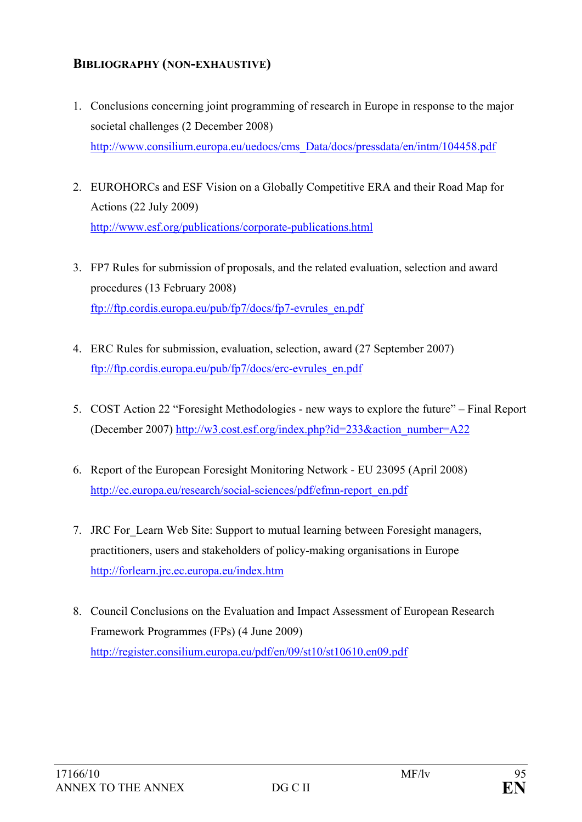# **BIBLIOGRAPHY (NON-EXHAUSTIVE)**

- 1. Conclusions concerning joint programming of research in Europe in response to the major societal challenges (2 December 2008) http://www.consilium.europa.eu/uedocs/cms\_Data/docs/pressdata/en/intm/104458.pdf
- 2. EUROHORCs and ESF Vision on a Globally Competitive ERA and their Road Map for Actions (22 July 2009) http://www.esf.org/publications/corporate-publications.html
- 3. FP7 Rules for submission of proposals, and the related evaluation, selection and award procedures (13 February 2008) ftp://ftp.cordis.europa.eu/pub/fp7/docs/fp7-evrules\_en.pdf
- 4. ERC Rules for submission, evaluation, selection, award (27 September 2007) ftp://ftp.cordis.europa.eu/pub/fp7/docs/erc-evrules\_en.pdf
- 5. COST Action 22 "Foresight Methodologies new ways to explore the future" Final Report (December 2007) http://w3.cost.esf.org/index.php?id=233&action\_number=A22
- 6. Report of the European Foresight Monitoring Network EU 23095 (April 2008) http://ec.europa.eu/research/social-sciences/pdf/efmn-report\_en.pdf
- 7. JRC For Learn Web Site: Support to mutual learning between Foresight managers, practitioners, users and stakeholders of policy-making organisations in Europe http://forlearn.jrc.ec.europa.eu/index.htm
- 8. Council Conclusions on the Evaluation and Impact Assessment of European Research Framework Programmes (FPs) (4 June 2009) http://register.consilium.europa.eu/pdf/en/09/st10/st10610.en09.pdf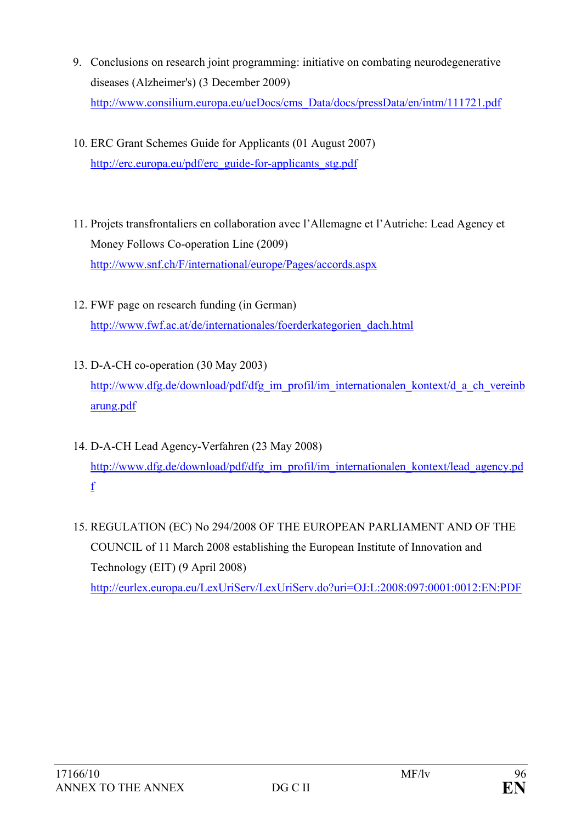- 9. Conclusions on research joint programming: initiative on combating neurodegenerative diseases (Alzheimer's) (3 December 2009) http://www.consilium.europa.eu/ueDocs/cms\_Data/docs/pressData/en/intm/111721.pdf
- 10. ERC Grant Schemes Guide for Applicants (01 August 2007) http://erc.europa.eu/pdf/erc\_guide-for-applicants\_stg.pdf
- 11. Projets transfrontaliers en collaboration avec l'Allemagne et l'Autriche: Lead Agency et Money Follows Co-operation Line (2009) http://www.snf.ch/F/international/europe/Pages/accords.aspx
- 12. FWF page on research funding (in German) http://www.fwf.ac.at/de/internationales/foerderkategorien\_dach.html
- 13. D-A-CH co-operation (30 May 2003) http://www.dfg.de/download/pdf/dfg\_im\_profil/im\_internationalen\_kontext/d\_a\_ch\_vereinb arung.pdf
- 14. D-A-CH Lead Agency-Verfahren (23 May 2008) http://www.dfg.de/download/pdf/dfg\_im\_profil/im\_internationalen\_kontext/lead\_agency.pd f
- 15. REGULATION (EC) No 294/2008 OF THE EUROPEAN PARLIAMENT AND OF THE COUNCIL of 11 March 2008 establishing the European Institute of Innovation and Technology (EIT) (9 April 2008) http://eurlex.europa.eu/LexUriServ/LexUriServ.do?uri=OJ:L:2008:097:0001:0012:EN:PDF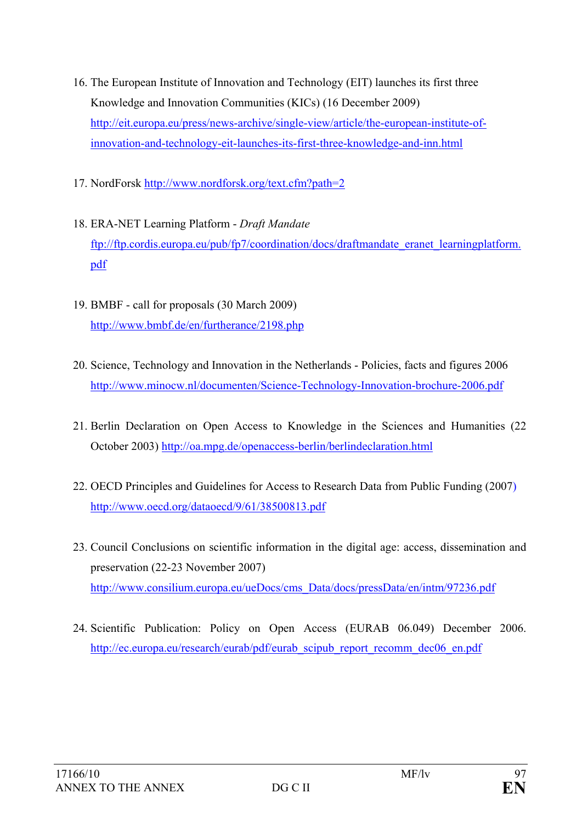- 16. The European Institute of Innovation and Technology (EIT) launches its first three Knowledge and Innovation Communities (KICs) (16 December 2009) http://eit.europa.eu/press/news-archive/single-view/article/the-european-institute-ofinnovation-and-technology-eit-launches-its-first-three-knowledge-and-inn.html
- 17. NordForsk http://www.nordforsk.org/text.cfm?path=2
- 18. ERA-NET Learning Platform *Draft Mandate*  ftp://ftp.cordis.europa.eu/pub/fp7/coordination/docs/draftmandate\_eranet\_learningplatform. pdf
- 19. BMBF call for proposals (30 March 2009) http://www.bmbf.de/en/furtherance/2198.php
- 20. Science, Technology and Innovation in the Netherlands Policies, facts and figures 2006 http://www.minocw.nl/documenten/Science-Technology-Innovation-brochure-2006.pdf
- 21. Berlin Declaration on Open Access to Knowledge in the Sciences and Humanities (22 October 2003) http://oa.mpg.de/openaccess-berlin/berlindeclaration.html
- 22. OECD Principles and Guidelines for Access to Research Data from Public Funding (2007) http://www.oecd.org/dataoecd/9/61/38500813.pdf
- 23. Council Conclusions on scientific information in the digital age: access, dissemination and preservation (22-23 November 2007) http://www.consilium.europa.eu/ueDocs/cms\_Data/docs/pressData/en/intm/97236.pdf
- 24. Scientific Publication: Policy on Open Access (EURAB 06.049) December 2006. http://ec.europa.eu/research/eurab/pdf/eurab\_scipub\_report\_recomm\_dec06\_en.pdf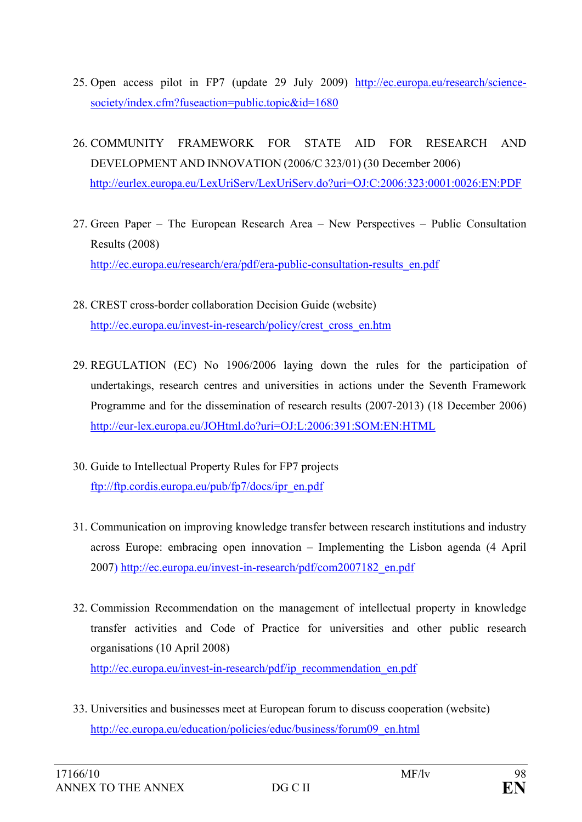- 25. Open access pilot in FP7 (update 29 July 2009) http://ec.europa.eu/research/sciencesociety/index.cfm?fuseaction=public.topic&id=1680
- 26. COMMUNITY FRAMEWORK FOR STATE AID FOR RESEARCH AND DEVELOPMENT AND INNOVATION (2006/C 323/01) (30 December 2006) http://eurlex.europa.eu/LexUriServ/LexUriServ.do?uri=OJ:C:2006:323:0001:0026:EN:PDF
- 27. Green Paper The European Research Area New Perspectives Public Consultation Results (2008) http://ec.europa.eu/research/era/pdf/era-public-consultation-results\_en.pdf
- 28. CREST cross-border collaboration Decision Guide (website) http://ec.europa.eu/invest-in-research/policy/crest\_cross\_en.htm
- 29. REGULATION (EC) No 1906/2006 laying down the rules for the participation of undertakings, research centres and universities in actions under the Seventh Framework Programme and for the dissemination of research results (2007-2013) (18 December 2006) http://eur-lex.europa.eu/JOHtml.do?uri=OJ:L:2006:391:SOM:EN:HTML
- 30. Guide to Intellectual Property Rules for FP7 projects ftp://ftp.cordis.europa.eu/pub/fp7/docs/ipr\_en.pdf
- 31. Communication on improving knowledge transfer between research institutions and industry across Europe: embracing open innovation – Implementing the Lisbon agenda (4 April 2007) http://ec.europa.eu/invest-in-research/pdf/com2007182\_en.pdf
- 32. Commission Recommendation on the management of intellectual property in knowledge transfer activities and Code of Practice for universities and other public research organisations (10 April 2008) http://ec.europa.eu/invest-in-research/pdf/ip\_recommendation\_en.pdf
- 33. Universities and businesses meet at European forum to discuss cooperation (website) http://ec.europa.eu/education/policies/educ/business/forum09\_en.html